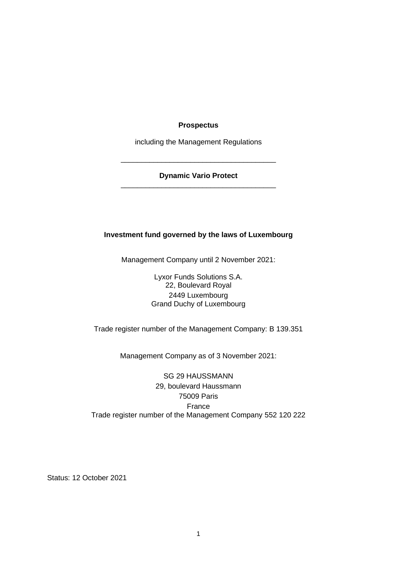# **Prospectus**

including the Management Regulations

### **Dynamic Vario Protect** \_\_\_\_\_\_\_\_\_\_\_\_\_\_\_\_\_\_\_\_\_\_\_\_\_\_\_\_\_\_\_\_\_\_\_\_\_\_

\_\_\_\_\_\_\_\_\_\_\_\_\_\_\_\_\_\_\_\_\_\_\_\_\_\_\_\_\_\_\_\_\_\_\_\_\_\_

## **Investment fund governed by the laws of Luxembourg**

Management Company until 2 November 2021:

Lyxor Funds Solutions S.A. 22, Boulevard Royal 2449 Luxembourg Grand Duchy of Luxembourg

Trade register number of the Management Company: B 139.351

Management Company as of 3 November 2021:

SG 29 HAUSSMANN 29, boulevard Haussmann 75009 Paris France Trade register number of the Management Company 552 120 222

Status: 12 October 2021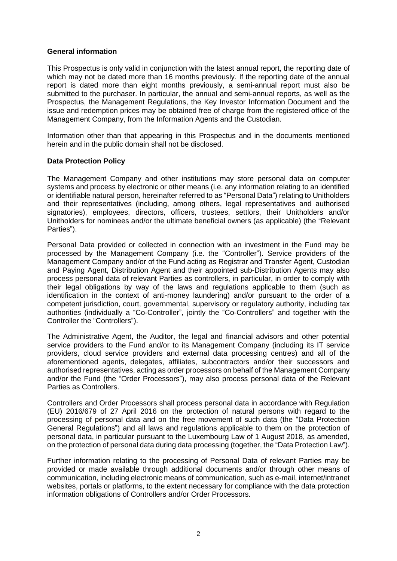### **General information**

This Prospectus is only valid in conjunction with the latest annual report, the reporting date of which may not be dated more than 16 months previously. If the reporting date of the annual report is dated more than eight months previously, a semi-annual report must also be submitted to the purchaser. In particular, the annual and semi-annual reports, as well as the Prospectus, the Management Regulations, the Key Investor Information Document and the issue and redemption prices may be obtained free of charge from the registered office of the Management Company, from the Information Agents and the Custodian.

Information other than that appearing in this Prospectus and in the documents mentioned herein and in the public domain shall not be disclosed.

### **Data Protection Policy**

The Management Company and other institutions may store personal data on computer systems and process by electronic or other means (i.e. any information relating to an identified or identifiable natural person, hereinafter referred to as "Personal Data") relating to Unitholders and their representatives (including, among others, legal representatives and authorised signatories), employees, directors, officers, trustees, settlors, their Unitholders and/or Unitholders for nominees and/or the ultimate beneficial owners (as applicable) (the "Relevant Parties").

Personal Data provided or collected in connection with an investment in the Fund may be processed by the Management Company (i.e. the "Controller"). Service providers of the Management Company and/or of the Fund acting as Registrar and Transfer Agent, Custodian and Paying Agent, Distribution Agent and their appointed sub-Distribution Agents may also process personal data of relevant Parties as controllers, in particular, in order to comply with their legal obligations by way of the laws and regulations applicable to them (such as identification in the context of anti-money laundering) and/or pursuant to the order of a competent jurisdiction, court, governmental, supervisory or regulatory authority, including tax authorities (individually a "Co-Controller", jointly the "Co-Controllers" and together with the Controller the "Controllers").

The Administrative Agent, the Auditor, the legal and financial advisors and other potential service providers to the Fund and/or to its Management Company (including its IT service providers, cloud service providers and external data processing centres) and all of the aforementioned agents, delegates, affiliates, subcontractors and/or their successors and authorised representatives, acting as order processors on behalf of the Management Company and/or the Fund (the "Order Processors"), may also process personal data of the Relevant Parties as Controllers.

Controllers and Order Processors shall process personal data in accordance with Regulation (EU) 2016/679 of 27 April 2016 on the protection of natural persons with regard to the processing of personal data and on the free movement of such data (the "Data Protection General Regulations") and all laws and regulations applicable to them on the protection of personal data, in particular pursuant to the Luxembourg Law of 1 August 2018, as amended, on the protection of personal data during data processing (together, the "Data Protection Law").

Further information relating to the processing of Personal Data of relevant Parties may be provided or made available through additional documents and/or through other means of communication, including electronic means of communication, such as e-mail, internet/intranet websites, portals or platforms, to the extent necessary for compliance with the data protection information obligations of Controllers and/or Order Processors.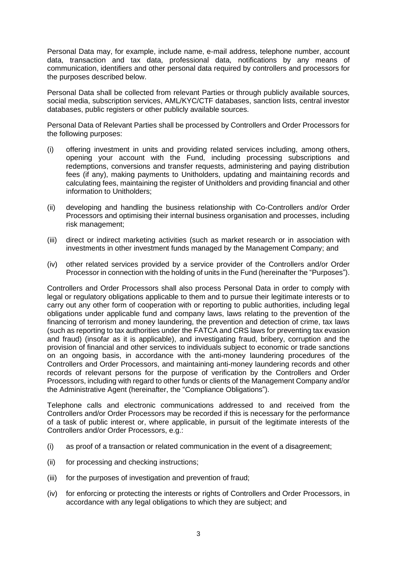Personal Data may, for example, include name, e-mail address, telephone number, account data, transaction and tax data, professional data, notifications by any means of communication, identifiers and other personal data required by controllers and processors for the purposes described below.

Personal Data shall be collected from relevant Parties or through publicly available sources, social media, subscription services, AML/KYC/CTF databases, sanction lists, central investor databases, public registers or other publicly available sources.

Personal Data of Relevant Parties shall be processed by Controllers and Order Processors for the following purposes:

- (i) offering investment in units and providing related services including, among others, opening your account with the Fund, including processing subscriptions and redemptions, conversions and transfer requests, administering and paying distribution fees (if any), making payments to Unitholders, updating and maintaining records and calculating fees, maintaining the register of Unitholders and providing financial and other information to Unitholders;
- (ii) developing and handling the business relationship with Co-Controllers and/or Order Processors and optimising their internal business organisation and processes, including risk management;
- (iii) direct or indirect marketing activities (such as market research or in association with investments in other investment funds managed by the Management Company; and
- (iv) other related services provided by a service provider of the Controllers and/or Order Processor in connection with the holding of units in the Fund (hereinafter the "Purposes").

Controllers and Order Processors shall also process Personal Data in order to comply with legal or regulatory obligations applicable to them and to pursue their legitimate interests or to carry out any other form of cooperation with or reporting to public authorities, including legal obligations under applicable fund and company laws, laws relating to the prevention of the financing of terrorism and money laundering, the prevention and detection of crime, tax laws (such as reporting to tax authorities under the FATCA and CRS laws for preventing tax evasion and fraud) (insofar as it is applicable), and investigating fraud, bribery, corruption and the provision of financial and other services to individuals subject to economic or trade sanctions on an ongoing basis, in accordance with the anti-money laundering procedures of the Controllers and Order Processors, and maintaining anti-money laundering records and other records of relevant persons for the purpose of verification by the Controllers and Order Processors, including with regard to other funds or clients of the Management Company and/or the Administrative Agent (hereinafter, the "Compliance Obligations").

Telephone calls and electronic communications addressed to and received from the Controllers and/or Order Processors may be recorded if this is necessary for the performance of a task of public interest or, where applicable, in pursuit of the legitimate interests of the Controllers and/or Order Processors, e.g.:

- (i) as proof of a transaction or related communication in the event of a disagreement;
- (ii) for processing and checking instructions;
- (iii) for the purposes of investigation and prevention of fraud;
- (iv) for enforcing or protecting the interests or rights of Controllers and Order Processors, in accordance with any legal obligations to which they are subject; and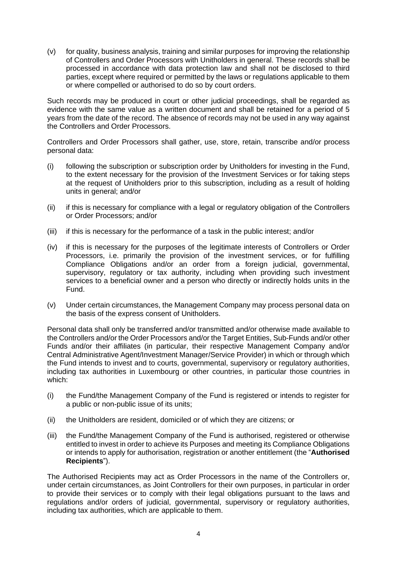(v) for quality, business analysis, training and similar purposes for improving the relationship of Controllers and Order Processors with Unitholders in general. These records shall be processed in accordance with data protection law and shall not be disclosed to third parties, except where required or permitted by the laws or regulations applicable to them or where compelled or authorised to do so by court orders.

Such records may be produced in court or other judicial proceedings, shall be regarded as evidence with the same value as a written document and shall be retained for a period of 5 years from the date of the record. The absence of records may not be used in any way against the Controllers and Order Processors.

Controllers and Order Processors shall gather, use, store, retain, transcribe and/or process personal data:

- (i) following the subscription or subscription order by Unitholders for investing in the Fund, to the extent necessary for the provision of the Investment Services or for taking steps at the request of Unitholders prior to this subscription, including as a result of holding units in general; and/or
- (ii) if this is necessary for compliance with a legal or regulatory obligation of the Controllers or Order Processors; and/or
- (iii) if this is necessary for the performance of a task in the public interest; and/or
- (iv) if this is necessary for the purposes of the legitimate interests of Controllers or Order Processors, i.e. primarily the provision of the investment services, or for fulfilling Compliance Obligations and/or an order from a foreign judicial, governmental, supervisory, regulatory or tax authority, including when providing such investment services to a beneficial owner and a person who directly or indirectly holds units in the Fund.
- (v) Under certain circumstances, the Management Company may process personal data on the basis of the express consent of Unitholders.

Personal data shall only be transferred and/or transmitted and/or otherwise made available to the Controllers and/or the Order Processors and/or the Target Entities, Sub-Funds and/or other Funds and/or their affiliates (in particular, their respective Management Company and/or Central Administrative Agent/Investment Manager/Service Provider) in which or through which the Fund intends to invest and to courts, governmental, supervisory or regulatory authorities, including tax authorities in Luxembourg or other countries, in particular those countries in which:

- (i) the Fund/the Management Company of the Fund is registered or intends to register for a public or non-public issue of its units;
- (ii) the Unitholders are resident, domiciled or of which they are citizens; or
- (iii) the Fund/the Management Company of the Fund is authorised, registered or otherwise entitled to invest in order to achieve its Purposes and meeting its Compliance Obligations or intends to apply for authorisation, registration or another entitlement (the "**Authorised Recipients**").

The Authorised Recipients may act as Order Processors in the name of the Controllers or, under certain circumstances, as Joint Controllers for their own purposes, in particular in order to provide their services or to comply with their legal obligations pursuant to the laws and regulations and/or orders of judicial, governmental, supervisory or regulatory authorities, including tax authorities, which are applicable to them.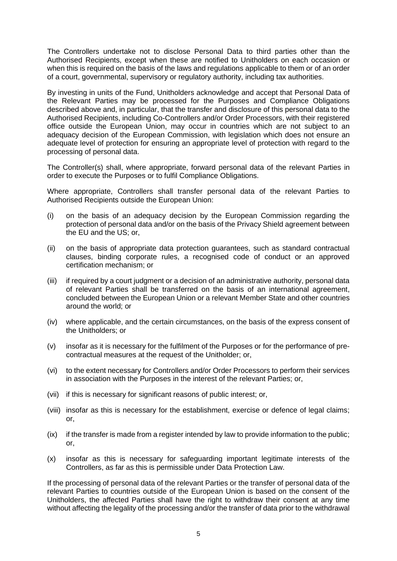The Controllers undertake not to disclose Personal Data to third parties other than the Authorised Recipients, except when these are notified to Unitholders on each occasion or when this is required on the basis of the laws and regulations applicable to them or of an order of a court, governmental, supervisory or regulatory authority, including tax authorities.

By investing in units of the Fund, Unitholders acknowledge and accept that Personal Data of the Relevant Parties may be processed for the Purposes and Compliance Obligations described above and, in particular, that the transfer and disclosure of this personal data to the Authorised Recipients, including Co-Controllers and/or Order Processors, with their registered office outside the European Union, may occur in countries which are not subject to an adequacy decision of the European Commission, with legislation which does not ensure an adequate level of protection for ensuring an appropriate level of protection with regard to the processing of personal data.

The Controller(s) shall, where appropriate, forward personal data of the relevant Parties in order to execute the Purposes or to fulfil Compliance Obligations.

Where appropriate, Controllers shall transfer personal data of the relevant Parties to Authorised Recipients outside the European Union:

- (i) on the basis of an adequacy decision by the European Commission regarding the protection of personal data and/or on the basis of the Privacy Shield agreement between the EU and the US; or,
- (ii) on the basis of appropriate data protection guarantees, such as standard contractual clauses, binding corporate rules, a recognised code of conduct or an approved certification mechanism; or
- (iii) if required by a court judgment or a decision of an administrative authority, personal data of relevant Parties shall be transferred on the basis of an international agreement, concluded between the European Union or a relevant Member State and other countries around the world; or
- (iv) where applicable, and the certain circumstances, on the basis of the express consent of the Unitholders; or
- (v) insofar as it is necessary for the fulfilment of the Purposes or for the performance of precontractual measures at the request of the Unitholder; or,
- (vi) to the extent necessary for Controllers and/or Order Processors to perform their services in association with the Purposes in the interest of the relevant Parties; or,
- (vii) if this is necessary for significant reasons of public interest; or,
- (viii) insofar as this is necessary for the establishment, exercise or defence of legal claims; or,
- (ix) if the transfer is made from a register intended by law to provide information to the public; or,
- (x) insofar as this is necessary for safeguarding important legitimate interests of the Controllers, as far as this is permissible under Data Protection Law.

If the processing of personal data of the relevant Parties or the transfer of personal data of the relevant Parties to countries outside of the European Union is based on the consent of the Unitholders, the affected Parties shall have the right to withdraw their consent at any time without affecting the legality of the processing and/or the transfer of data prior to the withdrawal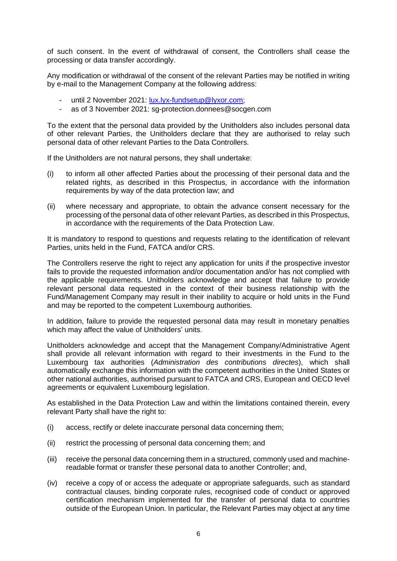of such consent. In the event of withdrawal of consent, the Controllers shall cease the processing or data transfer accordingly.

Any modification or withdrawal of the consent of the relevant Parties may be notified in writing by e-mail to the Management Company at the following address:

- until 2 November 2021: [lux.lyx-fundsetup@lyxor.com;](mailto:lux.lyx-fundsetup@lyxor.com)
- as of 3 November 2021: sg-protection.donnees@socgen.com

To the extent that the personal data provided by the Unitholders also includes personal data of other relevant Parties, the Unitholders declare that they are authorised to relay such personal data of other relevant Parties to the Data Controllers.

If the Unitholders are not natural persons, they shall undertake:

- (i) to inform all other affected Parties about the processing of their personal data and the related rights, as described in this Prospectus, in accordance with the information requirements by way of the data protection law; and
- (ii) where necessary and appropriate, to obtain the advance consent necessary for the processing of the personal data of other relevant Parties, as described in this Prospectus, in accordance with the requirements of the Data Protection Law.

It is mandatory to respond to questions and requests relating to the identification of relevant Parties, units held in the Fund, FATCA and/or CRS.

The Controllers reserve the right to reject any application for units if the prospective investor fails to provide the requested information and/or documentation and/or has not complied with the applicable requirements. Unitholders acknowledge and accept that failure to provide relevant personal data requested in the context of their business relationship with the Fund/Management Company may result in their inability to acquire or hold units in the Fund and may be reported to the competent Luxembourg authorities.

In addition, failure to provide the requested personal data may result in monetary penalties which may affect the value of Unitholders' units.

Unitholders acknowledge and accept that the Management Company/Administrative Agent shall provide all relevant information with regard to their investments in the Fund to the Luxembourg tax authorities (*Administration des contributions directes*), which shall automatically exchange this information with the competent authorities in the United States or other national authorities, authorised pursuant to FATCA and CRS, European and OECD level agreements or equivalent Luxembourg legislation.

As established in the Data Protection Law and within the limitations contained therein, every relevant Party shall have the right to:

- (i) access, rectify or delete inaccurate personal data concerning them;
- (ii) restrict the processing of personal data concerning them; and
- (iii) receive the personal data concerning them in a structured, commonly used and machinereadable format or transfer these personal data to another Controller; and,
- (iv) receive a copy of or access the adequate or appropriate safeguards, such as standard contractual clauses, binding corporate rules, recognised code of conduct or approved certification mechanism implemented for the transfer of personal data to countries outside of the European Union. In particular, the Relevant Parties may object at any time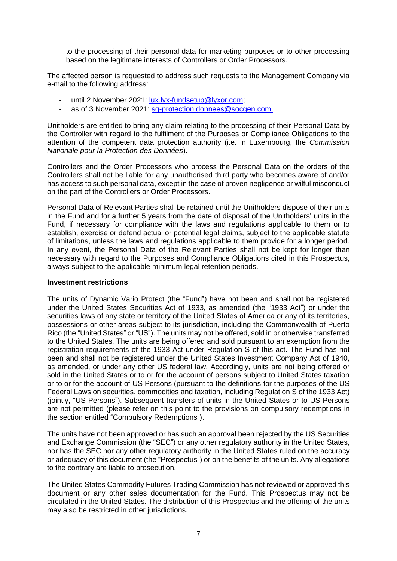to the processing of their personal data for marketing purposes or to other processing based on the legitimate interests of Controllers or Order Processors.

The affected person is requested to address such requests to the Management Company via e-mail to the following address:

- until 2 November 2021: [lux.lyx-fundsetup@lyxor.com;](mailto:lux.lyx-fundsetup@lyxor.com)
- as of 3 November 2021: [sg-protection.donnees@socgen.com.](javascript:linkTo_UnCryptMailto(%27jxfiql7pd%3Amolqbzqflk%2BalkkbbpXplzdbk%2Bzlj%27);)

Unitholders are entitled to bring any claim relating to the processing of their Personal Data by the Controller with regard to the fulfilment of the Purposes or Compliance Obligations to the attention of the competent data protection authority (i.e. in Luxembourg, the *Commission Nationale pour la Protection des Données*).

Controllers and the Order Processors who process the Personal Data on the orders of the Controllers shall not be liable for any unauthorised third party who becomes aware of and/or has access to such personal data, except in the case of proven negligence or wilful misconduct on the part of the Controllers or Order Processors.

Personal Data of Relevant Parties shall be retained until the Unitholders dispose of their units in the Fund and for a further 5 years from the date of disposal of the Unitholders' units in the Fund, if necessary for compliance with the laws and regulations applicable to them or to establish, exercise or defend actual or potential legal claims, subject to the applicable statute of limitations, unless the laws and regulations applicable to them provide for a longer period. In any event, the Personal Data of the Relevant Parties shall not be kept for longer than necessary with regard to the Purposes and Compliance Obligations cited in this Prospectus, always subject to the applicable minimum legal retention periods.

### **Investment restrictions**

The units of Dynamic Vario Protect (the "Fund") have not been and shall not be registered under the United States Securities Act of 1933, as amended (the "1933 Act") or under the securities laws of any state or territory of the United States of America or any of its territories, possessions or other areas subject to its jurisdiction, including the Commonwealth of Puerto Rico (the "United States" or "US"). The units may not be offered, sold in or otherwise transferred to the United States. The units are being offered and sold pursuant to an exemption from the registration requirements of the 1933 Act under Regulation S of this act. The Fund has not been and shall not be registered under the United States Investment Company Act of 1940, as amended, or under any other US federal law. Accordingly, units are not being offered or sold in the United States or to or for the account of persons subject to United States taxation or to or for the account of US Persons (pursuant to the definitions for the purposes of the US Federal Laws on securities, commodities and taxation, including Regulation S of the 1933 Act) (jointly, "US Persons"). Subsequent transfers of units in the United States or to US Persons are not permitted (please refer on this point to the provisions on compulsory redemptions in the section entitled "Compulsory Redemptions").

The units have not been approved or has such an approval been rejected by the US Securities and Exchange Commission (the "SEC") or any other regulatory authority in the United States, nor has the SEC nor any other regulatory authority in the United States ruled on the accuracy or adequacy of this document (the "Prospectus") or on the benefits of the units. Any allegations to the contrary are liable to prosecution.

The United States Commodity Futures Trading Commission has not reviewed or approved this document or any other sales documentation for the Fund. This Prospectus may not be circulated in the United States. The distribution of this Prospectus and the offering of the units may also be restricted in other jurisdictions.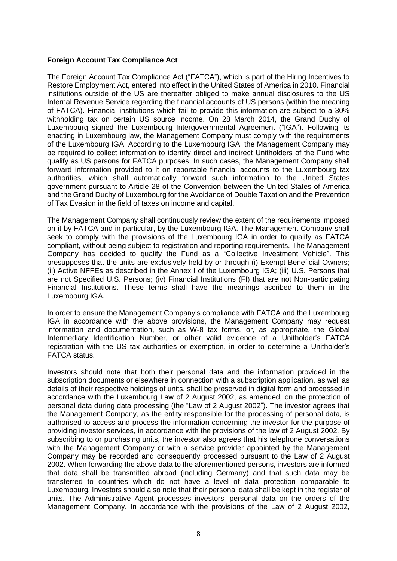# **Foreign Account Tax Compliance Act**

The Foreign Account Tax Compliance Act ("FATCA"), which is part of the Hiring Incentives to Restore Employment Act, entered into effect in the United States of America in 2010. Financial institutions outside of the US are thereafter obliged to make annual disclosures to the US Internal Revenue Service regarding the financial accounts of US persons (within the meaning of FATCA). Financial institutions which fail to provide this information are subject to a 30% withholding tax on certain US source income. On 28 March 2014, the Grand Duchy of Luxembourg signed the Luxembourg Intergovernmental Agreement ("IGA"). Following its enacting in Luxembourg law, the Management Company must comply with the requirements of the Luxembourg IGA. According to the Luxembourg IGA, the Management Company may be required to collect information to identify direct and indirect Unitholders of the Fund who qualify as US persons for FATCA purposes. In such cases, the Management Company shall forward information provided to it on reportable financial accounts to the Luxembourg tax authorities, which shall automatically forward such information to the United States government pursuant to Article 28 of the Convention between the United States of America and the Grand Duchy of Luxembourg for the Avoidance of Double Taxation and the Prevention of Tax Evasion in the field of taxes on income and capital.

The Management Company shall continuously review the extent of the requirements imposed on it by FATCA and in particular, by the Luxembourg IGA. The Management Company shall seek to comply with the provisions of the Luxembourg IGA in order to qualify as FATCA compliant, without being subject to registration and reporting requirements. The Management Company has decided to qualify the Fund as a "Collective Investment Vehicle". This presupposes that the units are exclusively held by or through (i) Exempt Beneficial Owners; (ii) Active NFFEs as described in the Annex I of the Luxembourg IGA; (iii) U.S. Persons that are not Specified U.S. Persons; (iv) Financial Institutions (FI) that are not Non-participating Financial Institutions. These terms shall have the meanings ascribed to them in the Luxembourg IGA.

In order to ensure the Management Company's compliance with FATCA and the Luxembourg IGA in accordance with the above provisions, the Management Company may request information and documentation, such as W-8 tax forms, or, as appropriate, the Global Intermediary Identification Number, or other valid evidence of a Unitholder's FATCA registration with the US tax authorities or exemption, in order to determine a Unitholder's FATCA status.

Investors should note that both their personal data and the information provided in the subscription documents or elsewhere in connection with a subscription application, as well as details of their respective holdings of units, shall be preserved in digital form and processed in accordance with the Luxembourg Law of 2 August 2002, as amended, on the protection of personal data during data processing (the "Law of 2 August 2002"). The investor agrees that the Management Company, as the entity responsible for the processing of personal data, is authorised to access and process the information concerning the investor for the purpose of providing investor services, in accordance with the provisions of the law of 2 August 2002. By subscribing to or purchasing units, the investor also agrees that his telephone conversations with the Management Company or with a service provider appointed by the Management Company may be recorded and consequently processed pursuant to the Law of 2 August 2002. When forwarding the above data to the aforementioned persons, investors are informed that data shall be transmitted abroad (including Germany) and that such data may be transferred to countries which do not have a level of data protection comparable to Luxembourg. Investors should also note that their personal data shall be kept in the register of units. The Administrative Agent processes investors' personal data on the orders of the Management Company. In accordance with the provisions of the Law of 2 August 2002,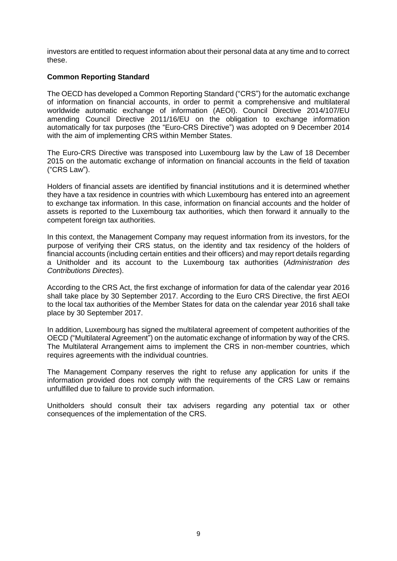investors are entitled to request information about their personal data at any time and to correct these.

# **Common Reporting Standard**

The OECD has developed a Common Reporting Standard ("CRS") for the automatic exchange of information on financial accounts, in order to permit a comprehensive and multilateral worldwide automatic exchange of information (AEOI). Council Directive 2014/107/EU amending Council Directive 2011/16/EU on the obligation to exchange information automatically for tax purposes (the "Euro-CRS Directive") was adopted on 9 December 2014 with the aim of implementing CRS within Member States.

The Euro-CRS Directive was transposed into Luxembourg law by the Law of 18 December 2015 on the automatic exchange of information on financial accounts in the field of taxation ("CRS Law").

Holders of financial assets are identified by financial institutions and it is determined whether they have a tax residence in countries with which Luxembourg has entered into an agreement to exchange tax information. In this case, information on financial accounts and the holder of assets is reported to the Luxembourg tax authorities, which then forward it annually to the competent foreign tax authorities.

In this context, the Management Company may request information from its investors, for the purpose of verifying their CRS status, on the identity and tax residency of the holders of financial accounts (including certain entities and their officers) and may report details regarding a Unitholder and its account to the Luxembourg tax authorities (*Administration des Contributions Directes*).

According to the CRS Act, the first exchange of information for data of the calendar year 2016 shall take place by 30 September 2017. According to the Euro CRS Directive, the first AEOI to the local tax authorities of the Member States for data on the calendar year 2016 shall take place by 30 September 2017.

In addition, Luxembourg has signed the multilateral agreement of competent authorities of the OECD ("Multilateral Agreement") on the automatic exchange of information by way of the CRS. The Multilateral Arrangement aims to implement the CRS in non-member countries, which requires agreements with the individual countries.

The Management Company reserves the right to refuse any application for units if the information provided does not comply with the requirements of the CRS Law or remains unfulfilled due to failure to provide such information.

Unitholders should consult their tax advisers regarding any potential tax or other consequences of the implementation of the CRS.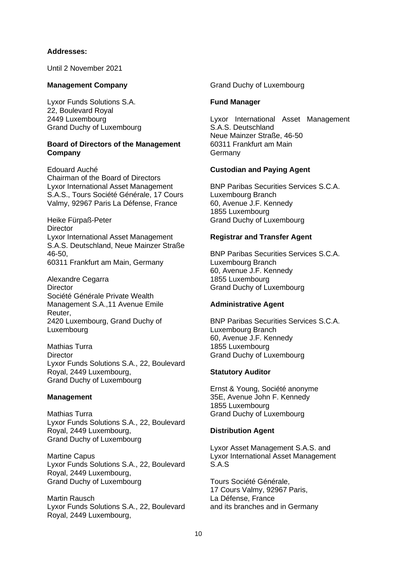# **Addresses:**

Until 2 November 2021

# **Management Company**

Lyxor Funds Solutions S.A. 22, Boulevard Royal 2449 Luxembourg Grand Duchy of Luxembourg

# **Board of Directors of the Management Company**

Edouard Auché Chairman of the Board of Directors Lyxor International Asset Management S.A.S., Tours Société Générale, 17 Cours Valmy, 92967 Paris La Défense, France

Heike Fürpaß-Peter **Director** Lyxor International Asset Management S.A.S. Deutschland, Neue Mainzer Straße 46-50, 60311 Frankfurt am Main, Germany

Alexandre Cegarra **Director** Société Générale Private Wealth Management S.A.,11 Avenue Emile Reuter, 2420 Luxembourg, Grand Duchy of Luxembourg

Mathias Turra **Director** Lyxor Funds Solutions S.A., 22, Boulevard Royal, 2449 Luxembourg, Grand Duchy of Luxembourg

# **Management**

Mathias Turra Lyxor Funds Solutions S.A., 22, Boulevard Royal, 2449 Luxembourg, Grand Duchy of Luxembourg

Martine Capus Lyxor Funds Solutions S.A., 22, Boulevard Royal, 2449 Luxembourg, Grand Duchy of Luxembourg

Martin Rausch Lyxor Funds Solutions S.A., 22, Boulevard Royal, 2449 Luxembourg,

Grand Duchy of Luxembourg

# **Fund Manager**

Lyxor International Asset Management S.A.S. Deutschland Neue Mainzer Straße, 46-50 60311 Frankfurt am Main **Germany** 

# **Custodian and Paying Agent**

BNP Paribas Securities Services S.C.A. Luxembourg Branch 60, Avenue J.F. Kennedy 1855 Luxembourg Grand Duchy of Luxembourg

# **Registrar and Transfer Agent**

BNP Paribas Securities Services S.C.A. Luxembourg Branch 60, Avenue J.F. Kennedy 1855 Luxembourg Grand Duchy of Luxembourg

# **Administrative Agent**

BNP Paribas Securities Services S.C.A. Luxembourg Branch 60, Avenue J.F. Kennedy 1855 Luxembourg Grand Duchy of Luxembourg

# **Statutory Auditor**

Ernst & Young, Société anonyme 35E, Avenue John F. Kennedy 1855 Luxembourg Grand Duchy of Luxembourg

# **Distribution Agent**

Lyxor Asset Management S.A.S. and Lyxor International Asset Management S.A.S

Tours Société Générale, 17 Cours Valmy, 92967 Paris, La Défense, France and its branches and in Germany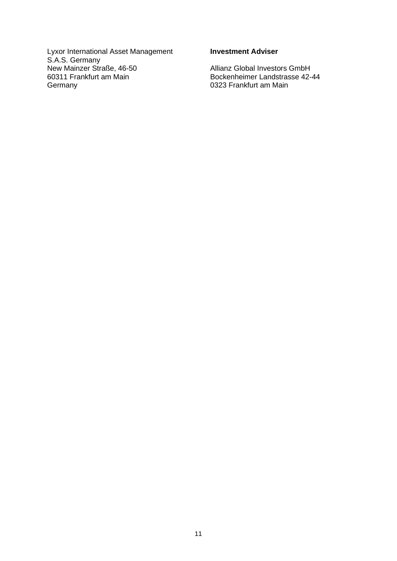Lyxor International Asset Management S.A.S. Germany New Mainzer Straße, 46-50 60311 Frankfurt am Main Germany

# **Investment Adviser**

Allianz Global Investors GmbH Bockenheimer Landstrasse 42-44 0323 Frankfurt am Main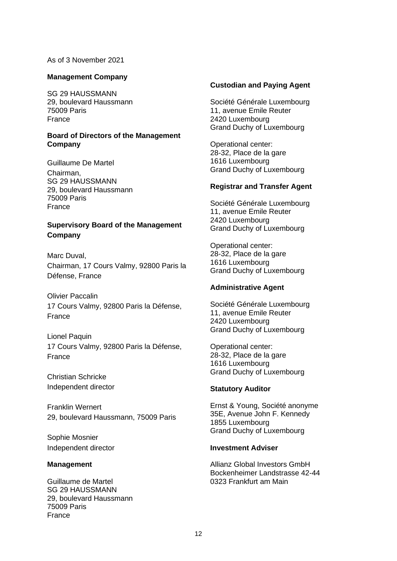## As of 3 November 2021

### **Management Company**

SG 29 HAUSSMANN 29, boulevard Haussmann 75009 Paris France

### **Board of Directors of the Management Company**

Guillaume De Martel Chairman, SG 29 HAUSSMANN 29, boulevard Haussmann 75009 Paris France

# **Supervisory Board of the Management Company**

Marc Duval, Chairman, 17 Cours Valmy, 92800 Paris la Défense, France

Olivier Paccalin 17 Cours Valmy, 92800 Paris la Défense, France

Lionel Paquin 17 Cours Valmy, 92800 Paris la Défense, France

Christian Schricke Independent director

Franklin Wernert 29, boulevard Haussmann, 75009 Paris

Sophie Mosnier Independent director

#### **Management**

Guillaume de Martel SG 29 HAUSSMANN 29, boulevard Haussmann 75009 Paris France

#### **Custodian and Paying Agent**

Société Générale Luxembourg 11, avenue Emile Reuter 2420 Luxembourg Grand Duchy of Luxembourg

Operational center: 28-32, Place de la gare 1616 Luxembourg Grand Duchy of Luxembourg

### **Registrar and Transfer Agent**

Société Générale Luxembourg 11, avenue Emile Reuter 2420 Luxembourg Grand Duchy of Luxembourg

Operational center: 28-32, Place de la gare 1616 Luxembourg Grand Duchy of Luxembourg

#### **Administrative Agent**

Société Générale Luxembourg 11, avenue Emile Reuter 2420 Luxembourg Grand Duchy of Luxembourg

Operational center: 28-32, Place de la gare 1616 Luxembourg Grand Duchy of Luxembourg

#### **Statutory Auditor**

Ernst & Young, Société anonyme 35E, Avenue John F. Kennedy 1855 Luxembourg Grand Duchy of Luxembourg

#### **Investment Adviser**

Allianz Global Investors GmbH Bockenheimer Landstrasse 42-44 0323 Frankfurt am Main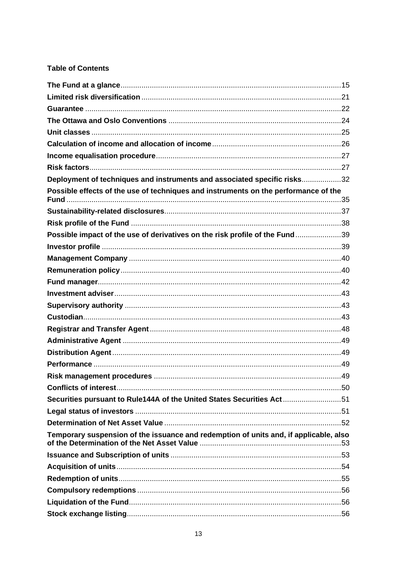# **Table of Contents**

| Deployment of techniques and instruments and associated specific risks32              |  |
|---------------------------------------------------------------------------------------|--|
| Possible effects of the use of techniques and instruments on the performance of the   |  |
|                                                                                       |  |
|                                                                                       |  |
| Possible impact of the use of derivatives on the risk profile of the Fund39           |  |
|                                                                                       |  |
|                                                                                       |  |
|                                                                                       |  |
|                                                                                       |  |
|                                                                                       |  |
|                                                                                       |  |
|                                                                                       |  |
|                                                                                       |  |
|                                                                                       |  |
|                                                                                       |  |
|                                                                                       |  |
|                                                                                       |  |
|                                                                                       |  |
| Securities pursuant to Rule144A of the United States Securities Act51                 |  |
|                                                                                       |  |
|                                                                                       |  |
| Temporary suspension of the issuance and redemption of units and, if applicable, also |  |
|                                                                                       |  |
|                                                                                       |  |
|                                                                                       |  |
|                                                                                       |  |
|                                                                                       |  |
|                                                                                       |  |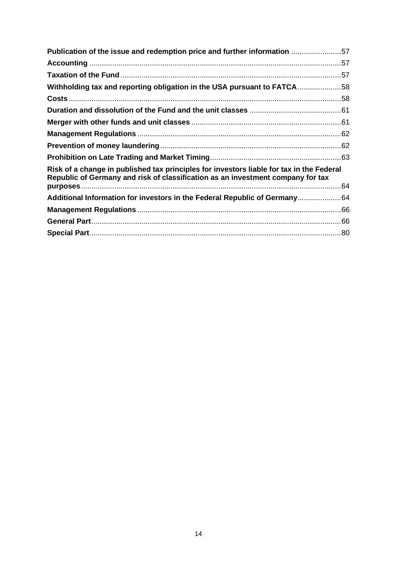| Publication of the issue and redemption price and further information 57                                                                                                    |  |
|-----------------------------------------------------------------------------------------------------------------------------------------------------------------------------|--|
|                                                                                                                                                                             |  |
|                                                                                                                                                                             |  |
| Withholding tax and reporting obligation in the USA pursuant to FATCA58                                                                                                     |  |
|                                                                                                                                                                             |  |
|                                                                                                                                                                             |  |
|                                                                                                                                                                             |  |
|                                                                                                                                                                             |  |
|                                                                                                                                                                             |  |
|                                                                                                                                                                             |  |
| Risk of a change in published tax principles for investors liable for tax in the Federal<br>Republic of Germany and risk of classification as an investment company for tax |  |
|                                                                                                                                                                             |  |
| Additional Information for investors in the Federal Republic of Germany64                                                                                                   |  |
|                                                                                                                                                                             |  |
|                                                                                                                                                                             |  |
|                                                                                                                                                                             |  |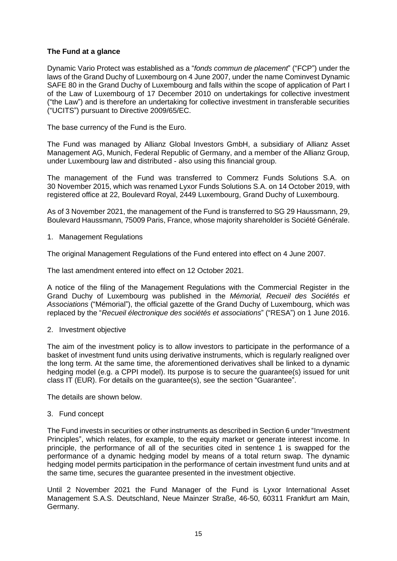# **The Fund at a glance**

Dynamic Vario Protect was established as a "*fonds commun de placement*" ("FCP") under the laws of the Grand Duchy of Luxembourg on 4 June 2007, under the name Cominvest Dynamic SAFE 80 in the Grand Duchy of Luxembourg and falls within the scope of application of Part I of the Law of Luxembourg of 17 December 2010 on undertakings for collective investment ("the Law") and is therefore an undertaking for collective investment in transferable securities ("UCITS") pursuant to Directive 2009/65/EC.

The base currency of the Fund is the Euro.

The Fund was managed by Allianz Global Investors GmbH, a subsidiary of Allianz Asset Management AG, Munich, Federal Republic of Germany, and a member of the Allianz Group, under Luxembourg law and distributed - also using this financial group.

The management of the Fund was transferred to Commerz Funds Solutions S.A. on 30 November 2015, which was renamed Lyxor Funds Solutions S.A. on 14 October 2019, with registered office at 22, Boulevard Royal, 2449 Luxembourg, Grand Duchy of Luxembourg.

As of 3 November 2021, the management of the Fund is transferred to SG 29 Haussmann, 29, Boulevard Haussmann, 75009 Paris, France, whose majority shareholder is Société Générale.

1. Management Regulations

The original Management Regulations of the Fund entered into effect on 4 June 2007.

The last amendment entered into effect on 12 October 2021.

A notice of the filing of the Management Regulations with the Commercial Register in the Grand Duchy of Luxembourg was published in the *Mémorial, Recueil des Sociétés et Associations* ("Mémorial"), the official gazette of the Grand Duchy of Luxembourg, which was replaced by the "*Recueil électronique des sociétés et associations*" ("RESA") on 1 June 2016.

2. Investment objective

The aim of the investment policy is to allow investors to participate in the performance of a basket of investment fund units using derivative instruments, which is regularly realigned over the long term. At the same time, the aforementioned derivatives shall be linked to a dynamic hedging model (e.g. a CPPI model). Its purpose is to secure the guarantee(s) issued for unit class IT (EUR). For details on the guarantee(s), see the section "Guarantee".

The details are shown below.

3. Fund concept

The Fund invests in securities or other instruments as described in Section 6 under "Investment Principles", which relates, for example, to the equity market or generate interest income. In principle, the performance of all of the securities cited in sentence 1 is swapped for the performance of a dynamic hedging model by means of a total return swap. The dynamic hedging model permits participation in the performance of certain investment fund units and at the same time, secures the guarantee presented in the investment objective.

Until 2 November 2021 the Fund Manager of the Fund is Lyxor International Asset Management S.A.S. Deutschland, Neue Mainzer Straße, 46-50, 60311 Frankfurt am Main, Germany.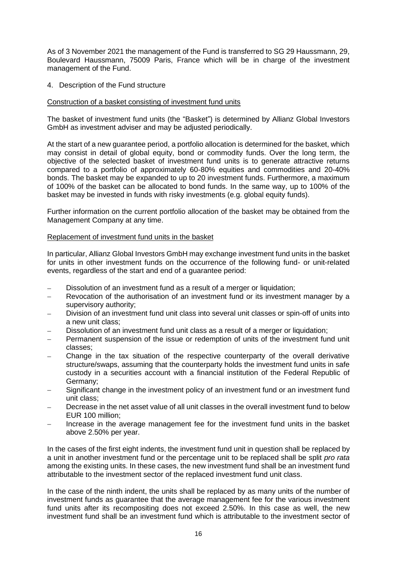As of 3 November 2021 the management of the Fund is transferred to SG 29 Haussmann, 29, Boulevard Haussmann, 75009 Paris, France which will be in charge of the investment management of the Fund.

4. Description of the Fund structure

### Construction of a basket consisting of investment fund units

The basket of investment fund units (the "Basket") is determined by Allianz Global Investors GmbH as investment adviser and may be adjusted periodically.

At the start of a new guarantee period, a portfolio allocation is determined for the basket, which may consist in detail of global equity, bond or commodity funds. Over the long term, the objective of the selected basket of investment fund units is to generate attractive returns compared to a portfolio of approximately 60-80% equities and commodities and 20-40% bonds. The basket may be expanded to up to 20 investment funds. Furthermore, a maximum of 100% of the basket can be allocated to bond funds. In the same way, up to 100% of the basket may be invested in funds with risky investments (e.g. global equity funds).

Further information on the current portfolio allocation of the basket may be obtained from the Management Company at any time.

### Replacement of investment fund units in the basket

In particular, Allianz Global Investors GmbH may exchange investment fund units in the basket for units in other investment funds on the occurrence of the following fund- or unit-related events, regardless of the start and end of a guarantee period:

- Dissolution of an investment fund as a result of a merger or liquidation;
- − Revocation of the authorisation of an investment fund or its investment manager by a supervisory authority;
- Division of an investment fund unit class into several unit classes or spin-off of units into a new unit class;
- Dissolution of an investment fund unit class as a result of a merger or liquidation;
- Permanent suspension of the issue or redemption of units of the investment fund unit classes;
- Change in the tax situation of the respective counterparty of the overall derivative structure/swaps, assuming that the counterparty holds the investment fund units in safe custody in a securities account with a financial institution of the Federal Republic of Germany;
- Significant change in the investment policy of an investment fund or an investment fund unit class;
- Decrease in the net asset value of all unit classes in the overall investment fund to below EUR 100 million;
- Increase in the average management fee for the investment fund units in the basket above 2.50% per year.

In the cases of the first eight indents, the investment fund unit in question shall be replaced by a unit in another investment fund or the percentage unit to be replaced shall be split *pro rata* among the existing units. In these cases, the new investment fund shall be an investment fund attributable to the investment sector of the replaced investment fund unit class.

In the case of the ninth indent, the units shall be replaced by as many units of the number of investment funds as guarantee that the average management fee for the various investment fund units after its recompositing does not exceed 2.50%. In this case as well, the new investment fund shall be an investment fund which is attributable to the investment sector of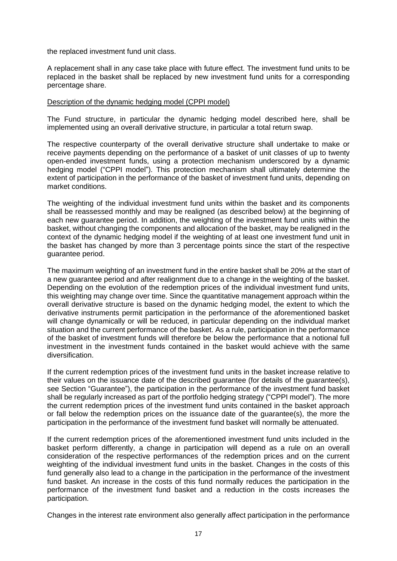the replaced investment fund unit class.

A replacement shall in any case take place with future effect. The investment fund units to be replaced in the basket shall be replaced by new investment fund units for a corresponding percentage share.

### Description of the dynamic hedging model (CPPI model)

The Fund structure, in particular the dynamic hedging model described here, shall be implemented using an overall derivative structure, in particular a total return swap.

The respective counterparty of the overall derivative structure shall undertake to make or receive payments depending on the performance of a basket of unit classes of up to twenty open-ended investment funds, using a protection mechanism underscored by a dynamic hedging model ("CPPI model"). This protection mechanism shall ultimately determine the extent of participation in the performance of the basket of investment fund units, depending on market conditions.

The weighting of the individual investment fund units within the basket and its components shall be reassessed monthly and may be realigned (as described below) at the beginning of each new guarantee period. In addition, the weighting of the investment fund units within the basket, without changing the components and allocation of the basket, may be realigned in the context of the dynamic hedging model if the weighting of at least one investment fund unit in the basket has changed by more than 3 percentage points since the start of the respective guarantee period.

The maximum weighting of an investment fund in the entire basket shall be 20% at the start of a new guarantee period and after realignment due to a change in the weighting of the basket. Depending on the evolution of the redemption prices of the individual investment fund units, this weighting may change over time. Since the quantitative management approach within the overall derivative structure is based on the dynamic hedging model, the extent to which the derivative instruments permit participation in the performance of the aforementioned basket will change dynamically or will be reduced, in particular depending on the individual market situation and the current performance of the basket. As a rule, participation in the performance of the basket of investment funds will therefore be below the performance that a notional full investment in the investment funds contained in the basket would achieve with the same diversification.

If the current redemption prices of the investment fund units in the basket increase relative to their values on the issuance date of the described guarantee (for details of the guarantee(s), see Section "Guarantee"), the participation in the performance of the investment fund basket shall be regularly increased as part of the portfolio hedging strategy ("CPPI model"). The more the current redemption prices of the investment fund units contained in the basket approach or fall below the redemption prices on the issuance date of the guarantee(s), the more the participation in the performance of the investment fund basket will normally be attenuated.

If the current redemption prices of the aforementioned investment fund units included in the basket perform differently, a change in participation will depend as a rule on an overall consideration of the respective performances of the redemption prices and on the current weighting of the individual investment fund units in the basket. Changes in the costs of this fund generally also lead to a change in the participation in the performance of the investment fund basket. An increase in the costs of this fund normally reduces the participation in the performance of the investment fund basket and a reduction in the costs increases the participation.

Changes in the interest rate environment also generally affect participation in the performance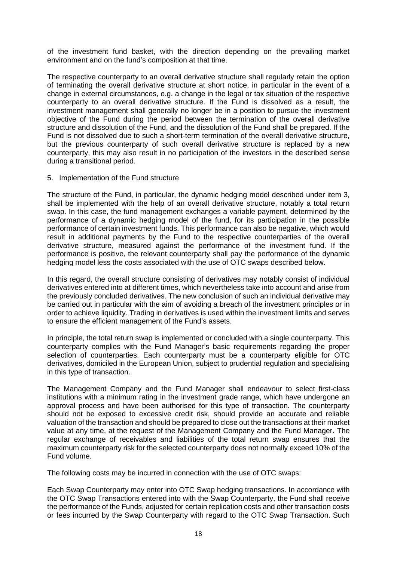of the investment fund basket, with the direction depending on the prevailing market environment and on the fund's composition at that time.

The respective counterparty to an overall derivative structure shall regularly retain the option of terminating the overall derivative structure at short notice, in particular in the event of a change in external circumstances, e.g. a change in the legal or tax situation of the respective counterparty to an overall derivative structure. If the Fund is dissolved as a result, the investment management shall generally no longer be in a position to pursue the investment objective of the Fund during the period between the termination of the overall derivative structure and dissolution of the Fund, and the dissolution of the Fund shall be prepared. If the Fund is not dissolved due to such a short-term termination of the overall derivative structure, but the previous counterparty of such overall derivative structure is replaced by a new counterparty, this may also result in no participation of the investors in the described sense during a transitional period.

5. Implementation of the Fund structure

The structure of the Fund, in particular, the dynamic hedging model described under item 3, shall be implemented with the help of an overall derivative structure, notably a total return swap. In this case, the fund management exchanges a variable payment, determined by the performance of a dynamic hedging model of the fund, for its participation in the possible performance of certain investment funds. This performance can also be negative, which would result in additional payments by the Fund to the respective counterparties of the overall derivative structure, measured against the performance of the investment fund. If the performance is positive, the relevant counterparty shall pay the performance of the dynamic hedging model less the costs associated with the use of OTC swaps described below.

In this regard, the overall structure consisting of derivatives may notably consist of individual derivatives entered into at different times, which nevertheless take into account and arise from the previously concluded derivatives. The new conclusion of such an individual derivative may be carried out in particular with the aim of avoiding a breach of the investment principles or in order to achieve liquidity. Trading in derivatives is used within the investment limits and serves to ensure the efficient management of the Fund's assets.

In principle, the total return swap is implemented or concluded with a single counterparty. This counterparty complies with the Fund Manager's basic requirements regarding the proper selection of counterparties. Each counterparty must be a counterparty eligible for OTC derivatives, domiciled in the European Union, subject to prudential regulation and specialising in this type of transaction.

The Management Company and the Fund Manager shall endeavour to select first-class institutions with a minimum rating in the investment grade range, which have undergone an approval process and have been authorised for this type of transaction. The counterparty should not be exposed to excessive credit risk, should provide an accurate and reliable valuation of the transaction and should be prepared to close out the transactions at their market value at any time, at the request of the Management Company and the Fund Manager. The regular exchange of receivables and liabilities of the total return swap ensures that the maximum counterparty risk for the selected counterparty does not normally exceed 10% of the Fund volume.

The following costs may be incurred in connection with the use of OTC swaps:

Each Swap Counterparty may enter into OTC Swap hedging transactions. In accordance with the OTC Swap Transactions entered into with the Swap Counterparty, the Fund shall receive the performance of the Funds, adjusted for certain replication costs and other transaction costs or fees incurred by the Swap Counterparty with regard to the OTC Swap Transaction. Such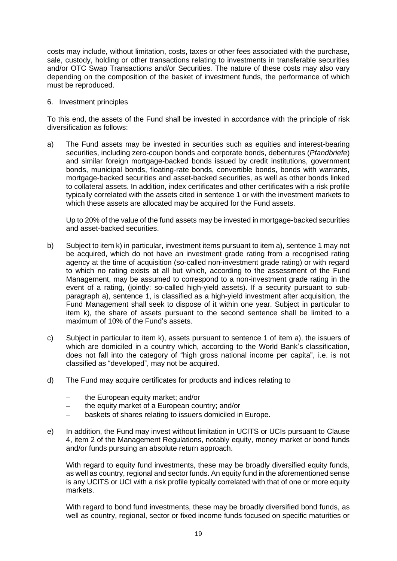costs may include, without limitation, costs, taxes or other fees associated with the purchase, sale, custody, holding or other transactions relating to investments in transferable securities and/or OTC Swap Transactions and/or Securities. The nature of these costs may also vary depending on the composition of the basket of investment funds, the performance of which must be reproduced.

### 6. Investment principles

To this end, the assets of the Fund shall be invested in accordance with the principle of risk diversification as follows:

a) The Fund assets may be invested in securities such as equities and interest-bearing securities, including zero-coupon bonds and corporate bonds, debentures (*Pfandbriefe*) and similar foreign mortgage-backed bonds issued by credit institutions, government bonds, municipal bonds, floating-rate bonds, convertible bonds, bonds with warrants, mortgage-backed securities and asset-backed securities, as well as other bonds linked to collateral assets. In addition, index certificates and other certificates with a risk profile typically correlated with the assets cited in sentence 1 or with the investment markets to which these assets are allocated may be acquired for the Fund assets.

Up to 20% of the value of the fund assets may be invested in mortgage-backed securities and asset-backed securities.

- b) Subject to item k) in particular, investment items pursuant to item a), sentence 1 may not be acquired, which do not have an investment grade rating from a recognised rating agency at the time of acquisition (so-called non-investment grade rating) or with regard to which no rating exists at all but which, according to the assessment of the Fund Management, may be assumed to correspond to a non-investment grade rating in the event of a rating, (jointly: so-called high-yield assets). If a security pursuant to subparagraph a), sentence 1, is classified as a high-yield investment after acquisition, the Fund Management shall seek to dispose of it within one year. Subject in particular to item k), the share of assets pursuant to the second sentence shall be limited to a maximum of 10% of the Fund's assets.
- c) Subject in particular to item k), assets pursuant to sentence 1 of item a), the issuers of which are domiciled in a country which, according to the World Bank's classification, does not fall into the category of "high gross national income per capita", i.e. is not classified as "developed", may not be acquired.
- d) The Fund may acquire certificates for products and indices relating to
	- the European equity market; and/or
	- − the equity market of a European country; and/or
	- − baskets of shares relating to issuers domiciled in Europe.
- e) In addition, the Fund may invest without limitation in UCITS or UCIs pursuant to Clause 4, item 2 of the Management Regulations, notably equity, money market or bond funds and/or funds pursuing an absolute return approach.

With regard to equity fund investments, these may be broadly diversified equity funds, as well as country, regional and sector funds. An equity fund in the aforementioned sense is any UCITS or UCI with a risk profile typically correlated with that of one or more equity markets.

With regard to bond fund investments, these may be broadly diversified bond funds, as well as country, regional, sector or fixed income funds focused on specific maturities or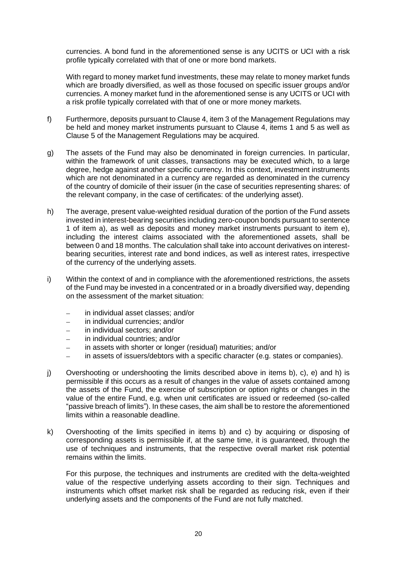currencies. A bond fund in the aforementioned sense is any UCITS or UCI with a risk profile typically correlated with that of one or more bond markets.

With regard to money market fund investments, these may relate to money market funds which are broadly diversified, as well as those focused on specific issuer groups and/or currencies. A money market fund in the aforementioned sense is any UCITS or UCI with a risk profile typically correlated with that of one or more money markets.

- f) Furthermore, deposits pursuant to Clause 4, item 3 of the Management Regulations may be held and money market instruments pursuant to Clause 4, items 1 and 5 as well as Clause 5 of the Management Regulations may be acquired.
- g) The assets of the Fund may also be denominated in foreign currencies. In particular, within the framework of unit classes, transactions may be executed which, to a large degree, hedge against another specific currency. In this context, investment instruments which are not denominated in a currency are regarded as denominated in the currency of the country of domicile of their issuer (in the case of securities representing shares: of the relevant company, in the case of certificates: of the underlying asset).
- h) The average, present value-weighted residual duration of the portion of the Fund assets invested in interest-bearing securities including zero-coupon bonds pursuant to sentence 1 of item a), as well as deposits and money market instruments pursuant to item e), including the interest claims associated with the aforementioned assets, shall be between 0 and 18 months. The calculation shall take into account derivatives on interestbearing securities, interest rate and bond indices, as well as interest rates, irrespective of the currency of the underlying assets.
- i) Within the context of and in compliance with the aforementioned restrictions, the assets of the Fund may be invested in a concentrated or in a broadly diversified way, depending on the assessment of the market situation:
	- − in individual asset classes; and/or
	- − in individual currencies; and/or
	- − in individual sectors; and/or
	- − in individual countries; and/or
	- in assets with shorter or longer (residual) maturities; and/or
	- − in assets of issuers/debtors with a specific character (e.g. states or companies).
- j) Overshooting or undershooting the limits described above in items b), c), e) and h) is permissible if this occurs as a result of changes in the value of assets contained among the assets of the Fund, the exercise of subscription or option rights or changes in the value of the entire Fund, e.g. when unit certificates are issued or redeemed (so-called "passive breach of limits"). In these cases, the aim shall be to restore the aforementioned limits within a reasonable deadline.
- k) Overshooting of the limits specified in items b) and c) by acquiring or disposing of corresponding assets is permissible if, at the same time, it is guaranteed, through the use of techniques and instruments, that the respective overall market risk potential remains within the limits.

For this purpose, the techniques and instruments are credited with the delta-weighted value of the respective underlying assets according to their sign. Techniques and instruments which offset market risk shall be regarded as reducing risk, even if their underlying assets and the components of the Fund are not fully matched.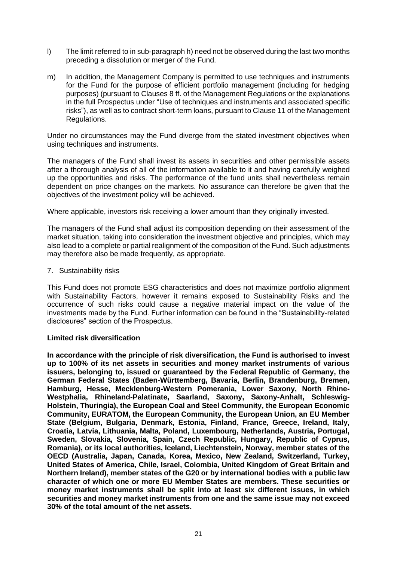- l) The limit referred to in sub-paragraph h) need not be observed during the last two months preceding a dissolution or merger of the Fund.
- m) In addition, the Management Company is permitted to use techniques and instruments for the Fund for the purpose of efficient portfolio management (including for hedging purposes) (pursuant to Clauses 8 ff. of the Management Regulations or the explanations in the full Prospectus under "Use of techniques and instruments and associated specific risks"), as well as to contract short-term loans, pursuant to Clause 11 of the Management Regulations.

Under no circumstances may the Fund diverge from the stated investment objectives when using techniques and instruments.

The managers of the Fund shall invest its assets in securities and other permissible assets after a thorough analysis of all of the information available to it and having carefully weighed up the opportunities and risks. The performance of the fund units shall nevertheless remain dependent on price changes on the markets. No assurance can therefore be given that the objectives of the investment policy will be achieved.

Where applicable, investors risk receiving a lower amount than they originally invested.

The managers of the Fund shall adjust its composition depending on their assessment of the market situation, taking into consideration the investment objective and principles, which may also lead to a complete or partial realignment of the composition of the Fund. Such adjustments may therefore also be made frequently, as appropriate.

7. Sustainability risks

This Fund does not promote ESG characteristics and does not maximize portfolio alignment with Sustainability Factors, however it remains exposed to Sustainability Risks and the occurrence of such risks could cause a negative material impact on the value of the investments made by the Fund. Further information can be found in the "Sustainability-related disclosures" section of the Prospectus.

# **Limited risk diversification**

**In accordance with the principle of risk diversification, the Fund is authorised to invest up to 100% of its net assets in securities and money market instruments of various issuers, belonging to, issued or guaranteed by the Federal Republic of Germany, the German Federal States (Baden-Württemberg, Bavaria, Berlin, Brandenburg, Bremen, Hamburg, Hesse, Mecklenburg-Western Pomerania, Lower Saxony, North Rhine-Westphalia, Rhineland-Palatinate, Saarland, Saxony, Saxony-Anhalt, Schleswig-Holstein, Thuringia), the European Coal and Steel Community, the European Economic Community, EURATOM, the European Community, the European Union, an EU Member State (Belgium, Bulgaria, Denmark, Estonia, Finland, France, Greece, Ireland, Italy, Croatia, Latvia, Lithuania, Malta, Poland, Luxembourg, Netherlands, Austria, Portugal, Sweden, Slovakia, Slovenia, Spain, Czech Republic, Hungary, Republic of Cyprus, Romania), or its local authorities, Iceland, Liechtenstein, Norway, member states of the OECD (Australia, Japan, Canada, Korea, Mexico, New Zealand, Switzerland, Turkey, United States of America, Chile, Israel, Colombia, United Kingdom of Great Britain and Northern Ireland), member states of the G20 or by international bodies with a public law character of which one or more EU Member States are members. These securities or money market instruments shall be split into at least six different issues, in which securities and money market instruments from one and the same issue may not exceed 30% of the total amount of the net assets.**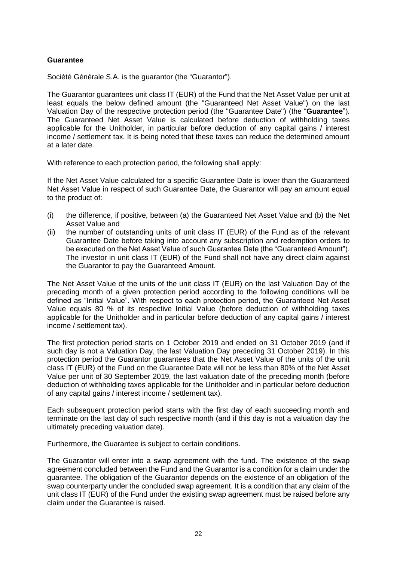# **Guarantee**

Société Générale S.A. is the guarantor (the "Guarantor").

The Guarantor guarantees unit class IT (EUR) of the Fund that the Net Asset Value per unit at least equals the below defined amount (the "Guaranteed Net Asset Value") on the last Valuation Day of the respective protection period (the "Guarantee Date") (the "**Guarantee**"). The Guaranteed Net Asset Value is calculated before deduction of withholding taxes applicable for the Unitholder, in particular before deduction of any capital gains / interest income / settlement tax. It is being noted that these taxes can reduce the determined amount at a later date.

With reference to each protection period, the following shall apply:

If the Net Asset Value calculated for a specific Guarantee Date is lower than the Guaranteed Net Asset Value in respect of such Guarantee Date, the Guarantor will pay an amount equal to the product of:

- (i) the difference, if positive, between (a) the Guaranteed Net Asset Value and (b) the Net Asset Value and
- (ii) the number of outstanding units of unit class IT (EUR) of the Fund as of the relevant Guarantee Date before taking into account any subscription and redemption orders to be executed on the Net Asset Value of such Guarantee Date (the "Guaranteed Amount"). The investor in unit class IT (EUR) of the Fund shall not have any direct claim against the Guarantor to pay the Guaranteed Amount.

The Net Asset Value of the units of the unit class IT (EUR) on the last Valuation Day of the preceding month of a given protection period according to the following conditions will be defined as "Initial Value". With respect to each protection period, the Guaranteed Net Asset Value equals 80 % of its respective Initial Value (before deduction of withholding taxes applicable for the Unitholder and in particular before deduction of any capital gains / interest income / settlement tax).

The first protection period starts on 1 October 2019 and ended on 31 October 2019 (and if such day is not a Valuation Day, the last Valuation Day preceding 31 October 2019). In this protection period the Guarantor guarantees that the Net Asset Value of the units of the unit class IT (EUR) of the Fund on the Guarantee Date will not be less than 80% of the Net Asset Value per unit of 30 September 2019, the last valuation date of the preceding month (before deduction of withholding taxes applicable for the Unitholder and in particular before deduction of any capital gains / interest income / settlement tax).

Each subsequent protection period starts with the first day of each succeeding month and terminate on the last day of such respective month (and if this day is not a valuation day the ultimately preceding valuation date).

Furthermore, the Guarantee is subject to certain conditions.

The Guarantor will enter into a swap agreement with the fund. The existence of the swap agreement concluded between the Fund and the Guarantor is a condition for a claim under the guarantee. The obligation of the Guarantor depends on the existence of an obligation of the swap counterparty under the concluded swap agreement. It is a condition that any claim of the unit class IT (EUR) of the Fund under the existing swap agreement must be raised before any claim under the Guarantee is raised.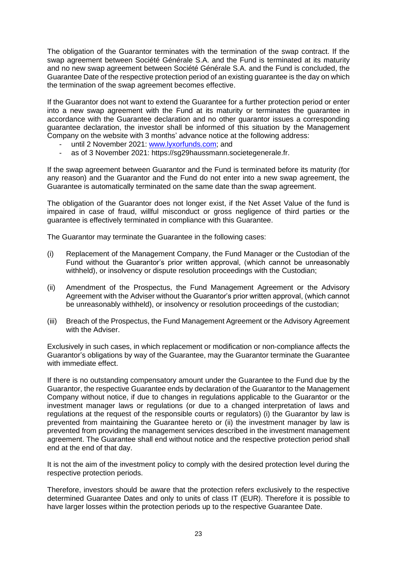The obligation of the Guarantor terminates with the termination of the swap contract. If the swap agreement between Société Générale S.A. and the Fund is terminated at its maturity and no new swap agreement between Société Générale S.A. and the Fund is concluded, the Guarantee Date of the respective protection period of an existing guarantee is the day on which the termination of the swap agreement becomes effective.

If the Guarantor does not want to extend the Guarantee for a further protection period or enter into a new swap agreement with the Fund at its maturity or terminates the guarantee in accordance with the Guarantee declaration and no other guarantor issues a corresponding guarantee declaration, the investor shall be informed of this situation by the Management Company on the website [with 3](http://www.lyxorfunds.com/) months' advance notice at the following address:

- until 2 November 2021: [www.lyxorfunds.com;](http://www.lyxorfunds.com/) and
- as of 3 November 2021: https://sg29haussmann.societegenerale.fr.

If the swap agreement between Guarantor and the Fund is terminated before its maturity (for any reason) and the Guarantor and the Fund do not enter into a new swap agreement, the Guarantee is automatically terminated on the same date than the swap agreement.

The obligation of the Guarantor does not longer exist, if the Net Asset Value of the fund is impaired in case of fraud, willful misconduct or gross negligence of third parties or the guarantee is effectively terminated in compliance with this Guarantee.

The Guarantor may terminate the Guarantee in the following cases:

- (i) Replacement of the Management Company, the Fund Manager or the Custodian of the Fund without the Guarantor's prior written approval, (which cannot be unreasonably withheld), or insolvency or dispute resolution proceedings with the Custodian;
- (ii) Amendment of the Prospectus, the Fund Management Agreement or the Advisory Agreement with the Adviser without the Guarantor's prior written approval, (which cannot be unreasonably withheld), or insolvency or resolution proceedings of the custodian;
- (iii) Breach of the Prospectus, the Fund Management Agreement or the Advisory Agreement with the Adviser.

Exclusively in such cases, in which replacement or modification or non-compliance affects the Guarantor's obligations by way of the Guarantee, may the Guarantor terminate the Guarantee with immediate effect.

If there is no outstanding compensatory amount under the Guarantee to the Fund due by the Guarantor, the respective Guarantee ends by declaration of the Guarantor to the Management Company without notice, if due to changes in regulations applicable to the Guarantor or the investment manager laws or regulations (or due to a changed interpretation of laws and regulations at the request of the responsible courts or regulators) (i) the Guarantor by law is prevented from maintaining the Guarantee hereto or (ii) the investment manager by law is prevented from providing the management services described in the investment management agreement. The Guarantee shall end without notice and the respective protection period shall end at the end of that day.

It is not the aim of the investment policy to comply with the desired protection level during the respective protection periods.

Therefore, investors should be aware that the protection refers exclusively to the respective determined Guarantee Dates and only to units of class IT (EUR). Therefore it is possible to have larger losses within the protection periods up to the respective Guarantee Date.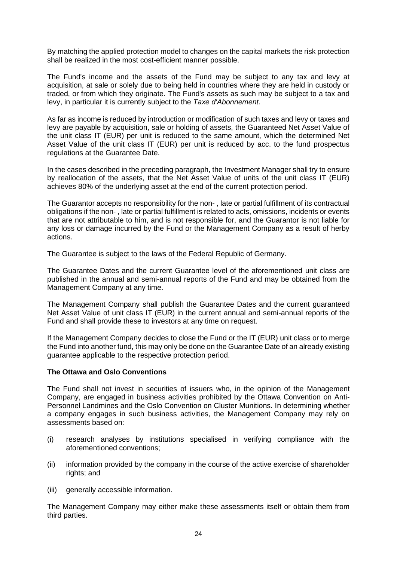By matching the applied protection model to changes on the capital markets the risk protection shall be realized in the most cost-efficient manner possible.

The Fund's income and the assets of the Fund may be subject to any tax and levy at acquisition, at sale or solely due to being held in countries where they are held in custody or traded, or from which they originate. The Fund's assets as such may be subject to a tax and levy, in particular it is currently subject to the *Taxe d'Abonnement*.

As far as income is reduced by introduction or modification of such taxes and levy or taxes and levy are payable by acquisition, sale or holding of assets, the Guaranteed Net Asset Value of the unit class IT (EUR) per unit is reduced to the same amount, which the determined Net Asset Value of the unit class IT (EUR) per unit is reduced by acc. to the fund prospectus regulations at the Guarantee Date.

In the cases described in the preceding paragraph, the Investment Manager shall try to ensure by reallocation of the assets, that the Net Asset Value of units of the unit class IT (EUR) achieves 80% of the underlying asset at the end of the current protection period.

The Guarantor accepts no responsibility for the non- , late or partial fulfillment of its contractual obligations if the non- , late or partial fulfillment is related to acts, omissions, incidents or events that are not attributable to him, and is not responsible for, and the Guarantor is not liable for any loss or damage incurred by the Fund or the Management Company as a result of herby actions.

The Guarantee is subject to the laws of the Federal Republic of Germany.

The Guarantee Dates and the current Guarantee level of the aforementioned unit class are published in the annual and semi-annual reports of the Fund and may be obtained from the Management Company at any time.

The Management Company shall publish the Guarantee Dates and the current guaranteed Net Asset Value of unit class IT (EUR) in the current annual and semi-annual reports of the Fund and shall provide these to investors at any time on request.

If the Management Company decides to close the Fund or the IT (EUR) unit class or to merge the Fund into another fund, this may only be done on the Guarantee Date of an already existing guarantee applicable to the respective protection period.

# **The Ottawa and Oslo Conventions**

The Fund shall not invest in securities of issuers who, in the opinion of the Management Company, are engaged in business activities prohibited by the Ottawa Convention on Anti-Personnel Landmines and the Oslo Convention on Cluster Munitions. In determining whether a company engages in such business activities, the Management Company may rely on assessments based on:

- (i) research analyses by institutions specialised in verifying compliance with the aforementioned conventions;
- (ii) information provided by the company in the course of the active exercise of shareholder rights; and
- (iii) generally accessible information.

The Management Company may either make these assessments itself or obtain them from third parties.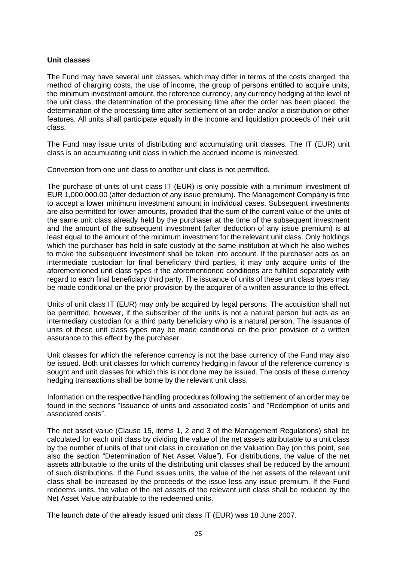## **Unit classes**

The Fund may have several unit classes, which may differ in terms of the costs charged, the method of charging costs, the use of income, the group of persons entitled to acquire units, the minimum investment amount, the reference currency, any currency hedging at the level of the unit class, the determination of the processing time after the order has been placed, the determination of the processing time after settlement of an order and/or a distribution or other features. All units shall participate equally in the income and liquidation proceeds of their unit class.

The Fund may issue units of distributing and accumulating unit classes. The IT (EUR) unit class is an accumulating unit class in which the accrued income is reinvested.

Conversion from one unit class to another unit class is not permitted.

The purchase of units of unit class IT (EUR) is only possible with a minimum investment of EUR 1,000,000.00 (after deduction of any issue premium). The Management Company is free to accept a lower minimum investment amount in individual cases. Subsequent investments are also permitted for lower amounts, provided that the sum of the current value of the units of the same unit class already held by the purchaser at the time of the subsequent investment and the amount of the subsequent investment (after deduction of any issue premium) is at least equal to the amount of the minimum investment for the relevant unit class. Only holdings which the purchaser has held in safe custody at the same institution at which he also wishes to make the subsequent investment shall be taken into account. If the purchaser acts as an intermediate custodian for final beneficiary third parties, it may only acquire units of the aforementioned unit class types if the aforementioned conditions are fulfilled separately with regard to each final beneficiary third party. The issuance of units of these unit class types may be made conditional on the prior provision by the acquirer of a written assurance to this effect.

Units of unit class IT (EUR) may only be acquired by legal persons. The acquisition shall not be permitted, however, if the subscriber of the units is not a natural person but acts as an intermediary custodian for a third party beneficiary who is a natural person. The issuance of units of these unit class types may be made conditional on the prior provision of a written assurance to this effect by the purchaser.

Unit classes for which the reference currency is not the base currency of the Fund may also be issued. Both unit classes for which currency hedging in favour of the reference currency is sought and unit classes for which this is not done may be issued. The costs of these currency hedging transactions shall be borne by the relevant unit class.

Information on the respective handling procedures following the settlement of an order may be found in the sections "Issuance of units and associated costs" and "Redemption of units and associated costs".

The net asset value (Clause 15, items 1, 2 and 3 of the Management Regulations) shall be calculated for each unit class by dividing the value of the net assets attributable to a unit class by the number of units of that unit class in circulation on the Valuation Day (on this point, see also the section "Determination of Net Asset Value"). For distributions, the value of the net assets attributable to the units of the distributing unit classes shall be reduced by the amount of such distributions. If the Fund issues units, the value of the net assets of the relevant unit class shall be increased by the proceeds of the issue less any issue premium. If the Fund redeems units, the value of the net assets of the relevant unit class shall be reduced by the Net Asset Value attributable to the redeemed units.

The launch date of the already issued unit class IT (EUR) was 18 June 2007.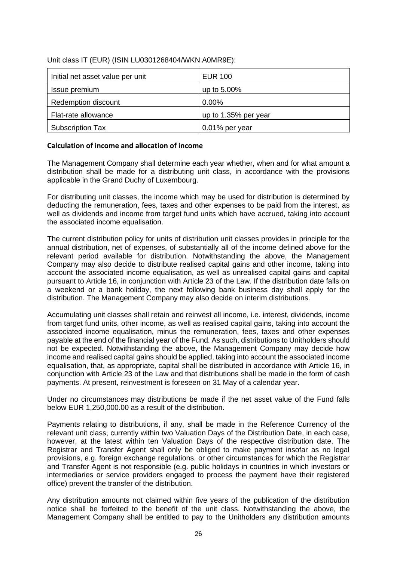| Initial net asset value per unit | <b>EUR 100</b>       |
|----------------------------------|----------------------|
| Issue premium                    | up to 5.00%          |
| Redemption discount              | $0.00\%$             |
| Flat-rate allowance              | up to 1.35% per year |
| <b>Subscription Tax</b>          | $0.01\%$ per year    |

Unit class IT (EUR) (ISIN LU0301268404/WKN A0MR9E):

# **Calculation of income and allocation of income**

The Management Company shall determine each year whether, when and for what amount a distribution shall be made for a distributing unit class, in accordance with the provisions applicable in the Grand Duchy of Luxembourg.

For distributing unit classes, the income which may be used for distribution is determined by deducting the remuneration, fees, taxes and other expenses to be paid from the interest, as well as dividends and income from target fund units which have accrued, taking into account the associated income equalisation.

The current distribution policy for units of distribution unit classes provides in principle for the annual distribution, net of expenses, of substantially all of the income defined above for the relevant period available for distribution. Notwithstanding the above, the Management Company may also decide to distribute realised capital gains and other income, taking into account the associated income equalisation, as well as unrealised capital gains and capital pursuant to Article 16, in conjunction with Article 23 of the Law. If the distribution date falls on a weekend or a bank holiday, the next following bank business day shall apply for the distribution. The Management Company may also decide on interim distributions.

Accumulating unit classes shall retain and reinvest all income, i.e. interest, dividends, income from target fund units, other income, as well as realised capital gains, taking into account the associated income equalisation, minus the remuneration, fees, taxes and other expenses payable at the end of the financial year of the Fund. As such, distributions to Unitholders should not be expected. Notwithstanding the above, the Management Company may decide how income and realised capital gains should be applied, taking into account the associated income equalisation, that, as appropriate, capital shall be distributed in accordance with Article 16, in conjunction with Article 23 of the Law and that distributions shall be made in the form of cash payments. At present, reinvestment is foreseen on 31 May of a calendar year.

Under no circumstances may distributions be made if the net asset value of the Fund falls below EUR 1,250,000.00 as a result of the distribution.

Payments relating to distributions, if any, shall be made in the Reference Currency of the relevant unit class, currently within two Valuation Days of the Distribution Date, in each case, however, at the latest within ten Valuation Days of the respective distribution date. The Registrar and Transfer Agent shall only be obliged to make payment insofar as no legal provisions, e.g. foreign exchange regulations, or other circumstances for which the Registrar and Transfer Agent is not responsible (e.g. public holidays in countries in which investors or intermediaries or service providers engaged to process the payment have their registered office) prevent the transfer of the distribution.

Any distribution amounts not claimed within five years of the publication of the distribution notice shall be forfeited to the benefit of the unit class. Notwithstanding the above, the Management Company shall be entitled to pay to the Unitholders any distribution amounts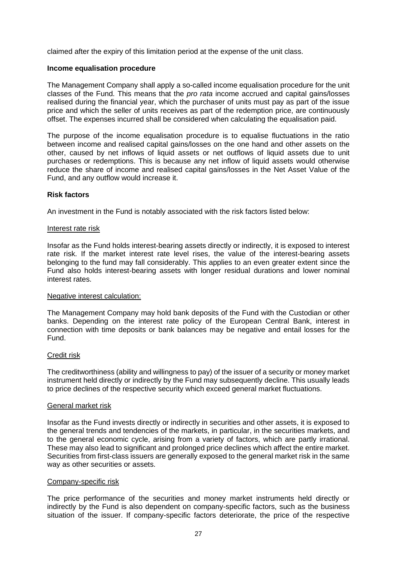claimed after the expiry of this limitation period at the expense of the unit class.

### **Income equalisation procedure**

The Management Company shall apply a so-called income equalisation procedure for the unit classes of the Fund. This means that the *pro rata* income accrued and capital gains/losses realised during the financial year, which the purchaser of units must pay as part of the issue price and which the seller of units receives as part of the redemption price, are continuously offset. The expenses incurred shall be considered when calculating the equalisation paid.

The purpose of the income equalisation procedure is to equalise fluctuations in the ratio between income and realised capital gains/losses on the one hand and other assets on the other, caused by net inflows of liquid assets or net outflows of liquid assets due to unit purchases or redemptions. This is because any net inflow of liquid assets would otherwise reduce the share of income and realised capital gains/losses in the Net Asset Value of the Fund, and any outflow would increase it.

### **Risk factors**

An investment in the Fund is notably associated with the risk factors listed below:

#### Interest rate risk

Insofar as the Fund holds interest-bearing assets directly or indirectly, it is exposed to interest rate risk. If the market interest rate level rises, the value of the interest-bearing assets belonging to the fund may fall considerably. This applies to an even greater extent since the Fund also holds interest-bearing assets with longer residual durations and lower nominal interest rates.

#### Negative interest calculation:

The Management Company may hold bank deposits of the Fund with the Custodian or other banks. Depending on the interest rate policy of the European Central Bank, interest in connection with time deposits or bank balances may be negative and entail losses for the Fund.

#### Credit risk

The creditworthiness (ability and willingness to pay) of the issuer of a security or money market instrument held directly or indirectly by the Fund may subsequently decline. This usually leads to price declines of the respective security which exceed general market fluctuations.

#### General market risk

Insofar as the Fund invests directly or indirectly in securities and other assets, it is exposed to the general trends and tendencies of the markets, in particular, in the securities markets, and to the general economic cycle, arising from a variety of factors, which are partly irrational. These may also lead to significant and prolonged price declines which affect the entire market. Securities from first-class issuers are generally exposed to the general market risk in the same way as other securities or assets.

#### Company-specific risk

The price performance of the securities and money market instruments held directly or indirectly by the Fund is also dependent on company-specific factors, such as the business situation of the issuer. If company-specific factors deteriorate, the price of the respective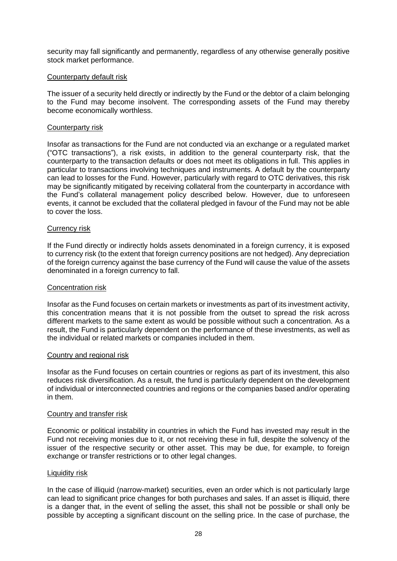security may fall significantly and permanently, regardless of any otherwise generally positive stock market performance.

### Counterparty default risk

The issuer of a security held directly or indirectly by the Fund or the debtor of a claim belonging to the Fund may become insolvent. The corresponding assets of the Fund may thereby become economically worthless.

### Counterparty risk

Insofar as transactions for the Fund are not conducted via an exchange or a regulated market ("OTC transactions"), a risk exists, in addition to the general counterparty risk, that the counterparty to the transaction defaults or does not meet its obligations in full. This applies in particular to transactions involving techniques and instruments. A default by the counterparty can lead to losses for the Fund. However, particularly with regard to OTC derivatives, this risk may be significantly mitigated by receiving collateral from the counterparty in accordance with the Fund's collateral management policy described below. However, due to unforeseen events, it cannot be excluded that the collateral pledged in favour of the Fund may not be able to cover the loss.

### Currency risk

If the Fund directly or indirectly holds assets denominated in a foreign currency, it is exposed to currency risk (to the extent that foreign currency positions are not hedged). Any depreciation of the foreign currency against the base currency of the Fund will cause the value of the assets denominated in a foreign currency to fall.

#### Concentration risk

Insofar as the Fund focuses on certain markets or investments as part of its investment activity, this concentration means that it is not possible from the outset to spread the risk across different markets to the same extent as would be possible without such a concentration. As a result, the Fund is particularly dependent on the performance of these investments, as well as the individual or related markets or companies included in them.

#### Country and regional risk

Insofar as the Fund focuses on certain countries or regions as part of its investment, this also reduces risk diversification. As a result, the fund is particularly dependent on the development of individual or interconnected countries and regions or the companies based and/or operating in them.

#### Country and transfer risk

Economic or political instability in countries in which the Fund has invested may result in the Fund not receiving monies due to it, or not receiving these in full, despite the solvency of the issuer of the respective security or other asset. This may be due, for example, to foreign exchange or transfer restrictions or to other legal changes.

#### Liquidity risk

In the case of illiquid (narrow-market) securities, even an order which is not particularly large can lead to significant price changes for both purchases and sales. If an asset is illiquid, there is a danger that, in the event of selling the asset, this shall not be possible or shall only be possible by accepting a significant discount on the selling price. In the case of purchase, the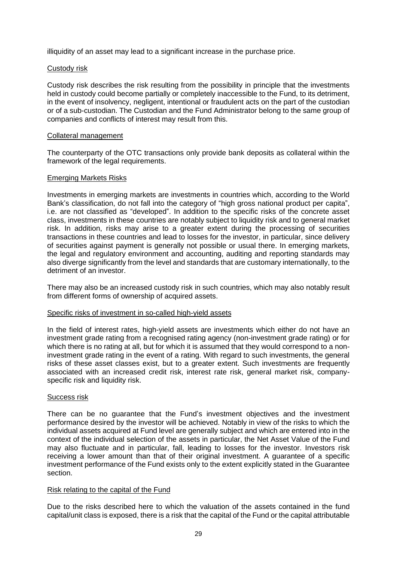illiquidity of an asset may lead to a significant increase in the purchase price.

### Custody risk

Custody risk describes the risk resulting from the possibility in principle that the investments held in custody could become partially or completely inaccessible to the Fund, to its detriment, in the event of insolvency, negligent, intentional or fraudulent acts on the part of the custodian or of a sub-custodian. The Custodian and the Fund Administrator belong to the same group of companies and conflicts of interest may result from this.

#### Collateral management

The counterparty of the OTC transactions only provide bank deposits as collateral within the framework of the legal requirements.

# Emerging Markets Risks

Investments in emerging markets are investments in countries which, according to the World Bank's classification, do not fall into the category of "high gross national product per capita", i.e. are not classified as "developed". In addition to the specific risks of the concrete asset class, investments in these countries are notably subject to liquidity risk and to general market risk. In addition, risks may arise to a greater extent during the processing of securities transactions in these countries and lead to losses for the investor, in particular, since delivery of securities against payment is generally not possible or usual there. In emerging markets, the legal and regulatory environment and accounting, auditing and reporting standards may also diverge significantly from the level and standards that are customary internationally, to the detriment of an investor.

There may also be an increased custody risk in such countries, which may also notably result from different forms of ownership of acquired assets.

#### Specific risks of investment in so-called high-yield assets

In the field of interest rates, high-yield assets are investments which either do not have an investment grade rating from a recognised rating agency (non-investment grade rating) or for which there is no rating at all, but for which it is assumed that they would correspond to a noninvestment grade rating in the event of a rating. With regard to such investments, the general risks of these asset classes exist, but to a greater extent. Such investments are frequently associated with an increased credit risk, interest rate risk, general market risk, companyspecific risk and liquidity risk.

#### Success risk

There can be no guarantee that the Fund's investment objectives and the investment performance desired by the investor will be achieved. Notably in view of the risks to which the individual assets acquired at Fund level are generally subject and which are entered into in the context of the individual selection of the assets in particular, the Net Asset Value of the Fund may also fluctuate and in particular, fall, leading to losses for the investor. Investors risk receiving a lower amount than that of their original investment. A guarantee of a specific investment performance of the Fund exists only to the extent explicitly stated in the Guarantee section.

#### Risk relating to the capital of the Fund

Due to the risks described here to which the valuation of the assets contained in the fund capital/unit class is exposed, there is a risk that the capital of the Fund or the capital attributable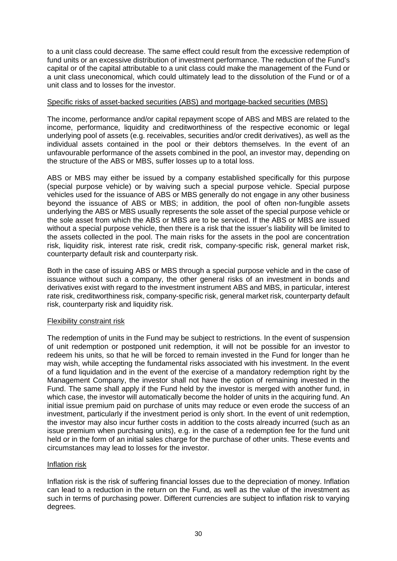to a unit class could decrease. The same effect could result from the excessive redemption of fund units or an excessive distribution of investment performance. The reduction of the Fund's capital or of the capital attributable to a unit class could make the management of the Fund or a unit class uneconomical, which could ultimately lead to the dissolution of the Fund or of a unit class and to losses for the investor.

# Specific risks of asset-backed securities (ABS) and mortgage-backed securities (MBS)

The income, performance and/or capital repayment scope of ABS and MBS are related to the income, performance, liquidity and creditworthiness of the respective economic or legal underlying pool of assets (e.g. receivables, securities and/or credit derivatives), as well as the individual assets contained in the pool or their debtors themselves. In the event of an unfavourable performance of the assets combined in the pool, an investor may, depending on the structure of the ABS or MBS, suffer losses up to a total loss.

ABS or MBS may either be issued by a company established specifically for this purpose (special purpose vehicle) or by waiving such a special purpose vehicle. Special purpose vehicles used for the issuance of ABS or MBS generally do not engage in any other business beyond the issuance of ABS or MBS; in addition, the pool of often non-fungible assets underlying the ABS or MBS usually represents the sole asset of the special purpose vehicle or the sole asset from which the ABS or MBS are to be serviced. If the ABS or MBS are issued without a special purpose vehicle, then there is a risk that the issuer's liability will be limited to the assets collected in the pool. The main risks for the assets in the pool are concentration risk, liquidity risk, interest rate risk, credit risk, company-specific risk, general market risk, counterparty default risk and counterparty risk.

Both in the case of issuing ABS or MBS through a special purpose vehicle and in the case of issuance without such a company, the other general risks of an investment in bonds and derivatives exist with regard to the investment instrument ABS and MBS, in particular, interest rate risk, creditworthiness risk, company-specific risk, general market risk, counterparty default risk, counterparty risk and liquidity risk.

# Flexibility constraint risk

The redemption of units in the Fund may be subject to restrictions. In the event of suspension of unit redemption or postponed unit redemption, it will not be possible for an investor to redeem his units, so that he will be forced to remain invested in the Fund for longer than he may wish, while accepting the fundamental risks associated with his investment. In the event of a fund liquidation and in the event of the exercise of a mandatory redemption right by the Management Company, the investor shall not have the option of remaining invested in the Fund. The same shall apply if the Fund held by the investor is merged with another fund, in which case, the investor will automatically become the holder of units in the acquiring fund. An initial issue premium paid on purchase of units may reduce or even erode the success of an investment, particularly if the investment period is only short. In the event of unit redemption, the investor may also incur further costs in addition to the costs already incurred (such as an issue premium when purchasing units), e.g. in the case of a redemption fee for the fund unit held or in the form of an initial sales charge for the purchase of other units. These events and circumstances may lead to losses for the investor.

# Inflation risk

Inflation risk is the risk of suffering financial losses due to the depreciation of money. Inflation can lead to a reduction in the return on the Fund, as well as the value of the investment as such in terms of purchasing power. Different currencies are subject to inflation risk to varying degrees.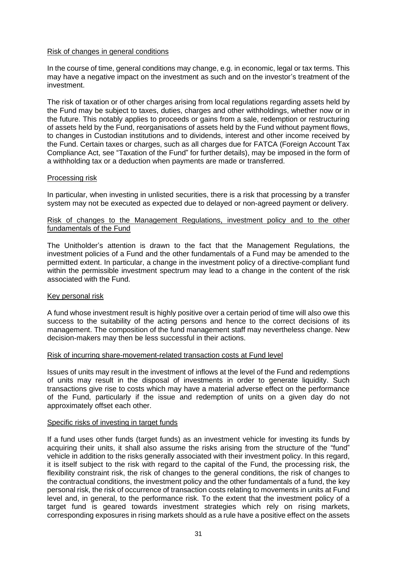### Risk of changes in general conditions

In the course of time, general conditions may change, e.g. in economic, legal or tax terms. This may have a negative impact on the investment as such and on the investor's treatment of the investment.

The risk of taxation or of other charges arising from local regulations regarding assets held by the Fund may be subject to taxes, duties, charges and other withholdings, whether now or in the future. This notably applies to proceeds or gains from a sale, redemption or restructuring of assets held by the Fund, reorganisations of assets held by the Fund without payment flows, to changes in Custodian institutions and to dividends, interest and other income received by the Fund. Certain taxes or charges, such as all charges due for FATCA (Foreign Account Tax Compliance Act, see "Taxation of the Fund" for further details), may be imposed in the form of a withholding tax or a deduction when payments are made or transferred.

# Processing risk

In particular, when investing in unlisted securities, there is a risk that processing by a transfer system may not be executed as expected due to delayed or non-agreed payment or delivery.

### Risk of changes to the Management Regulations, investment policy and to the other fundamentals of the Fund

The Unitholder's attention is drawn to the fact that the Management Regulations, the investment policies of a Fund and the other fundamentals of a Fund may be amended to the permitted extent. In particular, a change in the investment policy of a directive-compliant fund within the permissible investment spectrum may lead to a change in the content of the risk associated with the Fund.

#### Key personal risk

A fund whose investment result is highly positive over a certain period of time will also owe this success to the suitability of the acting persons and hence to the correct decisions of its management. The composition of the fund management staff may nevertheless change. New decision-makers may then be less successful in their actions.

#### Risk of incurring share-movement-related transaction costs at Fund level

Issues of units may result in the investment of inflows at the level of the Fund and redemptions of units may result in the disposal of investments in order to generate liquidity. Such transactions give rise to costs which may have a material adverse effect on the performance of the Fund, particularly if the issue and redemption of units on a given day do not approximately offset each other.

#### Specific risks of investing in target funds

If a fund uses other funds (target funds) as an investment vehicle for investing its funds by acquiring their units, it shall also assume the risks arising from the structure of the "fund" vehicle in addition to the risks generally associated with their investment policy. In this regard, it is itself subject to the risk with regard to the capital of the Fund, the processing risk, the flexibility constraint risk, the risk of changes to the general conditions, the risk of changes to the contractual conditions, the investment policy and the other fundamentals of a fund, the key personal risk, the risk of occurrence of transaction costs relating to movements in units at Fund level and, in general, to the performance risk. To the extent that the investment policy of a target fund is geared towards investment strategies which rely on rising markets, corresponding exposures in rising markets should as a rule have a positive effect on the assets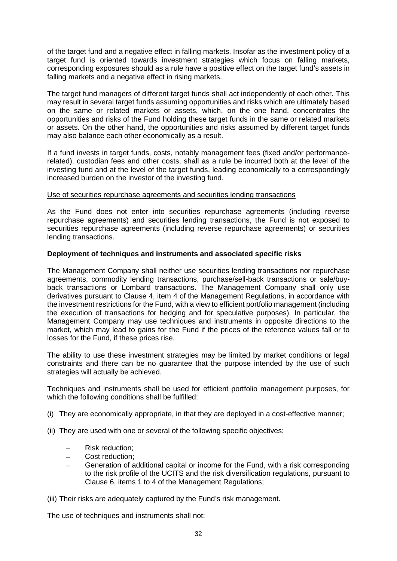of the target fund and a negative effect in falling markets. Insofar as the investment policy of a target fund is oriented towards investment strategies which focus on falling markets, corresponding exposures should as a rule have a positive effect on the target fund's assets in falling markets and a negative effect in rising markets.

The target fund managers of different target funds shall act independently of each other. This may result in several target funds assuming opportunities and risks which are ultimately based on the same or related markets or assets, which, on the one hand, concentrates the opportunities and risks of the Fund holding these target funds in the same or related markets or assets. On the other hand, the opportunities and risks assumed by different target funds may also balance each other economically as a result.

If a fund invests in target funds, costs, notably management fees (fixed and/or performancerelated), custodian fees and other costs, shall as a rule be incurred both at the level of the investing fund and at the level of the target funds, leading economically to a correspondingly increased burden on the investor of the investing fund.

### Use of securities repurchase agreements and securities lending transactions

As the Fund does not enter into securities repurchase agreements (including reverse repurchase agreements) and securities lending transactions, the Fund is not exposed to securities repurchase agreements (including reverse repurchase agreements) or securities lending transactions.

# **Deployment of techniques and instruments and associated specific risks**

The Management Company shall neither use securities lending transactions nor repurchase agreements, commodity lending transactions, purchase/sell-back transactions or sale/buyback transactions or Lombard transactions. The Management Company shall only use derivatives pursuant to Clause 4, item 4 of the Management Regulations, in accordance with the investment restrictions for the Fund, with a view to efficient portfolio management (including the execution of transactions for hedging and for speculative purposes). In particular, the Management Company may use techniques and instruments in opposite directions to the market, which may lead to gains for the Fund if the prices of the reference values fall or to losses for the Fund, if these prices rise.

The ability to use these investment strategies may be limited by market conditions or legal constraints and there can be no guarantee that the purpose intended by the use of such strategies will actually be achieved.

Techniques and instruments shall be used for efficient portfolio management purposes, for which the following conditions shall be fulfilled:

- (i) They are economically appropriate, in that they are deployed in a cost-effective manner;
- (ii) They are used with one or several of the following specific objectives:
	- − Risk reduction;
	- − Cost reduction;
	- Generation of additional capital or income for the Fund, with a risk corresponding to the risk profile of the UCITS and the risk diversification regulations, pursuant to Clause 6, items 1 to 4 of the Management Regulations;
- (iii) Their risks are adequately captured by the Fund's risk management.

The use of techniques and instruments shall not: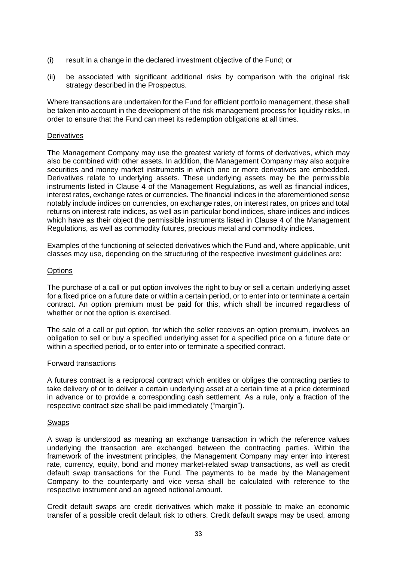- (i) result in a change in the declared investment objective of the Fund; or
- (ii) be associated with significant additional risks by comparison with the original risk strategy described in the Prospectus.

Where transactions are undertaken for the Fund for efficient portfolio management, these shall be taken into account in the development of the risk management process for liquidity risks, in order to ensure that the Fund can meet its redemption obligations at all times.

### **Derivatives**

The Management Company may use the greatest variety of forms of derivatives, which may also be combined with other assets. In addition, the Management Company may also acquire securities and money market instruments in which one or more derivatives are embedded. Derivatives relate to underlying assets. These underlying assets may be the permissible instruments listed in Clause 4 of the Management Regulations, as well as financial indices, interest rates, exchange rates or currencies. The financial indices in the aforementioned sense notably include indices on currencies, on exchange rates, on interest rates, on prices and total returns on interest rate indices, as well as in particular bond indices, share indices and indices which have as their object the permissible instruments listed in Clause 4 of the Management Regulations, as well as commodity futures, precious metal and commodity indices.

Examples of the functioning of selected derivatives which the Fund and, where applicable, unit classes may use, depending on the structuring of the respective investment guidelines are:

### **Options**

The purchase of a call or put option involves the right to buy or sell a certain underlying asset for a fixed price on a future date or within a certain period, or to enter into or terminate a certain contract. An option premium must be paid for this, which shall be incurred regardless of whether or not the option is exercised.

The sale of a call or put option, for which the seller receives an option premium, involves an obligation to sell or buy a specified underlying asset for a specified price on a future date or within a specified period, or to enter into or terminate a specified contract.

#### Forward transactions

A futures contract is a reciprocal contract which entitles or obliges the contracting parties to take delivery of or to deliver a certain underlying asset at a certain time at a price determined in advance or to provide a corresponding cash settlement. As a rule, only a fraction of the respective contract size shall be paid immediately ("margin").

#### Swaps

A swap is understood as meaning an exchange transaction in which the reference values underlying the transaction are exchanged between the contracting parties. Within the framework of the investment principles, the Management Company may enter into interest rate, currency, equity, bond and money market-related swap transactions, as well as credit default swap transactions for the Fund. The payments to be made by the Management Company to the counterparty and vice versa shall be calculated with reference to the respective instrument and an agreed notional amount.

Credit default swaps are credit derivatives which make it possible to make an economic transfer of a possible credit default risk to others. Credit default swaps may be used, among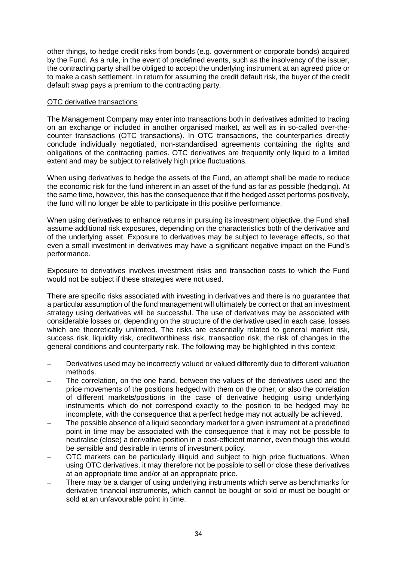other things, to hedge credit risks from bonds (e.g. government or corporate bonds) acquired by the Fund. As a rule, in the event of predefined events, such as the insolvency of the issuer, the contracting party shall be obliged to accept the underlying instrument at an agreed price or to make a cash settlement. In return for assuming the credit default risk, the buyer of the credit default swap pays a premium to the contracting party.

# OTC derivative transactions

The Management Company may enter into transactions both in derivatives admitted to trading on an exchange or included in another organised market, as well as in so-called over-thecounter transactions (OTC transactions). In OTC transactions, the counterparties directly conclude individually negotiated, non-standardised agreements containing the rights and obligations of the contracting parties. OTC derivatives are frequently only liquid to a limited extent and may be subject to relatively high price fluctuations.

When using derivatives to hedge the assets of the Fund, an attempt shall be made to reduce the economic risk for the fund inherent in an asset of the fund as far as possible (hedging). At the same time, however, this has the consequence that if the hedged asset performs positively, the fund will no longer be able to participate in this positive performance.

When using derivatives to enhance returns in pursuing its investment objective, the Fund shall assume additional risk exposures, depending on the characteristics both of the derivative and of the underlying asset. Exposure to derivatives may be subject to leverage effects, so that even a small investment in derivatives may have a significant negative impact on the Fund's performance.

Exposure to derivatives involves investment risks and transaction costs to which the Fund would not be subject if these strategies were not used.

There are specific risks associated with investing in derivatives and there is no guarantee that a particular assumption of the fund management will ultimately be correct or that an investment strategy using derivatives will be successful. The use of derivatives may be associated with considerable losses or, depending on the structure of the derivative used in each case, losses which are theoretically unlimited. The risks are essentially related to general market risk, success risk, liquidity risk, creditworthiness risk, transaction risk, the risk of changes in the general conditions and counterparty risk. The following may be highlighted in this context:

- Derivatives used may be incorrectly valued or valued differently due to different valuation methods.
- The correlation, on the one hand, between the values of the derivatives used and the price movements of the positions hedged with them on the other, or also the correlation of different markets/positions in the case of derivative hedging using underlying instruments which do not correspond exactly to the position to be hedged may be incomplete, with the consequence that a perfect hedge may not actually be achieved.
- The possible absence of a liquid secondary market for a given instrument at a predefined point in time may be associated with the consequence that it may not be possible to neutralise (close) a derivative position in a cost-efficient manner, even though this would be sensible and desirable in terms of investment policy.
- OTC markets can be particularly illiquid and subject to high price fluctuations. When using OTC derivatives, it may therefore not be possible to sell or close these derivatives at an appropriate time and/or at an appropriate price.
- There may be a danger of using underlying instruments which serve as benchmarks for derivative financial instruments, which cannot be bought or sold or must be bought or sold at an unfavourable point in time.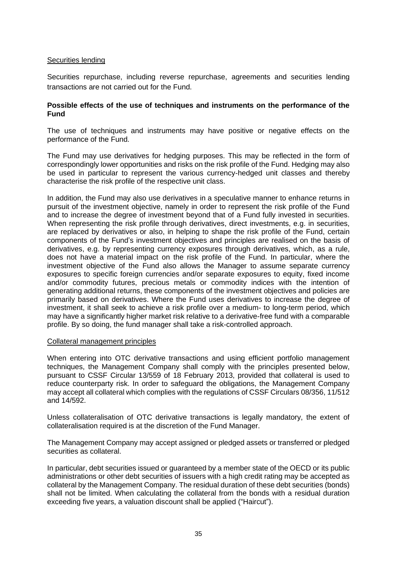## Securities lending

Securities repurchase, including reverse repurchase, agreements and securities lending transactions are not carried out for the Fund.

## **Possible effects of the use of techniques and instruments on the performance of the Fund**

The use of techniques and instruments may have positive or negative effects on the performance of the Fund.

The Fund may use derivatives for hedging purposes. This may be reflected in the form of correspondingly lower opportunities and risks on the risk profile of the Fund. Hedging may also be used in particular to represent the various currency-hedged unit classes and thereby characterise the risk profile of the respective unit class.

In addition, the Fund may also use derivatives in a speculative manner to enhance returns in pursuit of the investment objective, namely in order to represent the risk profile of the Fund and to increase the degree of investment beyond that of a Fund fully invested in securities. When representing the risk profile through derivatives, direct investments, e.g. in securities, are replaced by derivatives or also, in helping to shape the risk profile of the Fund, certain components of the Fund's investment objectives and principles are realised on the basis of derivatives, e.g. by representing currency exposures through derivatives, which, as a rule, does not have a material impact on the risk profile of the Fund. In particular, where the investment objective of the Fund also allows the Manager to assume separate currency exposures to specific foreign currencies and/or separate exposures to equity, fixed income and/or commodity futures, precious metals or commodity indices with the intention of generating additional returns, these components of the investment objectives and policies are primarily based on derivatives. Where the Fund uses derivatives to increase the degree of investment, it shall seek to achieve a risk profile over a medium- to long-term period, which may have a significantly higher market risk relative to a derivative-free fund with a comparable profile. By so doing, the fund manager shall take a risk-controlled approach.

#### Collateral management principles

When entering into OTC derivative transactions and using efficient portfolio management techniques, the Management Company shall comply with the principles presented below, pursuant to CSSF Circular 13/559 of 18 February 2013, provided that collateral is used to reduce counterparty risk. In order to safeguard the obligations, the Management Company may accept all collateral which complies with the regulations of CSSF Circulars 08/356, 11/512 and 14/592.

Unless collateralisation of OTC derivative transactions is legally mandatory, the extent of collateralisation required is at the discretion of the Fund Manager.

The Management Company may accept assigned or pledged assets or transferred or pledged securities as collateral.

In particular, debt securities issued or guaranteed by a member state of the OECD or its public administrations or other debt securities of issuers with a high credit rating may be accepted as collateral by the Management Company. The residual duration of these debt securities (bonds) shall not be limited. When calculating the collateral from the bonds with a residual duration exceeding five years, a valuation discount shall be applied ("Haircut").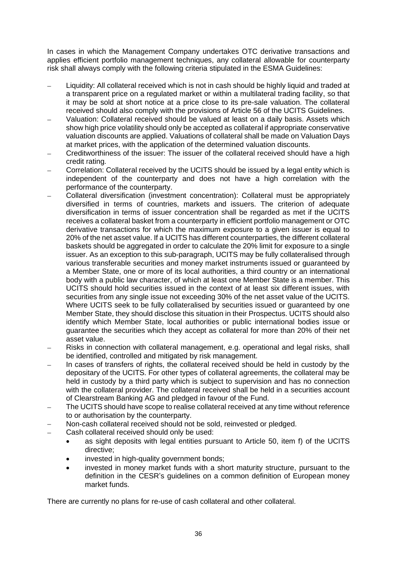In cases in which the Management Company undertakes OTC derivative transactions and applies efficient portfolio management techniques, any collateral allowable for counterparty risk shall always comply with the following criteria stipulated in the ESMA Guidelines:

- Liquidity: All collateral received which is not in cash should be highly liquid and traded at a transparent price on a regulated market or within a multilateral trading facility, so that it may be sold at short notice at a price close to its pre-sale valuation. The collateral received should also comply with the provisions of Article 56 of the UCITS Guidelines.
- − Valuation: Collateral received should be valued at least on a daily basis. Assets which show high price volatility should only be accepted as collateral if appropriate conservative valuation discounts are applied. Valuations of collateral shall be made on Valuation Days at market prices, with the application of the determined valuation discounts.
- − Creditworthiness of the issuer: The issuer of the collateral received should have a high credit rating.
- − Correlation: Collateral received by the UCITS should be issued by a legal entity which is independent of the counterparty and does not have a high correlation with the performance of the counterparty.
- − Collateral diversification (investment concentration): Collateral must be appropriately diversified in terms of countries, markets and issuers. The criterion of adequate diversification in terms of issuer concentration shall be regarded as met if the UCITS receives a collateral basket from a counterparty in efficient portfolio management or OTC derivative transactions for which the maximum exposure to a given issuer is equal to 20% of the net asset value. If a UCITS has different counterparties, the different collateral baskets should be aggregated in order to calculate the 20% limit for exposure to a single issuer. As an exception to this sub-paragraph, UCITS may be fully collateralised through various transferable securities and money market instruments issued or guaranteed by a Member State, one or more of its local authorities, a third country or an international body with a public law character, of which at least one Member State is a member. This UCITS should hold securities issued in the context of at least six different issues, with securities from any single issue not exceeding 30% of the net asset value of the UCITS. Where UCITS seek to be fully collateralised by securities issued or guaranteed by one Member State, they should disclose this situation in their Prospectus. UCITS should also identify which Member State, local authorities or public international bodies issue or guarantee the securities which they accept as collateral for more than 20% of their net asset value.
- − Risks in connection with collateral management, e.g. operational and legal risks, shall be identified, controlled and mitigated by risk management.
- − In cases of transfers of rights, the collateral received should be held in custody by the depositary of the UCITS. For other types of collateral agreements, the collateral may be held in custody by a third party which is subject to supervision and has no connection with the collateral provider. The collateral received shall be held in a securities account of Clearstream Banking AG and pledged in favour of the Fund.
- The UCITS should have scope to realise collateral received at any time without reference to or authorisation by the counterparty.
- Non-cash collateral received should not be sold, reinvested or pledged.
- − Cash collateral received should only be used:
	- as sight deposits with legal entities pursuant to Article 50, item f) of the UCITS directive;
	- invested in high-quality government bonds;
	- invested in money market funds with a short maturity structure, pursuant to the definition in the CESR's guidelines on a common definition of European money market funds.

There are currently no plans for re-use of cash collateral and other collateral.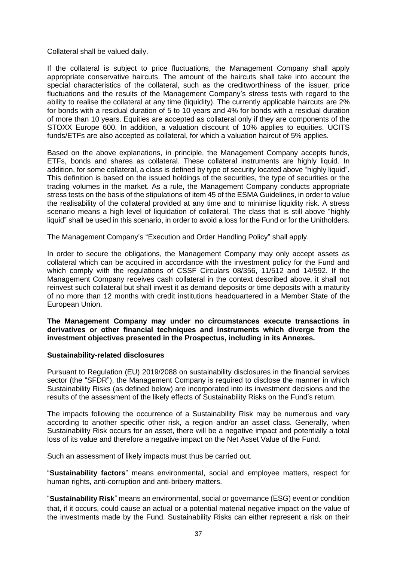Collateral shall be valued daily.

If the collateral is subject to price fluctuations, the Management Company shall apply appropriate conservative haircuts. The amount of the haircuts shall take into account the special characteristics of the collateral, such as the creditworthiness of the issuer, price fluctuations and the results of the Management Company's stress tests with regard to the ability to realise the collateral at any time (liquidity). The currently applicable haircuts are 2% for bonds with a residual duration of 5 to 10 years and 4% for bonds with a residual duration of more than 10 years. Equities are accepted as collateral only if they are components of the STOXX Europe 600. In addition, a valuation discount of 10% applies to equities. UCITS funds/ETFs are also accepted as collateral, for which a valuation haircut of 5% applies.

Based on the above explanations, in principle, the Management Company accepts funds, ETFs, bonds and shares as collateral. These collateral instruments are highly liquid. In addition, for some collateral, a class is defined by type of security located above "highly liquid". This definition is based on the issued holdings of the securities, the type of securities or the trading volumes in the market. As a rule, the Management Company conducts appropriate stress tests on the basis of the stipulations of item 45 of the ESMA Guidelines, in order to value the realisability of the collateral provided at any time and to minimise liquidity risk. A stress scenario means a high level of liquidation of collateral. The class that is still above "highly liquid" shall be used in this scenario, in order to avoid a loss for the Fund or for the Unitholders.

The Management Company's "Execution and Order Handling Policy" shall apply.

In order to secure the obligations, the Management Company may only accept assets as collateral which can be acquired in accordance with the investment policy for the Fund and which comply with the regulations of CSSF Circulars 08/356, 11/512 and 14/592. If the Management Company receives cash collateral in the context described above, it shall not reinvest such collateral but shall invest it as demand deposits or time deposits with a maturity of no more than 12 months with credit institutions headquartered in a Member State of the European Union.

**The Management Company may under no circumstances execute transactions in derivatives or other financial techniques and instruments which diverge from the investment objectives presented in the Prospectus, including in its Annexes.**

#### **Sustainability-related disclosures**

Pursuant to Regulation (EU) 2019/2088 on sustainability disclosures in the financial services sector (the "SFDR"), the Management Company is required to disclose the manner in which Sustainability Risks (as defined below) are incorporated into its investment decisions and the results of the assessment of the likely effects of Sustainability Risks on the Fund's return.

The impacts following the occurrence of a Sustainability Risk may be numerous and vary according to another specific other risk, a region and/or an asset class. Generally, when Sustainability Risk occurs for an asset, there will be a negative impact and potentially a total loss of its value and therefore a negative impact on the Net Asset Value of the Fund.

Such an assessment of likely impacts must thus be carried out.

"**Sustainability factors**" means environmental, social and employee matters, respect for human rights, anti‐corruption and anti‐bribery matters.

"**Sustainability Risk**" means an environmental, social or governance (ESG) event or condition that, if it occurs, could cause an actual or a potential material negative impact on the value of the investments made by the Fund. Sustainability Risks can either represent a risk on their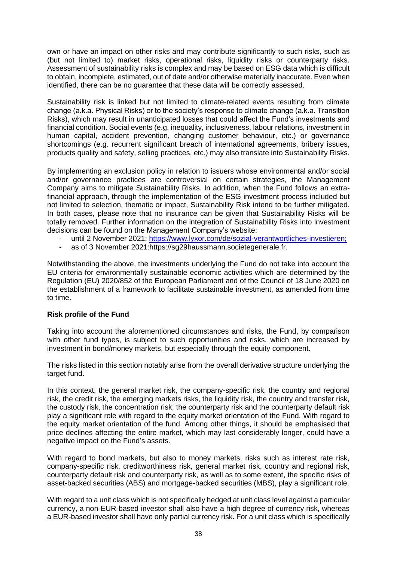own or have an impact on other risks and may contribute significantly to such risks, such as (but not limited to) market risks, operational risks, liquidity risks or counterparty risks. Assessment of sustainability risks is complex and may be based on ESG data which is difficult to obtain, incomplete, estimated, out of date and/or otherwise materially inaccurate. Even when identified, there can be no guarantee that these data will be correctly assessed.

Sustainability risk is linked but not limited to climate-related events resulting from climate change (a.k.a. Physical Risks) or to the society's response to climate change (a.k.a. Transition Risks), which may result in unanticipated losses that could affect the Fund's investments and financial condition. Social events (e.g. inequality, inclusiveness, labour relations, investment in human capital, accident prevention, changing customer behaviour, etc.) or governance shortcomings (e.g. recurrent significant breach of international agreements, bribery issues, products quality and safety, selling practices, etc.) may also translate into Sustainability Risks.

By implementing an exclusion policy in relation to issuers whose environmental and/or social and/or governance practices are controversial on certain strategies, the Management Company aims to mitigate Sustainability Risks. In addition, when the Fund follows an extrafinancial approach, through the implementation of the ESG investment process included but not limited to selection, thematic or impact, Sustainability Risk intend to be further mitigated. In both cases, please note that no insurance can be given that Sustainability Risks will be totally removed. Further information on the integration of Sustainability Risks into investment decisions can be found on the Management Company's website:

- until 2 November 2021: [https://www.lyxor.com/de/sozial-verantwortliches-investieren;](https://www.lyxor.com/de/sozial-verantwortliches-investieren;$)
- as of 3 November 2021:https://sg29haussmann.societegenerale.fr.

Notwithstanding the above, the investments underlying the Fund do not take into account the EU criteria for environmentally sustainable economic activities which are determined by the Regulation (EU) 2020/852 of the European Parliament and of the Council of 18 June 2020 on the establishment of a framework to facilitate sustainable investment, as amended from time to time.

# **Risk profile of the Fund**

Taking into account the aforementioned circumstances and risks, the Fund, by comparison with other fund types, is subject to such opportunities and risks, which are increased by investment in bond/money markets, but especially through the equity component.

The risks listed in this section notably arise from the overall derivative structure underlying the target fund.

In this context, the general market risk, the company-specific risk, the country and regional risk, the credit risk, the emerging markets risks, the liquidity risk, the country and transfer risk, the custody risk, the concentration risk, the counterparty risk and the counterparty default risk play a significant role with regard to the equity market orientation of the Fund. With regard to the equity market orientation of the fund. Among other things, it should be emphasised that price declines affecting the entire market, which may last considerably longer, could have a negative impact on the Fund's assets.

With regard to bond markets, but also to money markets, risks such as interest rate risk, company-specific risk, creditworthiness risk, general market risk, country and regional risk, counterparty default risk and counterparty risk, as well as to some extent, the specific risks of asset-backed securities (ABS) and mortgage-backed securities (MBS), play a significant role.

With regard to a unit class which is not specifically hedged at unit class level against a particular currency, a non-EUR-based investor shall also have a high degree of currency risk, whereas a EUR-based investor shall have only partial currency risk. For a unit class which is specifically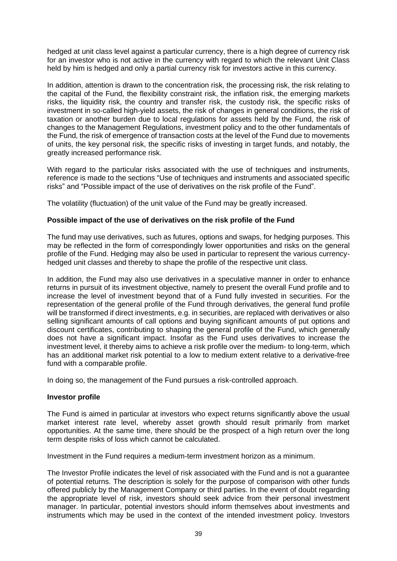hedged at unit class level against a particular currency, there is a high degree of currency risk for an investor who is not active in the currency with regard to which the relevant Unit Class held by him is hedged and only a partial currency risk for investors active in this currency.

In addition, attention is drawn to the concentration risk, the processing risk, the risk relating to the capital of the Fund, the flexibility constraint risk, the inflation risk, the emerging markets risks, the liquidity risk, the country and transfer risk, the custody risk, the specific risks of investment in so-called high-yield assets, the risk of changes in general conditions, the risk of taxation or another burden due to local regulations for assets held by the Fund, the risk of changes to the Management Regulations, investment policy and to the other fundamentals of the Fund, the risk of emergence of transaction costs at the level of the Fund due to movements of units, the key personal risk, the specific risks of investing in target funds, and notably, the greatly increased performance risk.

With regard to the particular risks associated with the use of techniques and instruments, reference is made to the sections "Use of techniques and instruments and associated specific risks" and "Possible impact of the use of derivatives on the risk profile of the Fund".

The volatility (fluctuation) of the unit value of the Fund may be greatly increased.

# **Possible impact of the use of derivatives on the risk profile of the Fund**

The fund may use derivatives, such as futures, options and swaps, for hedging purposes. This may be reflected in the form of correspondingly lower opportunities and risks on the general profile of the Fund. Hedging may also be used in particular to represent the various currencyhedged unit classes and thereby to shape the profile of the respective unit class.

In addition, the Fund may also use derivatives in a speculative manner in order to enhance returns in pursuit of its investment objective, namely to present the overall Fund profile and to increase the level of investment beyond that of a Fund fully invested in securities. For the representation of the general profile of the Fund through derivatives, the general fund profile will be transformed if direct investments, e.g. in securities, are replaced with derivatives or also selling significant amounts of call options and buying significant amounts of put options and discount certificates, contributing to shaping the general profile of the Fund, which generally does not have a significant impact. Insofar as the Fund uses derivatives to increase the investment level, it thereby aims to achieve a risk profile over the medium- to long-term, which has an additional market risk potential to a low to medium extent relative to a derivative-free fund with a comparable profile.

In doing so, the management of the Fund pursues a risk-controlled approach.

### **Investor profile**

The Fund is aimed in particular at investors who expect returns significantly above the usual market interest rate level, whereby asset growth should result primarily from market opportunities. At the same time, there should be the prospect of a high return over the long term despite risks of loss which cannot be calculated.

Investment in the Fund requires a medium-term investment horizon as a minimum.

The Investor Profile indicates the level of risk associated with the Fund and is not a guarantee of potential returns. The description is solely for the purpose of comparison with other funds offered publicly by the Management Company or third parties. In the event of doubt regarding the appropriate level of risk, investors should seek advice from their personal investment manager. In particular, potential investors should inform themselves about investments and instruments which may be used in the context of the intended investment policy. Investors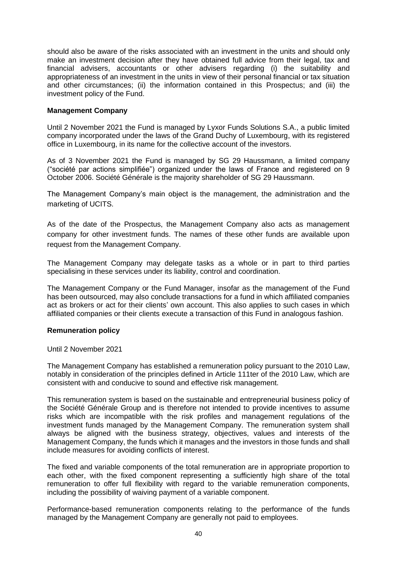should also be aware of the risks associated with an investment in the units and should only make an investment decision after they have obtained full advice from their legal, tax and financial advisers, accountants or other advisers regarding (i) the suitability and appropriateness of an investment in the units in view of their personal financial or tax situation and other circumstances; (ii) the information contained in this Prospectus; and (iii) the investment policy of the Fund.

## **Management Company**

Until 2 November 2021 the Fund is managed by Lyxor Funds Solutions S.A., a public limited company incorporated under the laws of the Grand Duchy of Luxembourg, with its registered office in Luxembourg, in its name for the collective account of the investors.

As of 3 November 2021 the Fund is managed by SG 29 Haussmann, a limited company ("société par actions simplifiée") organized under the laws of France and registered on 9 October 2006. Société Générale is the majority shareholder of SG 29 Haussmann.

The Management Company's main object is the management, the administration and the marketing of UCITS.

As of the date of the Prospectus, the Management Company also acts as management company for other investment funds. The names of these other funds are available upon request from the Management Company.

The Management Company may delegate tasks as a whole or in part to third parties specialising in these services under its liability, control and coordination.

The Management Company or the Fund Manager, insofar as the management of the Fund has been outsourced, may also conclude transactions for a fund in which affiliated companies act as brokers or act for their clients' own account. This also applies to such cases in which affiliated companies or their clients execute a transaction of this Fund in analogous fashion.

### **Remuneration policy**

Until 2 November 2021

The Management Company has established a remuneration policy pursuant to the 2010 Law, notably in consideration of the principles defined in Article 111ter of the 2010 Law, which are consistent with and conducive to sound and effective risk management.

This remuneration system is based on the sustainable and entrepreneurial business policy of the Société Générale Group and is therefore not intended to provide incentives to assume risks which are incompatible with the risk profiles and management regulations of the investment funds managed by the Management Company. The remuneration system shall always be aligned with the business strategy, objectives, values and interests of the Management Company, the funds which it manages and the investors in those funds and shall include measures for avoiding conflicts of interest.

The fixed and variable components of the total remuneration are in appropriate proportion to each other, with the fixed component representing a sufficiently high share of the total remuneration to offer full flexibility with regard to the variable remuneration components, including the possibility of waiving payment of a variable component.

Performance-based remuneration components relating to the performance of the funds managed by the Management Company are generally not paid to employees.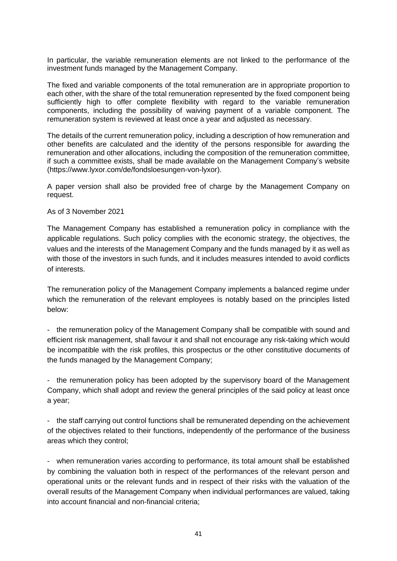In particular, the variable remuneration elements are not linked to the performance of the investment funds managed by the Management Company.

The fixed and variable components of the total remuneration are in appropriate proportion to each other, with the share of the total remuneration represented by the fixed component being sufficiently high to offer complete flexibility with regard to the variable remuneration components, including the possibility of waiving payment of a variable component. The remuneration system is reviewed at least once a year and adjusted as necessary.

The details of the current remuneration policy, including a description of how remuneration and other benefits are calculated and the identity of the persons responsible for awarding the remuneration and other allocations, including the composition of the remuneration committee, if such a committee exists, shall be made available on the Management Company's website [\(h](https://www.lyxor.com/de/fondsloesungen-von-lyxor)ttps://www.lyxor.com/de/fondsloesungen-von-lyxor).

A paper version shall also be provided free of charge by the Management Company on request.

As of 3 November 2021

The Management Company has established a remuneration policy in compliance with the applicable regulations. Such policy complies with the economic strategy, the objectives, the values and the interests of the Management Company and the funds managed by it as well as with those of the investors in such funds, and it includes measures intended to avoid conflicts of interests.

The remuneration policy of the Management Company implements a balanced regime under which the remuneration of the relevant employees is notably based on the principles listed below:

- the remuneration policy of the Management Company shall be compatible with sound and efficient risk management, shall favour it and shall not encourage any risk-taking which would be incompatible with the risk profiles, this prospectus or the other constitutive documents of the funds managed by the Management Company;

- the remuneration policy has been adopted by the supervisory board of the Management Company, which shall adopt and review the general principles of the said policy at least once a year;

- the staff carrying out control functions shall be remunerated depending on the achievement of the objectives related to their functions, independently of the performance of the business areas which they control;

- when remuneration varies according to performance, its total amount shall be established by combining the valuation both in respect of the performances of the relevant person and operational units or the relevant funds and in respect of their risks with the valuation of the overall results of the Management Company when individual performances are valued, taking into account financial and non-financial criteria;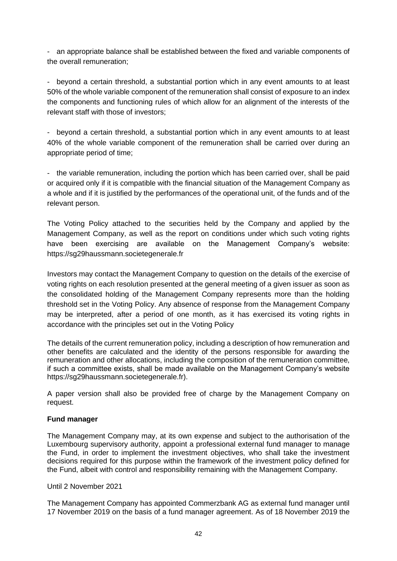- an appropriate balance shall be established between the fixed and variable components of the overall remuneration;

- beyond a certain threshold, a substantial portion which in any event amounts to at least 50% of the whole variable component of the remuneration shall consist of exposure to an index the components and functioning rules of which allow for an alignment of the interests of the relevant staff with those of investors;

- beyond a certain threshold, a substantial portion which in any event amounts to at least 40% of the whole variable component of the remuneration shall be carried over during an appropriate period of time;

- the variable remuneration, including the portion which has been carried over, shall be paid or acquired only if it is compatible with the financial situation of the Management Company as a whole and if it is justified by the performances of the operational unit, of the funds and of the relevant person.

The Voting Policy attached to the securities held by the Company and applied by the Management Company, as well as the report on conditions under which such voting rights have been exercising are available on the Management Company's website: https://sg29haussmann.societegenerale.fr

Investors may contact the Management Company to question on the details of the exercise of voting rights on each resolution presented at the general meeting of a given issuer as soon as the consolidated holding of the Management Company represents more than the holding threshold set in the Voting Policy. Any absence of response from the Management Company may be interpreted, after a period of one month, as it has exercised its voting rights in accordance with the principles set out in the Voting Policy

The details of the current remuneration policy, including a description of how remuneration and other benefits are calculated and the identity of the persons responsible for awarding the remuneration and other allocations, including the composition of the remuneration committee, if such a committee exists, shall be made available on the Management Company's website https://sg29haussmann.societegenerale.fr).

A paper version shall also be provided free of charge by the Management Company on request.

### **Fund manager**

The Management Company may, at its own expense and subject to the authorisation of the Luxembourg supervisory authority, appoint a professional external fund manager to manage the Fund, in order to implement the investment objectives, who shall take the investment decisions required for this purpose within the framework of the investment policy defined for the Fund, albeit with control and responsibility remaining with the Management Company.

### Until 2 November 2021

The Management Company has appointed Commerzbank AG as external fund manager until 17 November 2019 on the basis of a fund manager agreement. As of 18 November 2019 the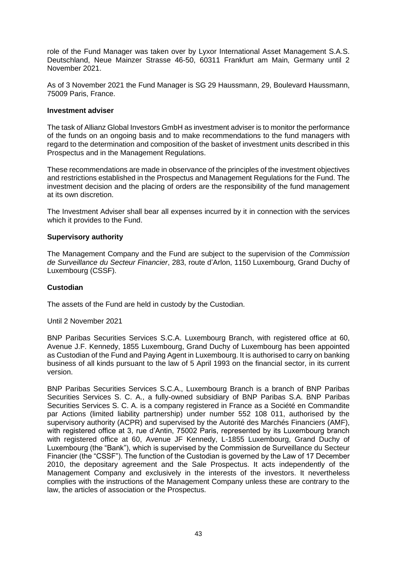role of the Fund Manager was taken over by Lyxor International Asset Management S.A.S. Deutschland, Neue Mainzer Strasse 46-50, 60311 Frankfurt am Main, Germany until 2 November 2021.

As of 3 November 2021 the Fund Manager is SG 29 Haussmann, 29, Boulevard Haussmann, 75009 Paris, France.

#### **Investment adviser**

The task of Allianz Global Investors GmbH as investment adviser is to monitor the performance of the funds on an ongoing basis and to make recommendations to the fund managers with regard to the determination and composition of the basket of investment units described in this Prospectus and in the Management Regulations.

These recommendations are made in observance of the principles of the investment objectives and restrictions established in the Prospectus and Management Regulations for the Fund. The investment decision and the placing of orders are the responsibility of the fund management at its own discretion.

The Investment Adviser shall bear all expenses incurred by it in connection with the services which it provides to the Fund.

#### **Supervisory authority**

The Management Company and the Fund are subject to the supervision of the *Commission de Surveillance du Secteur Financier*, 283, route d'Arlon, 1150 Luxembourg, Grand Duchy of Luxembourg (CSSF).

### **Custodian**

The assets of the Fund are held in custody by the Custodian.

Until 2 November 2021

BNP Paribas Securities Services S.C.A. Luxembourg Branch, with registered office at 60, Avenue J.F. Kennedy, 1855 Luxembourg, Grand Duchy of Luxembourg has been appointed as Custodian of the Fund and Paying Agent in Luxembourg. It is authorised to carry on banking business of all kinds pursuant to the law of 5 April 1993 on the financial sector, in its current version.

BNP Paribas Securities Services S.C.A., Luxembourg Branch is a branch of BNP Paribas Securities Services S. C. A., a fully-owned subsidiary of BNP Paribas S.A. BNP Paribas Securities Services S. C. A. is a company registered in France as a Société en Commandite par Actions (limited liability partnership) under number 552 108 011, authorised by the supervisory authority (ACPR) and supervised by the Autorité des Marchés Financiers (AMF), with registered office at 3, rue d'Antin, 75002 Paris, represented by its Luxembourg branch with registered office at 60, Avenue JF Kennedy, L-1855 Luxembourg, Grand Duchy of Luxembourg (the "Bank"), which is supervised by the Commission de Surveillance du Secteur Financier (the "CSSF"). The function of the Custodian is governed by the Law of 17 December 2010, the depositary agreement and the Sale Prospectus. It acts independently of the Management Company and exclusively in the interests of the investors. It nevertheless complies with the instructions of the Management Company unless these are contrary to the law, the articles of association or the Prospectus.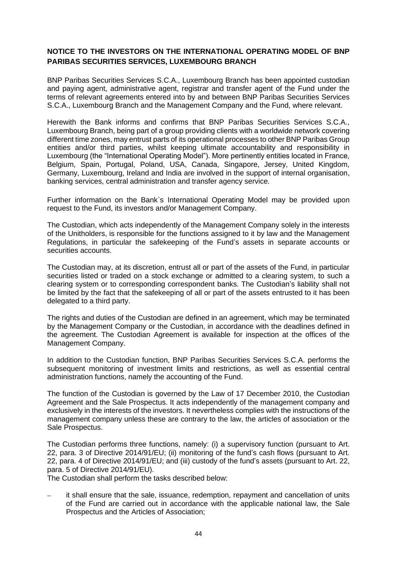# **NOTICE TO THE INVESTORS ON THE INTERNATIONAL OPERATING MODEL OF BNP PARIBAS SECURITIES SERVICES, LUXEMBOURG BRANCH**

BNP Paribas Securities Services S.C.A., Luxembourg Branch has been appointed custodian and paying agent, administrative agent, registrar and transfer agent of the Fund under the terms of relevant agreements entered into by and between BNP Paribas Securities Services S.C.A., Luxembourg Branch and the Management Company and the Fund, where relevant.

Herewith the Bank informs and confirms that BNP Paribas Securities Services S.C.A., Luxembourg Branch, being part of a group providing clients with a worldwide network covering different time zones, may entrust parts of its operational processes to other BNP Paribas Group entities and/or third parties, whilst keeping ultimate accountability and responsibility in Luxembourg (the "International Operating Model"). More pertinently entities located in France, Belgium, Spain, Portugal, Poland, USA, Canada, Singapore, Jersey, United Kingdom, Germany, Luxembourg, Ireland and India are involved in the support of internal organisation, banking services, central administration and transfer agency service.

Further information on the Bank`s International Operating Model may be provided upon request to the Fund, its investors and/or Management Company.

The Custodian, which acts independently of the Management Company solely in the interests of the Unitholders, is responsible for the functions assigned to it by law and the Management Regulations, in particular the safekeeping of the Fund's assets in separate accounts or securities accounts.

The Custodian may, at its discretion, entrust all or part of the assets of the Fund, in particular securities listed or traded on a stock exchange or admitted to a clearing system, to such a clearing system or to corresponding correspondent banks. The Custodian's liability shall not be limited by the fact that the safekeeping of all or part of the assets entrusted to it has been delegated to a third party.

The rights and duties of the Custodian are defined in an agreement, which may be terminated by the Management Company or the Custodian, in accordance with the deadlines defined in the agreement. The Custodian Agreement is available for inspection at the offices of the Management Company.

In addition to the Custodian function, BNP Paribas Securities Services S.C.A. performs the subsequent monitoring of investment limits and restrictions, as well as essential central administration functions, namely the accounting of the Fund.

The function of the Custodian is governed by the Law of 17 December 2010, the Custodian Agreement and the Sale Prospectus. It acts independently of the management company and exclusively in the interests of the investors. It nevertheless complies with the instructions of the management company unless these are contrary to the law, the articles of association or the Sale Prospectus.

The Custodian performs three functions, namely: (i) a supervisory function (pursuant to Art. 22, para. 3 of Directive 2014/91/EU; (ii) monitoring of the fund's cash flows (pursuant to Art. 22, para. 4 of Directive 2014/91/EU; and (iii) custody of the fund's assets (pursuant to Art. 22, para. 5 of Directive 2014/91/EU).

The Custodian shall perform the tasks described below:

− it shall ensure that the sale, issuance, redemption, repayment and cancellation of units of the Fund are carried out in accordance with the applicable national law, the Sale Prospectus and the Articles of Association;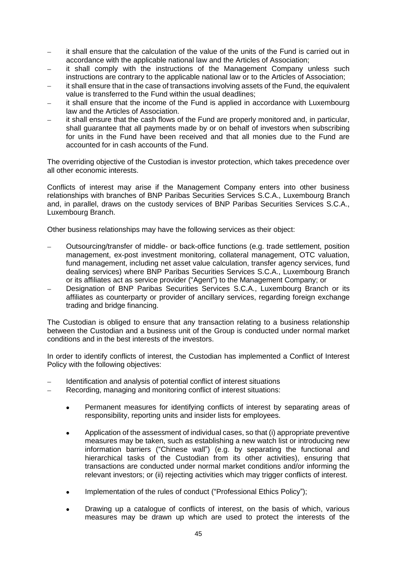- it shall ensure that the calculation of the value of the units of the Fund is carried out in accordance with the applicable national law and the Articles of Association;
- it shall comply with the instructions of the Management Company unless such instructions are contrary to the applicable national law or to the Articles of Association;
- − it shall ensure that in the case of transactions involving assets of the Fund, the equivalent value is transferred to the Fund within the usual deadlines;
- it shall ensure that the income of the Fund is applied in accordance with Luxembourg law and the Articles of Association.
- it shall ensure that the cash flows of the Fund are properly monitored and, in particular, shall guarantee that all payments made by or on behalf of investors when subscribing for units in the Fund have been received and that all monies due to the Fund are accounted for in cash accounts of the Fund.

The overriding objective of the Custodian is investor protection, which takes precedence over all other economic interests.

Conflicts of interest may arise if the Management Company enters into other business relationships with branches of BNP Paribas Securities Services S.C.A., Luxembourg Branch and, in parallel, draws on the custody services of BNP Paribas Securities Services S.C.A., Luxembourg Branch.

Other business relationships may have the following services as their object:

- − Outsourcing/transfer of middle- or back-office functions (e.g. trade settlement, position management, ex-post investment monitoring, collateral management, OTC valuation, fund management, including net asset value calculation, transfer agency services, fund dealing services) where BNP Paribas Securities Services S.C.A., Luxembourg Branch or its affiliates act as service provider ("Agent") to the Management Company; or
- Designation of BNP Paribas Securities Services S.C.A., Luxembourg Branch or its affiliates as counterparty or provider of ancillary services, regarding foreign exchange trading and bridge financing.

The Custodian is obliged to ensure that any transaction relating to a business relationship between the Custodian and a business unit of the Group is conducted under normal market conditions and in the best interests of the investors.

In order to identify conflicts of interest, the Custodian has implemented a Conflict of Interest Policy with the following objectives:

- Identification and analysis of potential conflict of interest situations
- Recording, managing and monitoring conflict of interest situations:
	- Permanent measures for identifying conflicts of interest by separating areas of responsibility, reporting units and insider lists for employees.
	- Application of the assessment of individual cases, so that (i) appropriate preventive measures may be taken, such as establishing a new watch list or introducing new information barriers ("Chinese wall") (e.g. by separating the functional and hierarchical tasks of the Custodian from its other activities), ensuring that transactions are conducted under normal market conditions and/or informing the relevant investors; or (ii) rejecting activities which may trigger conflicts of interest.
	- Implementation of the rules of conduct ("Professional Ethics Policy");
	- Drawing up a catalogue of conflicts of interest, on the basis of which, various measures may be drawn up which are used to protect the interests of the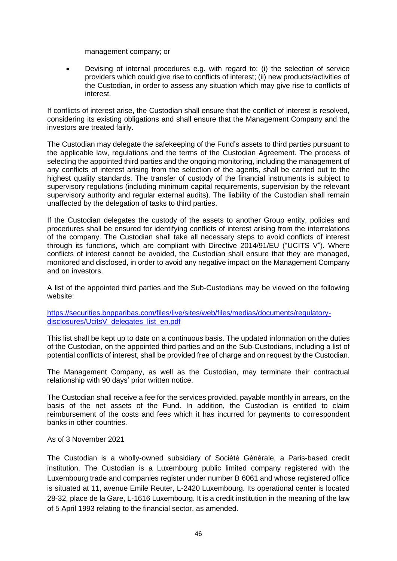management company; or

• Devising of internal procedures e.g. with regard to: (i) the selection of service providers which could give rise to conflicts of interest; (ii) new products/activities of the Custodian, in order to assess any situation which may give rise to conflicts of interest.

If conflicts of interest arise, the Custodian shall ensure that the conflict of interest is resolved, considering its existing obligations and shall ensure that the Management Company and the investors are treated fairly.

The Custodian may delegate the safekeeping of the Fund's assets to third parties pursuant to the applicable law, regulations and the terms of the Custodian Agreement. The process of selecting the appointed third parties and the ongoing monitoring, including the management of any conflicts of interest arising from the selection of the agents, shall be carried out to the highest quality standards. The transfer of custody of the financial instruments is subject to supervisory regulations (including minimum capital requirements, supervision by the relevant supervisory authority and regular external audits). The liability of the Custodian shall remain unaffected by the delegation of tasks to third parties.

If the Custodian delegates the custody of the assets to another Group entity, policies and procedures shall be ensured for identifying conflicts of interest arising from the interrelations of the company. The Custodian shall take all necessary steps to avoid conflicts of interest through its functions, which are compliant with Directive 2014/91/EU ("UCITS V"). Where conflicts of interest cannot be avoided, the Custodian shall ensure that they are managed, monitored and disclosed, in order to avoid any negative impact on the Management Company and on investors.

A list of the appointed third parties and the Sub-Custodians may be viewed on the following website:

[https://securities.bnpparibas.com/files/live/sites/web/files/medias/documents/regulatory](https://securities.bnpparibas.com/files/live/sites/web/files/medias/documents/regulatory-disclosures/UcitsV_delegates_list_en.pdf)[disclosures/UcitsV\\_delegates\\_list\\_en.pdf](https://securities.bnpparibas.com/files/live/sites/web/files/medias/documents/regulatory-disclosures/UcitsV_delegates_list_en.pdf)

This list shall be kept up to date on a continuous basis. The updated information on the duties of the Custodian, on the appointed third parties and on the Sub-Custodians, including a list of potential conflicts of interest, shall be provided free of charge and on request by the Custodian.

The Management Company, as well as the Custodian, may terminate their contractual relationship with 90 days' prior written notice.

The Custodian shall receive a fee for the services provided, payable monthly in arrears, on the basis of the net assets of the Fund. In addition, the Custodian is entitled to claim reimbursement of the costs and fees which it has incurred for payments to correspondent banks in other countries.

As of 3 November 2021

The Custodian is a wholly-owned subsidiary of Société Générale, a Paris-based credit institution. The Custodian is a Luxembourg public limited company registered with the Luxembourg trade and companies register under number B 6061 and whose registered office is situated at 11, avenue Emile Reuter, L-2420 Luxembourg. Its operational center is located 28-32, place de la Gare, L-1616 Luxembourg. It is a credit institution in the meaning of the law of 5 April 1993 relating to the financial sector, as amended.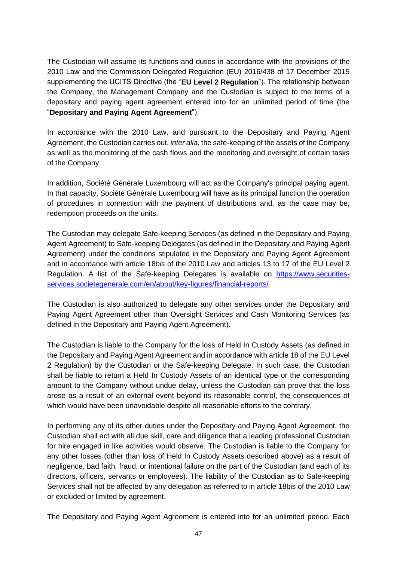The Custodian will assume its functions and duties in accordance with the provisions of the 2010 Law and the Commission Delegated Regulation (EU) 2016/438 of 17 December 2015 supplementing the UCITS Directive (the "**EU Level 2 Regulation**"). The relationship between the Company, the Management Company and the Custodian is subject to the terms of a depositary and paying agent agreement entered into for an unlimited period of time (the "**Depositary and Paying Agent Agreement**").

In accordance with the 2010 Law, and pursuant to the Depositary and Paying Agent Agreement, the Custodian carries out, *inter alia*, the safe-keeping of the assets of the Company as well as the monitoring of the cash flows and the monitoring and oversight of certain tasks of the Company.

In addition, Société Générale Luxembourg will act as the Company's principal paying agent. In that capacity, Société Générale Luxembourg will have as its principal function the operation of procedures in connection with the payment of distributions and, as the case may be, redemption proceeds on the units.

The Custodian may delegate Safe-keeping Services (as defined in the Depositary and Paying Agent Agreement) to Safe-keeping Delegates (as defined in the Depositary and Paying Agent Agreement) under the conditions stipulated in the Depositary and Paying Agent Agreement and in accordance with article 18*bis* of the 2010 Law and articles 13 to 17 of the EU Level 2 Regulation. A list of the Safe-keeping Delegates is available on [https://www.securities](https://www.securities-services.societegenerale.com/en/about/key-figures/financial-reports/)[services.societegenerale.com/en/about/key-figures/financial-reports/](https://www.securities-services.societegenerale.com/en/about/key-figures/financial-reports/)

The Custodian is also authorized to delegate any other services under the Depositary and Paying Agent Agreement other than Oversight Services and Cash Monitoring Services (as defined in the Depositary and Paying Agent Agreement).

The Custodian is liable to the Company for the loss of Held In Custody Assets (as defined in the Depositary and Paying Agent Agreement and in accordance with article 18 of the EU Level 2 Regulation) by the Custodian or the Safe-keeping Delegate. In such case, the Custodian shall be liable to return a Held In Custody Assets of an identical type or the corresponding amount to the Company without undue delay, unless the Custodian can prove that the loss arose as a result of an external event beyond its reasonable control, the consequences of which would have been unavoidable despite all reasonable efforts to the contrary.

In performing any of its other duties under the Depositary and Paying Agent Agreement, the Custodian shall act with all due skill, care and diligence that a leading professional Custodian for hire engaged in like activities would observe. The Custodian is liable to the Company for any other losses (other than loss of Held In Custody Assets described above) as a result of negligence, bad faith, fraud, or intentional failure on the part of the Custodian (and each of its directors, officers, servants or employees). The liability of the Custodian as to Safe-keeping Services shall not be affected by any delegation as referred to in article 18bis of the 2010 Law or excluded or limited by agreement.

The Depositary and Paying Agent Agreement is entered into for an unlimited period. Each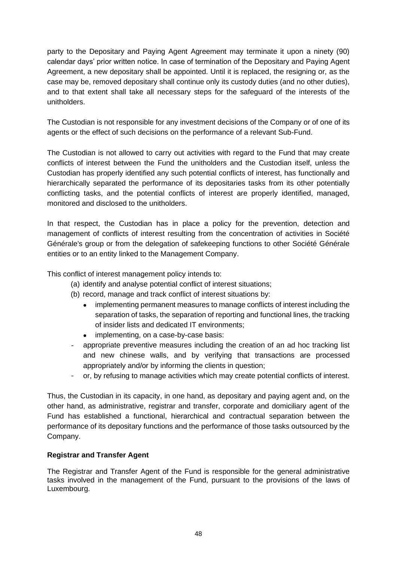party to the Depositary and Paying Agent Agreement may terminate it upon a ninety (90) calendar days' prior written notice. In case of termination of the Depositary and Paying Agent Agreement, a new depositary shall be appointed. Until it is replaced, the resigning or, as the case may be, removed depositary shall continue only its custody duties (and no other duties), and to that extent shall take all necessary steps for the safeguard of the interests of the unitholders.

The Custodian is not responsible for any investment decisions of the Company or of one of its agents or the effect of such decisions on the performance of a relevant Sub-Fund.

The Custodian is not allowed to carry out activities with regard to the Fund that may create conflicts of interest between the Fund the unitholders and the Custodian itself, unless the Custodian has properly identified any such potential conflicts of interest, has functionally and hierarchically separated the performance of its depositaries tasks from its other potentially conflicting tasks, and the potential conflicts of interest are properly identified, managed, monitored and disclosed to the unitholders.

In that respect, the Custodian has in place a policy for the prevention, detection and management of conflicts of interest resulting from the concentration of activities in Société Générale's group or from the delegation of safekeeping functions to other Société Générale entities or to an entity linked to the Management Company.

This conflict of interest management policy intends to:

- (a) identify and analyse potential conflict of interest situations;
- (b) record, manage and track conflict of interest situations by:
	- implementing permanent measures to manage conflicts of interest including the separation of tasks, the separation of reporting and functional lines, the tracking of insider lists and dedicated IT environments;
	- implementing, on a case-by-case basis:
- appropriate preventive measures including the creation of an ad hoc tracking list and new chinese walls, and by verifying that transactions are processed appropriately and/or by informing the clients in question;
- or, by refusing to manage activities which may create potential conflicts of interest.

Thus, the Custodian in its capacity, in one hand, as depositary and paying agent and, on the other hand, as administrative, registrar and transfer, corporate and domiciliary agent of the Fund has established a functional, hierarchical and contractual separation between the performance of its depositary functions and the performance of those tasks outsourced by the Company.

# **Registrar and Transfer Agent**

The Registrar and Transfer Agent of the Fund is responsible for the general administrative tasks involved in the management of the Fund, pursuant to the provisions of the laws of Luxembourg.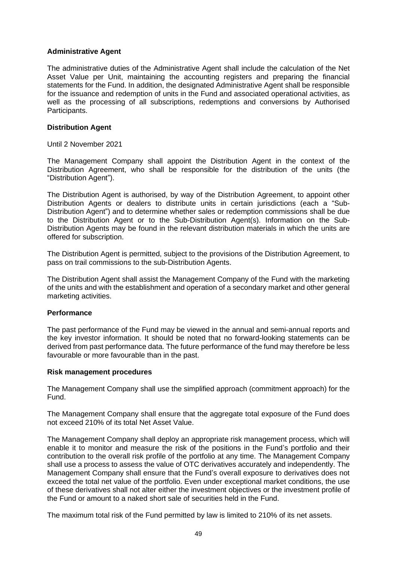## **Administrative Agent**

The administrative duties of the Administrative Agent shall include the calculation of the Net Asset Value per Unit, maintaining the accounting registers and preparing the financial statements for the Fund. In addition, the designated Administrative Agent shall be responsible for the issuance and redemption of units in the Fund and associated operational activities, as well as the processing of all subscriptions, redemptions and conversions by Authorised Participants.

## **Distribution Agent**

Until 2 November 2021

The Management Company shall appoint the Distribution Agent in the context of the Distribution Agreement, who shall be responsible for the distribution of the units (the "Distribution Agent").

The Distribution Agent is authorised, by way of the Distribution Agreement, to appoint other Distribution Agents or dealers to distribute units in certain jurisdictions (each a "Sub-Distribution Agent") and to determine whether sales or redemption commissions shall be due to the Distribution Agent or to the Sub-Distribution Agent(s). Information on the Sub-Distribution Agents may be found in the relevant distribution materials in which the units are offered for subscription.

The Distribution Agent is permitted, subject to the provisions of the Distribution Agreement, to pass on trail commissions to the sub-Distribution Agents.

The Distribution Agent shall assist the Management Company of the Fund with the marketing of the units and with the establishment and operation of a secondary market and other general marketing activities.

### **Performance**

The past performance of the Fund may be viewed in the annual and semi-annual reports and the key investor information. It should be noted that no forward-looking statements can be derived from past performance data. The future performance of the fund may therefore be less favourable or more favourable than in the past.

### **Risk management procedures**

The Management Company shall use the simplified approach (commitment approach) for the Fund.

The Management Company shall ensure that the aggregate total exposure of the Fund does not exceed 210% of its total Net Asset Value.

The Management Company shall deploy an appropriate risk management process, which will enable it to monitor and measure the risk of the positions in the Fund's portfolio and their contribution to the overall risk profile of the portfolio at any time. The Management Company shall use a process to assess the value of OTC derivatives accurately and independently. The Management Company shall ensure that the Fund's overall exposure to derivatives does not exceed the total net value of the portfolio. Even under exceptional market conditions, the use of these derivatives shall not alter either the investment objectives or the investment profile of the Fund or amount to a naked short sale of securities held in the Fund.

The maximum total risk of the Fund permitted by law is limited to 210% of its net assets.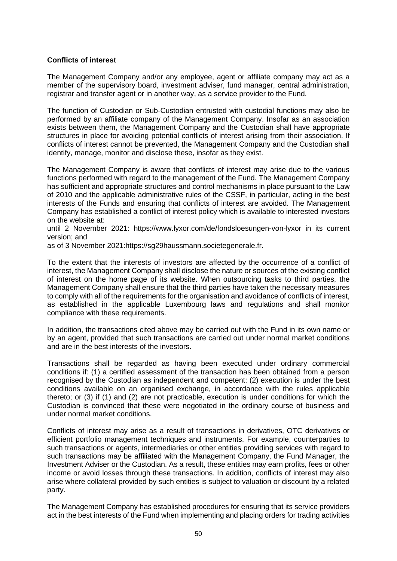## **Conflicts of interest**

The Management Company and/or any employee, agent or affiliate company may act as a member of the supervisory board, investment adviser, fund manager, central administration, registrar and transfer agent or in another way, as a service provider to the Fund.

The function of Custodian or Sub-Custodian entrusted with custodial functions may also be performed by an affiliate company of the Management Company. Insofar as an association exists between them, the Management Company and the Custodian shall have appropriate structures in place for avoiding potential conflicts of interest arising from their association. If conflicts of interest cannot be prevented, the Management Company and the Custodian shall identify, manage, monitor and disclose these, insofar as they exist.

The Management Company is aware that conflicts of interest may arise due to the various functions performed with regard to the management of the Fund. The Management Company has sufficient and appropriate structures and control mechanisms in place pursuant to the Law of 2010 and the applicable administrative rules of the CSSF, in particular, acting in the best interests of the Funds and ensuring that conflicts of interest are avoided. The Management Company has established a conflict of interest policy which is available to interested investors on the website at:

until 2 November 2021: https://www.lyxor.com/de/fondsloesungen-von-lyxor in its current version; and

as of 3 November 2021:https://sg29haussmann.societegenerale.fr.

To the extent that the interests of investors are affected by the occurrence of a conflict of interest, the Management Company shall disclose the nature or sources of the existing conflict of interest on the home page of its website. When outsourcing tasks to third parties, the Management Company shall ensure that the third parties have taken the necessary measures to comply with all of the requirements for the organisation and avoidance of conflicts of interest, as established in the applicable Luxembourg laws and regulations and shall monitor compliance with these requirements.

In addition, the transactions cited above may be carried out with the Fund in its own name or by an agent, provided that such transactions are carried out under normal market conditions and are in the best interests of the investors.

Transactions shall be regarded as having been executed under ordinary commercial conditions if: (1) a certified assessment of the transaction has been obtained from a person recognised by the Custodian as independent and competent; (2) execution is under the best conditions available on an organised exchange, in accordance with the rules applicable thereto; or (3) if (1) and (2) are not practicable, execution is under conditions for which the Custodian is convinced that these were negotiated in the ordinary course of business and under normal market conditions.

Conflicts of interest may arise as a result of transactions in derivatives, OTC derivatives or efficient portfolio management techniques and instruments. For example, counterparties to such transactions or agents, intermediaries or other entities providing services with regard to such transactions may be affiliated with the Management Company, the Fund Manager, the Investment Adviser or the Custodian. As a result, these entities may earn profits, fees or other income or avoid losses through these transactions. In addition, conflicts of interest may also arise where collateral provided by such entities is subject to valuation or discount by a related party.

The Management Company has established procedures for ensuring that its service providers act in the best interests of the Fund when implementing and placing orders for trading activities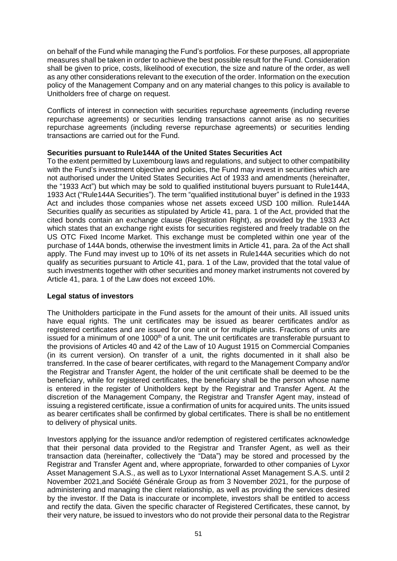on behalf of the Fund while managing the Fund's portfolios. For these purposes, all appropriate measures shall be taken in order to achieve the best possible result for the Fund. Consideration shall be given to price, costs, likelihood of execution, the size and nature of the order, as well as any other considerations relevant to the execution of the order. Information on the execution policy of the Management Company and on any material changes to this policy is available to Unitholders free of charge on request.

Conflicts of interest in connection with securities repurchase agreements (including reverse repurchase agreements) or securities lending transactions cannot arise as no securities repurchase agreements (including reverse repurchase agreements) or securities lending transactions are carried out for the Fund.

### **Securities pursuant to Rule144A of the United States Securities Act**

To the extent permitted by Luxembourg laws and regulations, and subject to other compatibility with the Fund's investment objective and policies, the Fund may invest in securities which are not authorised under the United States Securities Act of 1933 and amendments (hereinafter, the "1933 Act") but which may be sold to qualified institutional buyers pursuant to Rule144A, 1933 Act ("Rule144A Securities"). The term "qualified institutional buyer" is defined in the 1933 Act and includes those companies whose net assets exceed USD 100 million. Rule144A Securities qualify as securities as stipulated by Article 41, para. 1 of the Act, provided that the cited bonds contain an exchange clause (Registration Right), as provided by the 1933 Act which states that an exchange right exists for securities registered and freely tradable on the US OTC Fixed Income Market. This exchange must be completed within one year of the purchase of 144A bonds, otherwise the investment limits in Article 41, para. 2a of the Act shall apply. The Fund may invest up to 10% of its net assets in Rule144A securities which do not qualify as securities pursuant to Article 41, para. 1 of the Law, provided that the total value of such investments together with other securities and money market instruments not covered by Article 41, para. 1 of the Law does not exceed 10%.

### **Legal status of investors**

The Unitholders participate in the Fund assets for the amount of their units. All issued units have equal rights. The unit certificates may be issued as bearer certificates and/or as registered certificates and are issued for one unit or for multiple units. Fractions of units are issued for a minimum of one  $1000<sup>th</sup>$  of a unit. The unit certificates are transferable pursuant to the provisions of Articles 40 and 42 of the Law of 10 August 1915 on Commercial Companies (in its current version). On transfer of a unit, the rights documented in it shall also be transferred. In the case of bearer certificates, with regard to the Management Company and/or the Registrar and Transfer Agent, the holder of the unit certificate shall be deemed to be the beneficiary, while for registered certificates, the beneficiary shall be the person whose name is entered in the register of Unitholders kept by the Registrar and Transfer Agent. At the discretion of the Management Company, the Registrar and Transfer Agent may, instead of issuing a registered certificate, issue a confirmation of units for acquired units. The units issued as bearer certificates shall be confirmed by global certificates. There is shall be no entitlement to delivery of physical units.

Investors applying for the issuance and/or redemption of registered certificates acknowledge that their personal data provided to the Registrar and Transfer Agent, as well as their transaction data (hereinafter, collectively the "Data") may be stored and processed by the Registrar and Transfer Agent and, where appropriate, forwarded to other companies of Lyxor Asset Management S.A.S., as well as to Lyxor International Asset Management S.A.S. until 2 November 2021,and Société Générale Group as from 3 November 2021, for the purpose of administering and managing the client relationship, as well as providing the services desired by the investor. If the Data is inaccurate or incomplete, investors shall be entitled to access and rectify the data. Given the specific character of Registered Certificates, these cannot, by their very nature, be issued to investors who do not provide their personal data to the Registrar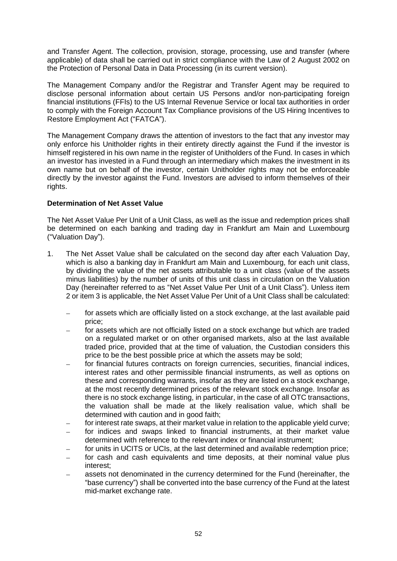and Transfer Agent. The collection, provision, storage, processing, use and transfer (where applicable) of data shall be carried out in strict compliance with the Law of 2 August 2002 on the Protection of Personal Data in Data Processing (in its current version).

The Management Company and/or the Registrar and Transfer Agent may be required to disclose personal information about certain US Persons and/or non-participating foreign financial institutions (FFIs) to the US Internal Revenue Service or local tax authorities in order to comply with the Foreign Account Tax Compliance provisions of the US Hiring Incentives to Restore Employment Act ("FATCA").

The Management Company draws the attention of investors to the fact that any investor may only enforce his Unitholder rights in their entirety directly against the Fund if the investor is himself registered in his own name in the register of Unitholders of the Fund. In cases in which an investor has invested in a Fund through an intermediary which makes the investment in its own name but on behalf of the investor, certain Unitholder rights may not be enforceable directly by the investor against the Fund. Investors are advised to inform themselves of their rights.

# **Determination of Net Asset Value**

The Net Asset Value Per Unit of a Unit Class, as well as the issue and redemption prices shall be determined on each banking and trading day in Frankfurt am Main and Luxembourg ("Valuation Day").

- 1. The Net Asset Value shall be calculated on the second day after each Valuation Day, which is also a banking day in Frankfurt am Main and Luxembourg, for each unit class, by dividing the value of the net assets attributable to a unit class (value of the assets minus liabilities) by the number of units of this unit class in circulation on the Valuation Day (hereinafter referred to as "Net Asset Value Per Unit of a Unit Class"). Unless item 2 or item 3 is applicable, the Net Asset Value Per Unit of a Unit Class shall be calculated:
	- for assets which are officially listed on a stock exchange, at the last available paid price;
	- for assets which are not officially listed on a stock exchange but which are traded on a regulated market or on other organised markets, also at the last available traded price, provided that at the time of valuation, the Custodian considers this price to be the best possible price at which the assets may be sold;
	- for financial futures contracts on foreign currencies, securities, financial indices, interest rates and other permissible financial instruments, as well as options on these and corresponding warrants, insofar as they are listed on a stock exchange, at the most recently determined prices of the relevant stock exchange. Insofar as there is no stock exchange listing, in particular, in the case of all OTC transactions, the valuation shall be made at the likely realisation value, which shall be determined with caution and in good faith;
	- for interest rate swaps, at their market value in relation to the applicable yield curve;
	- for indices and swaps linked to financial instruments, at their market value determined with reference to the relevant index or financial instrument;
	- for units in UCITS or UCIs, at the last determined and available redemption price;
	- for cash and cash equivalents and time deposits, at their nominal value plus interest;
	- assets not denominated in the currency determined for the Fund (hereinafter, the "base currency") shall be converted into the base currency of the Fund at the latest mid-market exchange rate.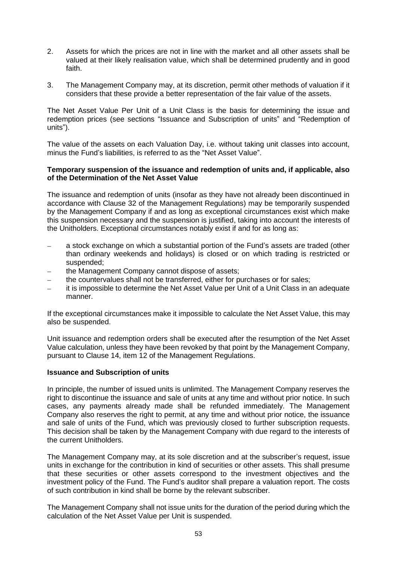- 2. Assets for which the prices are not in line with the market and all other assets shall be valued at their likely realisation value, which shall be determined prudently and in good faith.
- 3. The Management Company may, at its discretion, permit other methods of valuation if it considers that these provide a better representation of the fair value of the assets.

The Net Asset Value Per Unit of a Unit Class is the basis for determining the issue and redemption prices (see sections "Issuance and Subscription of units" and "Redemption of units").

The value of the assets on each Valuation Day, i.e. without taking unit classes into account, minus the Fund's liabilities, is referred to as the "Net Asset Value".

#### **Temporary suspension of the issuance and redemption of units and, if applicable, also of the Determination of the Net Asset Value**

The issuance and redemption of units (insofar as they have not already been discontinued in accordance with Clause 32 of the Management Regulations) may be temporarily suspended by the Management Company if and as long as exceptional circumstances exist which make this suspension necessary and the suspension is justified, taking into account the interests of the Unitholders. Exceptional circumstances notably exist if and for as long as:

- a stock exchange on which a substantial portion of the Fund's assets are traded (other than ordinary weekends and holidays) is closed or on which trading is restricted or suspended;
- the Management Company cannot dispose of assets;
- the countervalues shall not be transferred, either for purchases or for sales;
- It is impossible to determine the Net Asset Value per Unit of a Unit Class in an adequate manner.

If the exceptional circumstances make it impossible to calculate the Net Asset Value, this may also be suspended.

Unit issuance and redemption orders shall be executed after the resumption of the Net Asset Value calculation, unless they have been revoked by that point by the Management Company, pursuant to Clause 14, item 12 of the Management Regulations.

### **Issuance and Subscription of units**

In principle, the number of issued units is unlimited. The Management Company reserves the right to discontinue the issuance and sale of units at any time and without prior notice. In such cases, any payments already made shall be refunded immediately. The Management Company also reserves the right to permit, at any time and without prior notice, the issuance and sale of units of the Fund, which was previously closed to further subscription requests. This decision shall be taken by the Management Company with due regard to the interests of the current Unitholders.

The Management Company may, at its sole discretion and at the subscriber's request, issue units in exchange for the contribution in kind of securities or other assets. This shall presume that these securities or other assets correspond to the investment objectives and the investment policy of the Fund. The Fund's auditor shall prepare a valuation report. The costs of such contribution in kind shall be borne by the relevant subscriber.

The Management Company shall not issue units for the duration of the period during which the calculation of the Net Asset Value per Unit is suspended.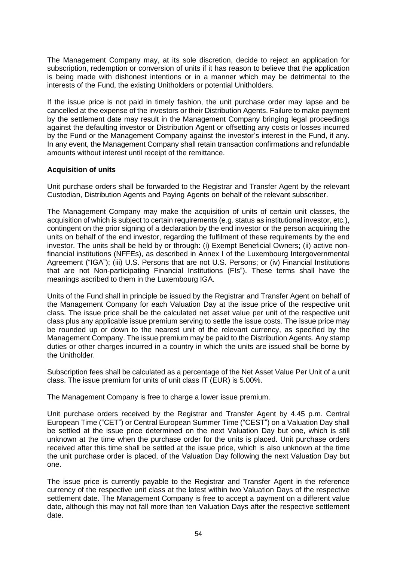The Management Company may, at its sole discretion, decide to reject an application for subscription, redemption or conversion of units if it has reason to believe that the application is being made with dishonest intentions or in a manner which may be detrimental to the interests of the Fund, the existing Unitholders or potential Unitholders.

If the issue price is not paid in timely fashion, the unit purchase order may lapse and be cancelled at the expense of the investors or their Distribution Agents. Failure to make payment by the settlement date may result in the Management Company bringing legal proceedings against the defaulting investor or Distribution Agent or offsetting any costs or losses incurred by the Fund or the Management Company against the investor's interest in the Fund, if any. In any event, the Management Company shall retain transaction confirmations and refundable amounts without interest until receipt of the remittance.

### **Acquisition of units**

Unit purchase orders shall be forwarded to the Registrar and Transfer Agent by the relevant Custodian, Distribution Agents and Paying Agents on behalf of the relevant subscriber.

The Management Company may make the acquisition of units of certain unit classes, the acquisition of which is subject to certain requirements (e.g. status as institutional investor, etc.), contingent on the prior signing of a declaration by the end investor or the person acquiring the units on behalf of the end investor, regarding the fulfilment of these requirements by the end investor. The units shall be held by or through: (i) Exempt Beneficial Owners; (ii) active nonfinancial institutions (NFFEs), as described in Annex I of the Luxembourg Intergovernmental Agreement ("IGA"); (iii) U.S. Persons that are not U.S. Persons; or (iv) Financial Institutions that are not Non-participating Financial Institutions (FIs"). These terms shall have the meanings ascribed to them in the Luxembourg IGA.

Units of the Fund shall in principle be issued by the Registrar and Transfer Agent on behalf of the Management Company for each Valuation Day at the issue price of the respective unit class. The issue price shall be the calculated net asset value per unit of the respective unit class plus any applicable issue premium serving to settle the issue costs. The issue price may be rounded up or down to the nearest unit of the relevant currency, as specified by the Management Company. The issue premium may be paid to the Distribution Agents. Any stamp duties or other charges incurred in a country in which the units are issued shall be borne by the Unitholder.

Subscription fees shall be calculated as a percentage of the Net Asset Value Per Unit of a unit class. The issue premium for units of unit class IT (EUR) is 5.00%.

The Management Company is free to charge a lower issue premium.

Unit purchase orders received by the Registrar and Transfer Agent by 4.45 p.m. Central European Time ("CET") or Central European Summer Time ("CEST") on a Valuation Day shall be settled at the issue price determined on the next Valuation Day but one, which is still unknown at the time when the purchase order for the units is placed. Unit purchase orders received after this time shall be settled at the issue price, which is also unknown at the time the unit purchase order is placed, of the Valuation Day following the next Valuation Day but one.

The issue price is currently payable to the Registrar and Transfer Agent in the reference currency of the respective unit class at the latest within two Valuation Days of the respective settlement date. The Management Company is free to accept a payment on a different value date, although this may not fall more than ten Valuation Days after the respective settlement date.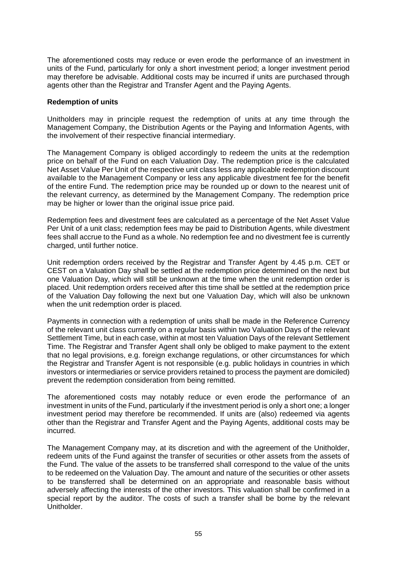The aforementioned costs may reduce or even erode the performance of an investment in units of the Fund, particularly for only a short investment period; a longer investment period may therefore be advisable. Additional costs may be incurred if units are purchased through agents other than the Registrar and Transfer Agent and the Paying Agents.

#### **Redemption of units**

Unitholders may in principle request the redemption of units at any time through the Management Company, the Distribution Agents or the Paying and Information Agents, with the involvement of their respective financial intermediary.

The Management Company is obliged accordingly to redeem the units at the redemption price on behalf of the Fund on each Valuation Day. The redemption price is the calculated Net Asset Value Per Unit of the respective unit class less any applicable redemption discount available to the Management Company or less any applicable divestment fee for the benefit of the entire Fund. The redemption price may be rounded up or down to the nearest unit of the relevant currency, as determined by the Management Company. The redemption price may be higher or lower than the original issue price paid.

Redemption fees and divestment fees are calculated as a percentage of the Net Asset Value Per Unit of a unit class; redemption fees may be paid to Distribution Agents, while divestment fees shall accrue to the Fund as a whole. No redemption fee and no divestment fee is currently charged, until further notice.

Unit redemption orders received by the Registrar and Transfer Agent by 4.45 p.m. CET or CEST on a Valuation Day shall be settled at the redemption price determined on the next but one Valuation Day, which will still be unknown at the time when the unit redemption order is placed. Unit redemption orders received after this time shall be settled at the redemption price of the Valuation Day following the next but one Valuation Day, which will also be unknown when the unit redemption order is placed.

Payments in connection with a redemption of units shall be made in the Reference Currency of the relevant unit class currently on a regular basis within two Valuation Days of the relevant Settlement Time, but in each case, within at most ten Valuation Days of the relevant Settlement Time. The Registrar and Transfer Agent shall only be obliged to make payment to the extent that no legal provisions, e.g. foreign exchange regulations, or other circumstances for which the Registrar and Transfer Agent is not responsible (e.g. public holidays in countries in which investors or intermediaries or service providers retained to process the payment are domiciled) prevent the redemption consideration from being remitted.

The aforementioned costs may notably reduce or even erode the performance of an investment in units of the Fund, particularly if the investment period is only a short one; a longer investment period may therefore be recommended. If units are (also) redeemed via agents other than the Registrar and Transfer Agent and the Paying Agents, additional costs may be incurred.

The Management Company may, at its discretion and with the agreement of the Unitholder, redeem units of the Fund against the transfer of securities or other assets from the assets of the Fund. The value of the assets to be transferred shall correspond to the value of the units to be redeemed on the Valuation Day. The amount and nature of the securities or other assets to be transferred shall be determined on an appropriate and reasonable basis without adversely affecting the interests of the other investors. This valuation shall be confirmed in a special report by the auditor. The costs of such a transfer shall be borne by the relevant Unitholder.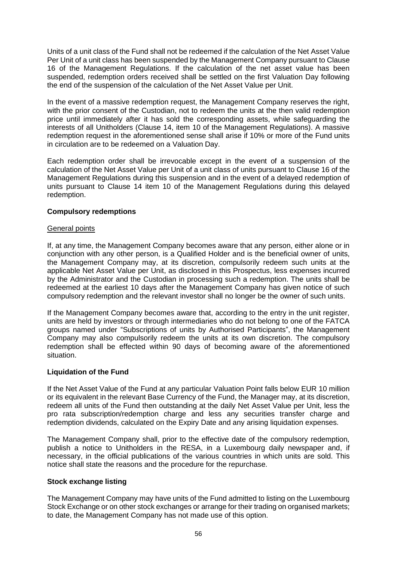Units of a unit class of the Fund shall not be redeemed if the calculation of the Net Asset Value Per Unit of a unit class has been suspended by the Management Company pursuant to Clause 16 of the Management Regulations. If the calculation of the net asset value has been suspended, redemption orders received shall be settled on the first Valuation Day following the end of the suspension of the calculation of the Net Asset Value per Unit.

In the event of a massive redemption request, the Management Company reserves the right, with the prior consent of the Custodian, not to redeem the units at the then valid redemption price until immediately after it has sold the corresponding assets, while safeguarding the interests of all Unitholders (Clause 14, item 10 of the Management Regulations). A massive redemption request in the aforementioned sense shall arise if 10% or more of the Fund units in circulation are to be redeemed on a Valuation Day.

Each redemption order shall be irrevocable except in the event of a suspension of the calculation of the Net Asset Value per Unit of a unit class of units pursuant to Clause 16 of the Management Regulations during this suspension and in the event of a delayed redemption of units pursuant to Clause 14 item 10 of the Management Regulations during this delayed redemption.

### **Compulsory redemptions**

#### General points

If, at any time, the Management Company becomes aware that any person, either alone or in conjunction with any other person, is a Qualified Holder and is the beneficial owner of units, the Management Company may, at its discretion, compulsorily redeem such units at the applicable Net Asset Value per Unit, as disclosed in this Prospectus, less expenses incurred by the Administrator and the Custodian in processing such a redemption. The units shall be redeemed at the earliest 10 days after the Management Company has given notice of such compulsory redemption and the relevant investor shall no longer be the owner of such units.

If the Management Company becomes aware that, according to the entry in the unit register, units are held by investors or through intermediaries who do not belong to one of the FATCA groups named under "Subscriptions of units by Authorised Participants", the Management Company may also compulsorily redeem the units at its own discretion. The compulsory redemption shall be effected within 90 days of becoming aware of the aforementioned situation.

### **Liquidation of the Fund**

If the Net Asset Value of the Fund at any particular Valuation Point falls below EUR 10 million or its equivalent in the relevant Base Currency of the Fund, the Manager may, at its discretion, redeem all units of the Fund then outstanding at the daily Net Asset Value per Unit, less the pro rata subscription/redemption charge and less any securities transfer charge and redemption dividends, calculated on the Expiry Date and any arising liquidation expenses.

The Management Company shall, prior to the effective date of the compulsory redemption, publish a notice to Unitholders in the RESA, in a Luxembourg daily newspaper and, if necessary, in the official publications of the various countries in which units are sold. This notice shall state the reasons and the procedure for the repurchase.

### **Stock exchange listing**

The Management Company may have units of the Fund admitted to listing on the Luxembourg Stock Exchange or on other stock exchanges or arrange for their trading on organised markets; to date, the Management Company has not made use of this option.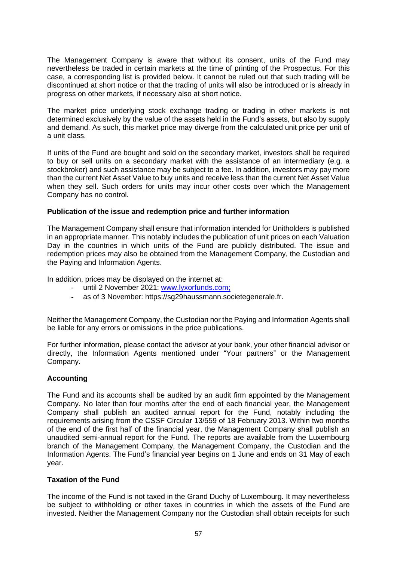The Management Company is aware that without its consent, units of the Fund may nevertheless be traded in certain markets at the time of printing of the Prospectus. For this case, a corresponding list is provided below. It cannot be ruled out that such trading will be discontinued at short notice or that the trading of units will also be introduced or is already in progress on other markets, if necessary also at short notice.

The market price underlying stock exchange trading or trading in other markets is not determined exclusively by the value of the assets held in the Fund's assets, but also by supply and demand. As such, this market price may diverge from the calculated unit price per unit of a unit class.

If units of the Fund are bought and sold on the secondary market, investors shall be required to buy or sell units on a secondary market with the assistance of an intermediary (e.g. a stockbroker) and such assistance may be subject to a fee. In addition, investors may pay more than the current Net Asset Value to buy units and receive less than the current Net Asset Value when they sell. Such orders for units may incur other costs over which the Management Company has no control.

### **Publication of the issue and redemption price and further information**

The Management Company shall ensure that information intended for Unitholders is published in an appropriate manner. This notably includes the publication of unit prices on each Valuation Day in the countries in which units of the Fund are publicly distributed. The issue and redemption prices may also be obtained from the Management Company, the Custodian and the Paying and Information Agents.

In addition, prices may be displayed on the internet at:

- until 2 November 2021: [www.lyxorfunds.com;](http://www.lyxorfunds.com/)
- as of 3 November: https://sg29haussmann.societegenerale.fr.

Neither the Management Company, the Custodian nor the Paying and Information Agents shall be liable for any errors or omissions in the price publications.

For further information, please contact the advisor at your bank, your other financial advisor or directly, the Information Agents mentioned under "Your partners" or the Management Company.

### **Accounting**

The Fund and its accounts shall be audited by an audit firm appointed by the Management Company. No later than four months after the end of each financial year, the Management Company shall publish an audited annual report for the Fund, notably including the requirements arising from the CSSF Circular 13/559 of 18 February 2013. Within two months of the end of the first half of the financial year, the Management Company shall publish an unaudited semi-annual report for the Fund. The reports are available from the Luxembourg branch of the Management Company, the Management Company, the Custodian and the Information Agents. The Fund's financial year begins on 1 June and ends on 31 May of each year.

### **Taxation of the Fund**

The income of the Fund is not taxed in the Grand Duchy of Luxembourg. It may nevertheless be subject to withholding or other taxes in countries in which the assets of the Fund are invested. Neither the Management Company nor the Custodian shall obtain receipts for such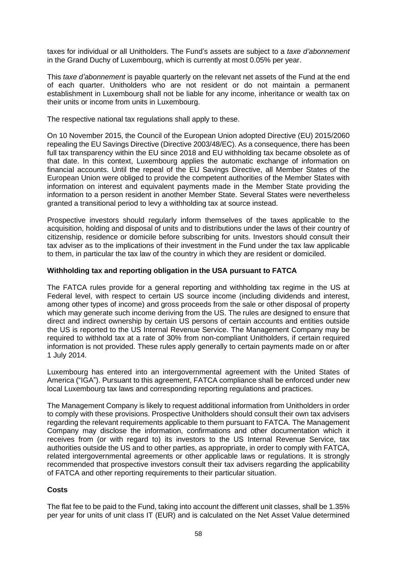taxes for individual or all Unitholders. The Fund's assets are subject to a *taxe d'abonnement* in the Grand Duchy of Luxembourg, which is currently at most 0.05% per year.

This *taxe d'abonnement* is payable quarterly on the relevant net assets of the Fund at the end of each quarter. Unitholders who are not resident or do not maintain a permanent establishment in Luxembourg shall not be liable for any income, inheritance or wealth tax on their units or income from units in Luxembourg.

The respective national tax regulations shall apply to these.

On 10 November 2015, the Council of the European Union adopted Directive (EU) 2015/2060 repealing the EU Savings Directive (Directive 2003/48/EC). As a consequence, there has been full tax transparency within the EU since 2018 and EU withholding tax became obsolete as of that date. In this context, Luxembourg applies the automatic exchange of information on financial accounts. Until the repeal of the EU Savings Directive, all Member States of the European Union were obliged to provide the competent authorities of the Member States with information on interest and equivalent payments made in the Member State providing the information to a person resident in another Member State. Several States were nevertheless granted a transitional period to levy a withholding tax at source instead.

Prospective investors should regularly inform themselves of the taxes applicable to the acquisition, holding and disposal of units and to distributions under the laws of their country of citizenship, residence or domicile before subscribing for units. Investors should consult their tax adviser as to the implications of their investment in the Fund under the tax law applicable to them, in particular the tax law of the country in which they are resident or domiciled.

### **Withholding tax and reporting obligation in the USA pursuant to FATCA**

The FATCA rules provide for a general reporting and withholding tax regime in the US at Federal level, with respect to certain US source income (including dividends and interest, among other types of income) and gross proceeds from the sale or other disposal of property which may generate such income deriving from the US. The rules are designed to ensure that direct and indirect ownership by certain US persons of certain accounts and entities outside the US is reported to the US Internal Revenue Service. The Management Company may be required to withhold tax at a rate of 30% from non-compliant Unitholders, if certain required information is not provided. These rules apply generally to certain payments made on or after 1 July 2014.

Luxembourg has entered into an intergovernmental agreement with the United States of America ("IGA"). Pursuant to this agreement, FATCA compliance shall be enforced under new local Luxembourg tax laws and corresponding reporting regulations and practices.

The Management Company is likely to request additional information from Unitholders in order to comply with these provisions. Prospective Unitholders should consult their own tax advisers regarding the relevant requirements applicable to them pursuant to FATCA. The Management Company may disclose the information, confirmations and other documentation which it receives from (or with regard to) its investors to the US Internal Revenue Service, tax authorities outside the US and to other parties, as appropriate, in order to comply with FATCA, related intergovernmental agreements or other applicable laws or regulations. It is strongly recommended that prospective investors consult their tax advisers regarding the applicability of FATCA and other reporting requirements to their particular situation.

### **Costs**

The flat fee to be paid to the Fund, taking into account the different unit classes, shall be 1.35% per year for units of unit class IT (EUR) and is calculated on the Net Asset Value determined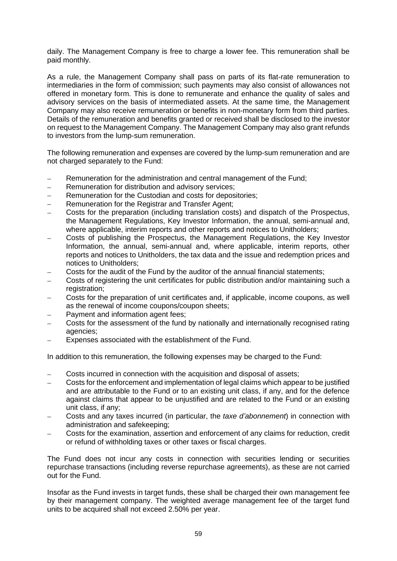daily. The Management Company is free to charge a lower fee. This remuneration shall be paid monthly.

As a rule, the Management Company shall pass on parts of its flat-rate remuneration to intermediaries in the form of commission; such payments may also consist of allowances not offered in monetary form. This is done to remunerate and enhance the quality of sales and advisory services on the basis of intermediated assets. At the same time, the Management Company may also receive remuneration or benefits in non-monetary form from third parties. Details of the remuneration and benefits granted or received shall be disclosed to the investor on request to the Management Company. The Management Company may also grant refunds to investors from the lump-sum remuneration.

The following remuneration and expenses are covered by the lump-sum remuneration and are not charged separately to the Fund:

- Remuneration for the administration and central management of the Fund;
- Remuneration for distribution and advisory services:
- Remuneration for the Custodian and costs for depositories;
- Remuneration for the Registrar and Transfer Agent:
- − Costs for the preparation (including translation costs) and dispatch of the Prospectus, the Management Regulations, Key Investor Information, the annual, semi-annual and, where applicable, interim reports and other reports and notices to Unitholders;
- − Costs of publishing the Prospectus, the Management Regulations, the Key Investor Information, the annual, semi-annual and, where applicable, interim reports, other reports and notices to Unitholders, the tax data and the issue and redemption prices and notices to Unitholders;
- Costs for the audit of the Fund by the auditor of the annual financial statements;
- − Costs of registering the unit certificates for public distribution and/or maintaining such a registration:
- − Costs for the preparation of unit certificates and, if applicable, income coupons, as well as the renewal of income coupons/coupon sheets;
- Payment and information agent fees:
- − Costs for the assessment of the fund by nationally and internationally recognised rating agencies;
- Expenses associated with the establishment of the Fund.

In addition to this remuneration, the following expenses may be charged to the Fund:

- − Costs incurred in connection with the acquisition and disposal of assets;
- Costs for the enforcement and implementation of legal claims which appear to be justified and are attributable to the Fund or to an existing unit class, if any, and for the defence against claims that appear to be unjustified and are related to the Fund or an existing unit class, if any;
- − Costs and any taxes incurred (in particular, the *taxe d'abonnement*) in connection with administration and safekeeping;
- − Costs for the examination, assertion and enforcement of any claims for reduction, credit or refund of withholding taxes or other taxes or fiscal charges.

The Fund does not incur any costs in connection with securities lending or securities repurchase transactions (including reverse repurchase agreements), as these are not carried out for the Fund.

Insofar as the Fund invests in target funds, these shall be charged their own management fee by their management company. The weighted average management fee of the target fund units to be acquired shall not exceed 2.50% per year.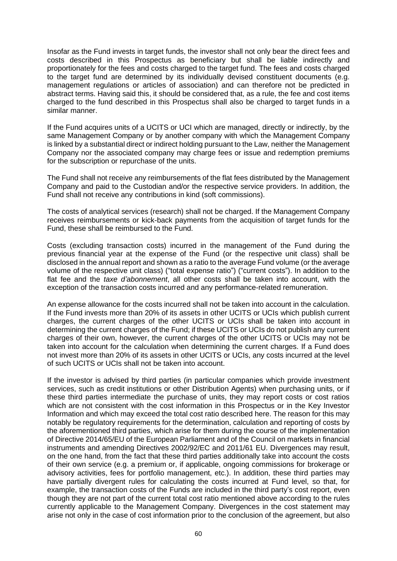Insofar as the Fund invests in target funds, the investor shall not only bear the direct fees and costs described in this Prospectus as beneficiary but shall be liable indirectly and proportionately for the fees and costs charged to the target fund. The fees and costs charged to the target fund are determined by its individually devised constituent documents (e.g. management regulations or articles of association) and can therefore not be predicted in abstract terms. Having said this, it should be considered that, as a rule, the fee and cost items charged to the fund described in this Prospectus shall also be charged to target funds in a similar manner.

If the Fund acquires units of a UCITS or UCI which are managed, directly or indirectly, by the same Management Company or by another company with which the Management Company is linked by a substantial direct or indirect holding pursuant to the Law, neither the Management Company nor the associated company may charge fees or issue and redemption premiums for the subscription or repurchase of the units.

The Fund shall not receive any reimbursements of the flat fees distributed by the Management Company and paid to the Custodian and/or the respective service providers. In addition, the Fund shall not receive any contributions in kind (soft commissions).

The costs of analytical services (research) shall not be charged. If the Management Company receives reimbursements or kick-back payments from the acquisition of target funds for the Fund, these shall be reimbursed to the Fund.

Costs (excluding transaction costs) incurred in the management of the Fund during the previous financial year at the expense of the Fund (or the respective unit class) shall be disclosed in the annual report and shown as a ratio to the average Fund volume (or the average volume of the respective unit class) ("total expense ratio") ("current costs"). In addition to the flat fee and the *taxe d'abonnement*, all other costs shall be taken into account, with the exception of the transaction costs incurred and any performance-related remuneration.

An expense allowance for the costs incurred shall not be taken into account in the calculation. If the Fund invests more than 20% of its assets in other UCITS or UCIs which publish current charges, the current charges of the other UCITS or UCIs shall be taken into account in determining the current charges of the Fund; if these UCITS or UCIs do not publish any current charges of their own, however, the current charges of the other UCITS or UCIs may not be taken into account for the calculation when determining the current charges. If a Fund does not invest more than 20% of its assets in other UCITS or UCIs, any costs incurred at the level of such UCITS or UCIs shall not be taken into account.

If the investor is advised by third parties (in particular companies which provide investment services, such as credit institutions or other Distribution Agents) when purchasing units, or if these third parties intermediate the purchase of units, they may report costs or cost ratios which are not consistent with the cost information in this Prospectus or in the Key Investor Information and which may exceed the total cost ratio described here. The reason for this may notably be regulatory requirements for the determination, calculation and reporting of costs by the aforementioned third parties, which arise for them during the course of the implementation of Directive 2014/65/EU of the European Parliament and of the Council on markets in financial instruments and amending Directives 2002/92/EC and 2011/61 EU. Divergences may result, on the one hand, from the fact that these third parties additionally take into account the costs of their own service (e.g. a premium or, if applicable, ongoing commissions for brokerage or advisory activities, fees for portfolio management, etc.). In addition, these third parties may have partially divergent rules for calculating the costs incurred at Fund level, so that, for example, the transaction costs of the Funds are included in the third party's cost report, even though they are not part of the current total cost ratio mentioned above according to the rules currently applicable to the Management Company. Divergences in the cost statement may arise not only in the case of cost information prior to the conclusion of the agreement, but also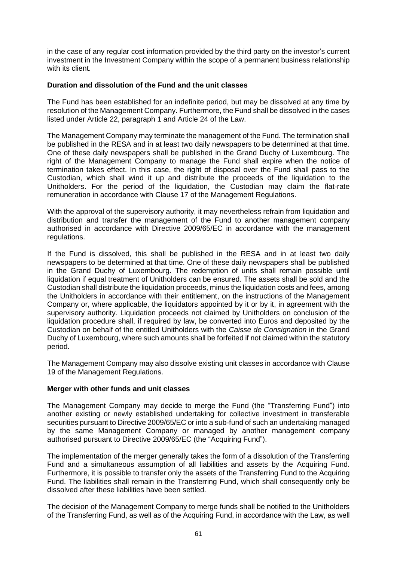in the case of any regular cost information provided by the third party on the investor's current investment in the Investment Company within the scope of a permanent business relationship with its client.

### **Duration and dissolution of the Fund and the unit classes**

The Fund has been established for an indefinite period, but may be dissolved at any time by resolution of the Management Company. Furthermore, the Fund shall be dissolved in the cases listed under Article 22, paragraph 1 and Article 24 of the Law.

The Management Company may terminate the management of the Fund. The termination shall be published in the RESA and in at least two daily newspapers to be determined at that time. One of these daily newspapers shall be published in the Grand Duchy of Luxembourg. The right of the Management Company to manage the Fund shall expire when the notice of termination takes effect. In this case, the right of disposal over the Fund shall pass to the Custodian, which shall wind it up and distribute the proceeds of the liquidation to the Unitholders. For the period of the liquidation, the Custodian may claim the flat-rate remuneration in accordance with Clause 17 of the Management Regulations.

With the approval of the supervisory authority, it may nevertheless refrain from liquidation and distribution and transfer the management of the Fund to another management company authorised in accordance with Directive 2009/65/EC in accordance with the management regulations.

If the Fund is dissolved, this shall be published in the RESA and in at least two daily newspapers to be determined at that time. One of these daily newspapers shall be published in the Grand Duchy of Luxembourg. The redemption of units shall remain possible until liquidation if equal treatment of Unitholders can be ensured. The assets shall be sold and the Custodian shall distribute the liquidation proceeds, minus the liquidation costs and fees, among the Unitholders in accordance with their entitlement, on the instructions of the Management Company or, where applicable, the liquidators appointed by it or by it, in agreement with the supervisory authority. Liquidation proceeds not claimed by Unitholders on conclusion of the liquidation procedure shall, if required by law, be converted into Euros and deposited by the Custodian on behalf of the entitled Unitholders with the *Caisse de Consignation* in the Grand Duchy of Luxembourg, where such amounts shall be forfeited if not claimed within the statutory period.

The Management Company may also dissolve existing unit classes in accordance with Clause 19 of the Management Regulations.

### **Merger with other funds and unit classes**

The Management Company may decide to merge the Fund (the "Transferring Fund") into another existing or newly established undertaking for collective investment in transferable securities pursuant to Directive 2009/65/EC or into a sub-fund of such an undertaking managed by the same Management Company or managed by another management company authorised pursuant to Directive 2009/65/EC (the "Acquiring Fund").

The implementation of the merger generally takes the form of a dissolution of the Transferring Fund and a simultaneous assumption of all liabilities and assets by the Acquiring Fund. Furthermore, it is possible to transfer only the assets of the Transferring Fund to the Acquiring Fund. The liabilities shall remain in the Transferring Fund, which shall consequently only be dissolved after these liabilities have been settled.

The decision of the Management Company to merge funds shall be notified to the Unitholders of the Transferring Fund, as well as of the Acquiring Fund, in accordance with the Law, as well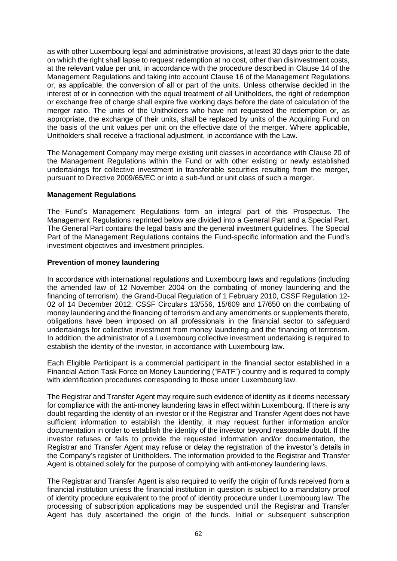as with other Luxembourg legal and administrative provisions, at least 30 days prior to the date on which the right shall lapse to request redemption at no cost, other than disinvestment costs, at the relevant value per unit, in accordance with the procedure described in Clause 14 of the Management Regulations and taking into account Clause 16 of the Management Regulations or, as applicable, the conversion of all or part of the units. Unless otherwise decided in the interest of or in connection with the equal treatment of all Unitholders, the right of redemption or exchange free of charge shall expire five working days before the date of calculation of the merger ratio. The units of the Unitholders who have not requested the redemption or, as appropriate, the exchange of their units, shall be replaced by units of the Acquiring Fund on the basis of the unit values per unit on the effective date of the merger. Where applicable, Unitholders shall receive a fractional adjustment, in accordance with the Law.

The Management Company may merge existing unit classes in accordance with Clause 20 of the Management Regulations within the Fund or with other existing or newly established undertakings for collective investment in transferable securities resulting from the merger, pursuant to Directive 2009/65/EC or into a sub-fund or unit class of such a merger.

### **Management Regulations**

The Fund's Management Regulations form an integral part of this Prospectus. The Management Regulations reprinted below are divided into a General Part and a Special Part. The General Part contains the legal basis and the general investment guidelines. The Special Part of the Management Regulations contains the Fund-specific information and the Fund's investment objectives and investment principles.

# **Prevention of money laundering**

In accordance with international regulations and Luxembourg laws and regulations (including the amended law of 12 November 2004 on the combating of money laundering and the financing of terrorism), the Grand-Ducal Regulation of 1 February 2010, CSSF Regulation 12- 02 of 14 December 2012, CSSF Circulars 13/556, 15/609 and 17/650 on the combating of money laundering and the financing of terrorism and any amendments or supplements thereto, obligations have been imposed on all professionals in the financial sector to safeguard undertakings for collective investment from money laundering and the financing of terrorism. In addition, the administrator of a Luxembourg collective investment undertaking is required to establish the identity of the investor, in accordance with Luxembourg law.

Each Eligible Participant is a commercial participant in the financial sector established in a Financial Action Task Force on Money Laundering ("FATF") country and is required to comply with identification procedures corresponding to those under Luxembourg law.

The Registrar and Transfer Agent may require such evidence of identity as it deems necessary for compliance with the anti-money laundering laws in effect within Luxembourg. If there is any doubt regarding the identity of an investor or if the Registrar and Transfer Agent does not have sufficient information to establish the identity, it may request further information and/or documentation in order to establish the identity of the investor beyond reasonable doubt. If the investor refuses or fails to provide the requested information and/or documentation, the Registrar and Transfer Agent may refuse or delay the registration of the investor's details in the Company's register of Unitholders. The information provided to the Registrar and Transfer Agent is obtained solely for the purpose of complying with anti-money laundering laws.

The Registrar and Transfer Agent is also required to verify the origin of funds received from a financial institution unless the financial institution in question is subject to a mandatory proof of identity procedure equivalent to the proof of identity procedure under Luxembourg law. The processing of subscription applications may be suspended until the Registrar and Transfer Agent has duly ascertained the origin of the funds. Initial or subsequent subscription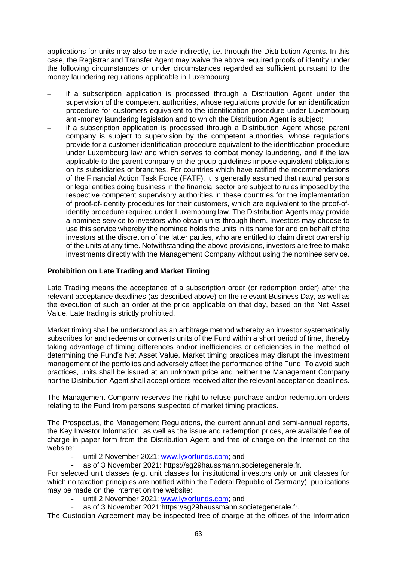applications for units may also be made indirectly, i.e. through the Distribution Agents. In this case, the Registrar and Transfer Agent may waive the above required proofs of identity under the following circumstances or under circumstances regarded as sufficient pursuant to the money laundering regulations applicable in Luxembourg:

- if a subscription application is processed through a Distribution Agent under the supervision of the competent authorities, whose regulations provide for an identification procedure for customers equivalent to the identification procedure under Luxembourg anti-money laundering legislation and to which the Distribution Agent is subject;
- if a subscription application is processed through a Distribution Agent whose parent company is subject to supervision by the competent authorities, whose regulations provide for a customer identification procedure equivalent to the identification procedure under Luxembourg law and which serves to combat money laundering, and if the law applicable to the parent company or the group guidelines impose equivalent obligations on its subsidiaries or branches. For countries which have ratified the recommendations of the Financial Action Task Force (FATF), it is generally assumed that natural persons or legal entities doing business in the financial sector are subject to rules imposed by the respective competent supervisory authorities in these countries for the implementation of proof-of-identity procedures for their customers, which are equivalent to the proof-ofidentity procedure required under Luxembourg law. The Distribution Agents may provide a nominee service to investors who obtain units through them. Investors may choose to use this service whereby the nominee holds the units in its name for and on behalf of the investors at the discretion of the latter parties, who are entitled to claim direct ownership of the units at any time. Notwithstanding the above provisions, investors are free to make investments directly with the Management Company without using the nominee service.

# **Prohibition on Late Trading and Market Timing**

Late Trading means the acceptance of a subscription order (or redemption order) after the relevant acceptance deadlines (as described above) on the relevant Business Day, as well as the execution of such an order at the price applicable on that day, based on the Net Asset Value. Late trading is strictly prohibited.

Market timing shall be understood as an arbitrage method whereby an investor systematically subscribes for and redeems or converts units of the Fund within a short period of time, thereby taking advantage of timing differences and/or inefficiencies or deficiencies in the method of determining the Fund's Net Asset Value. Market timing practices may disrupt the investment management of the portfolios and adversely affect the performance of the Fund. To avoid such practices, units shall be issued at an unknown price and neither the Management Company nor the Distribution Agent shall accept orders received after the relevant acceptance deadlines.

The Management Company reserves the right to refuse purchase and/or redemption orders relating to the Fund from persons suspected of market timing practices.

The Prospectus, the Management Regulations, the current annual and semi-annual reports, the Key Investor Information, as well as the issue and redemption prices, are available free of charge in paper form from the Distribution Agent and free of charge on the Internet on the website:

- until 2 November 2021: [www.lyxorfunds.com;](http://www.lyxorfunds.com/) and
- as of 3 November 2021: https://sg29haussmann.societegenerale.fr.

For selected unit classes (e.g. unit classes for institutional investors only or unit classes for which no taxation principles are notified within the Federal Republic of Germany), publications may be made on the Internet on the website:

- until 2 November 2021: [www.lyxorfunds.com;](http://www.lyxorfunds.com/) and
- as of 3 November 2021:https://sg29haussmann.societegenerale.fr.

The Custodian Agreement may be inspected free of charge at the offices of the Information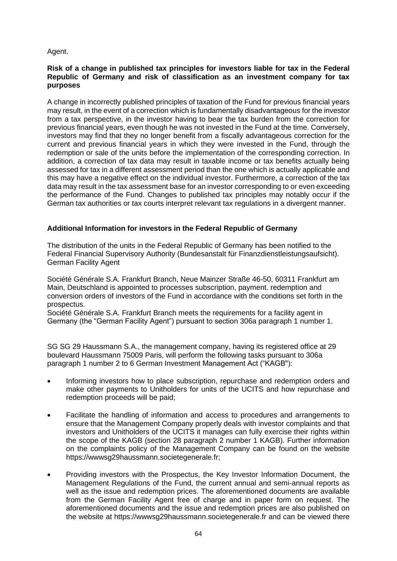# Agent.

#### **Risk of a change in published tax principles for investors liable for tax in the Federal Republic of Germany and risk of classification as an investment company for tax purposes**

A change in incorrectly published principles of taxation of the Fund for previous financial years may result, in the event of a correction which is fundamentally disadvantageous for the investor from a tax perspective, in the investor having to bear the tax burden from the correction for previous financial years, even though he was not invested in the Fund at the time. Conversely, investors may find that they no longer benefit from a fiscally advantageous correction for the current and previous financial years in which they were invested in the Fund, through the redemption or sale of the units before the implementation of the corresponding correction. In addition, a correction of tax data may result in taxable income or tax benefits actually being assessed for tax in a different assessment period than the one which is actually applicable and this may have a negative effect on the individual investor. Furthermore, a correction of the tax data may result in the tax assessment base for an investor corresponding to or even exceeding the performance of the Fund. Changes to published tax principles may notably occur if the German tax authorities or tax courts interpret relevant tax regulations in a divergent manner.

# **Additional Information for investors in the Federal Republic of Germany**

The distribution of the units in the Federal Republic of Germany has been notified to the Federal Financial Supervisory Authority (Bundesanstalt für Finanzdienstleistungsaufsicht). German Facility Agent

Société Générale S.A. Frankfurt Branch, Neue Mainzer Straße 46-50, 60311 Frankfurt am Main, Deutschland is appointed to processes subscription, payment. redemption and conversion orders of investors of the Fund in accordance with the conditions set forth in the prospectus.

Société Générale S.A. Frankfurt Branch meets the requirements for a facility agent in Germany (the "German Facility Agent") pursuant to section 306a paragraph 1 number 1.

SG SG 29 Haussmann S.A., the management company, having its registered office at 29 boulevard Haussmann 75009 Paris, will perform the following tasks pursuant to 306a paragraph 1 number 2 to 6 German Investment Management Act ("KAGB"):

- Informing investors how to place subscription, repurchase and redemption orders and make other payments to Unitholders for units of the UCITS and how repurchase and redemption proceeds will be paid;
- Facilitate the handling of information and access to procedures and arrangements to ensure that the Management Company properly deals with investor complaints and that investors and Unitholders of the UCITS it manages can fully exercise their rights within the scope of the KAGB (section 28 paragraph 2 number 1 KAGB). Further information on the complaints policy of the Management Company can be found on the website https://wwwsg29haussmann.societegenerale.fr;
- Providing investors with the Prospectus, the Key Investor Information Document, the Management Regulations of the Fund, the current annual and semi-annual reports as well as the issue and redemption prices. The aforementioned documents are available from the German Facility Agent free of charge and in paper form on request. The aforementioned documents and the issue and redemption prices are also published on the website at https://wwwsg29haussmann.societegenerale.fr and can be viewed there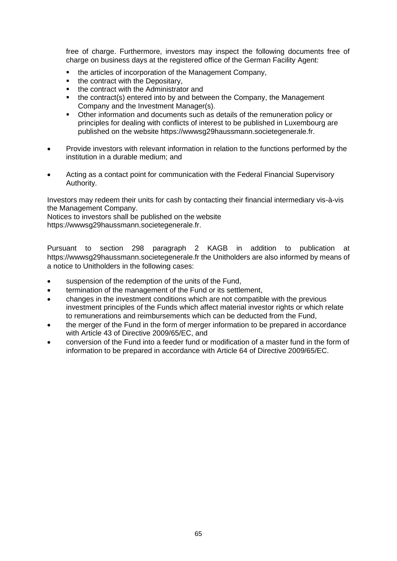free of charge. Furthermore, investors may inspect the following documents free of charge on business days at the registered office of the German Facility Agent:

- the articles of incorporation of the Management Company,
- the contract with the Depositary,
- the contract with the Administrator and
- the contract(s) entered into by and between the Company, the Management Company and the Investment Manager(s).
- Other information and documents such as details of the remuneration policy or principles for dealing with conflicts of interest to be published in Luxembourg are published on the website https://wwwsg29haussmann.societegenerale.fr.
- Provide investors with relevant information in relation to the functions performed by the institution in a durable medium; and
- Acting as a contact point for communication with the Federal Financial Supervisory Authority.

Investors may redeem their units for cash by contacting their financial intermediary vis-à-vis the Management Company.

Notices to investors shall be published on the website

https://wwwsg29haussmann.societegenerale.fr.

Pursuant to section 298 paragraph 2 KAGB in addition to publication at https://wwwsg29haussmann.societegenerale.fr the Unitholders are also informed by means of a notice to Unitholders in the following cases:

- suspension of the redemption of the units of the Fund,
- termination of the management of the Fund or its settlement,
- changes in the investment conditions which are not compatible with the previous investment principles of the Funds which affect material investor rights or which relate to remunerations and reimbursements which can be deducted from the Fund,
- the merger of the Fund in the form of merger information to be prepared in accordance with Article 43 of Directive 2009/65/EC, and
- conversion of the Fund into a feeder fund or modification of a master fund in the form of information to be prepared in accordance with Article 64 of Directive 2009/65/EC.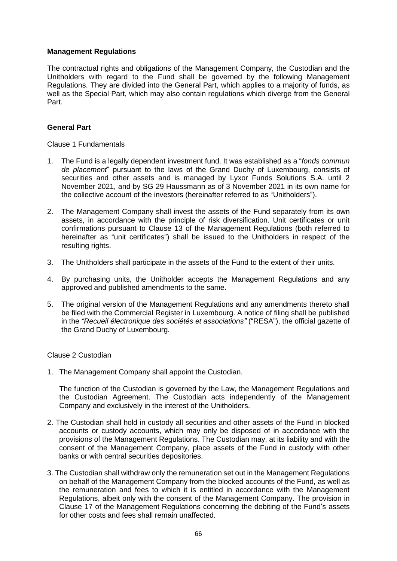### **Management Regulations**

The contractual rights and obligations of the Management Company, the Custodian and the Unitholders with regard to the Fund shall be governed by the following Management Regulations. They are divided into the General Part, which applies to a majority of funds, as well as the Special Part, which may also contain regulations which diverge from the General Part.

#### **General Part**

Clause 1 Fundamentals

- 1. The Fund is a legally dependent investment fund. It was established as a "*fonds commun de placement*" pursuant to the laws of the Grand Duchy of Luxembourg, consists of securities and other assets and is managed by Lyxor Funds Solutions S.A. until 2 November 2021, and by SG 29 Haussmann as of 3 November 2021 in its own name for the collective account of the investors (hereinafter referred to as "Unitholders").
- 2. The Management Company shall invest the assets of the Fund separately from its own assets, in accordance with the principle of risk diversification. Unit certificates or unit confirmations pursuant to Clause 13 of the Management Regulations (both referred to hereinafter as "unit certificates") shall be issued to the Unitholders in respect of the resulting rights.
- 3. The Unitholders shall participate in the assets of the Fund to the extent of their units.
- 4. By purchasing units, the Unitholder accepts the Management Regulations and any approved and published amendments to the same.
- 5. The original version of the Management Regulations and any amendments thereto shall be filed with the Commercial Register in Luxembourg. A notice of filing shall be published in the *"Recueil électronique des sociétés et associations"* ("RESA"), the official gazette of the Grand Duchy of Luxembourg.

#### Clause 2 Custodian

1. The Management Company shall appoint the Custodian.

The function of the Custodian is governed by the Law, the Management Regulations and the Custodian Agreement. The Custodian acts independently of the Management Company and exclusively in the interest of the Unitholders.

- 2. The Custodian shall hold in custody all securities and other assets of the Fund in blocked accounts or custody accounts, which may only be disposed of in accordance with the provisions of the Management Regulations. The Custodian may, at its liability and with the consent of the Management Company, place assets of the Fund in custody with other banks or with central securities depositories.
- 3. The Custodian shall withdraw only the remuneration set out in the Management Regulations on behalf of the Management Company from the blocked accounts of the Fund, as well as the remuneration and fees to which it is entitled in accordance with the Management Regulations, albeit only with the consent of the Management Company. The provision in Clause 17 of the Management Regulations concerning the debiting of the Fund's assets for other costs and fees shall remain unaffected.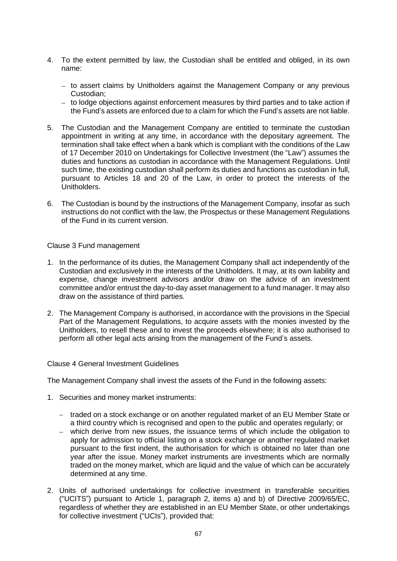- 4. To the extent permitted by law, the Custodian shall be entitled and obliged, in its own name:
	- − to assert claims by Unitholders against the Management Company or any previous Custodian;
	- − to lodge objections against enforcement measures by third parties and to take action if the Fund's assets are enforced due to a claim for which the Fund's assets are not liable.
- 5. The Custodian and the Management Company are entitled to terminate the custodian appointment in writing at any time, in accordance with the depositary agreement. The termination shall take effect when a bank which is compliant with the conditions of the Law of 17 December 2010 on Undertakings for Collective Investment (the "Law") assumes the duties and functions as custodian in accordance with the Management Regulations. Until such time, the existing custodian shall perform its duties and functions as custodian in full, pursuant to Articles 18 and 20 of the Law, in order to protect the interests of the Unitholders.
- 6. The Custodian is bound by the instructions of the Management Company, insofar as such instructions do not conflict with the law, the Prospectus or these Management Regulations of the Fund in its current version.

#### Clause 3 Fund management

- 1. In the performance of its duties, the Management Company shall act independently of the Custodian and exclusively in the interests of the Unitholders. It may, at its own liability and expense, change investment advisors and/or draw on the advice of an investment committee and/or entrust the day-to-day asset management to a fund manager. It may also draw on the assistance of third parties.
- 2. The Management Company is authorised, in accordance with the provisions in the Special Part of the Management Regulations, to acquire assets with the monies invested by the Unitholders, to resell these and to invest the proceeds elsewhere; it is also authorised to perform all other legal acts arising from the management of the Fund's assets.

### Clause 4 General Investment Guidelines

The Management Company shall invest the assets of the Fund in the following assets:

- 1. Securities and money market instruments:
	- − traded on a stock exchange or on another regulated market of an EU Member State or a third country which is recognised and open to the public and operates regularly; or
	- − which derive from new issues, the issuance terms of which include the obligation to apply for admission to official listing on a stock exchange or another regulated market pursuant to the first indent, the authorisation for which is obtained no later than one year after the issue. Money market instruments are investments which are normally traded on the money market, which are liquid and the value of which can be accurately determined at any time.
- 2. Units of authorised undertakings for collective investment in transferable securities ("UCITS") pursuant to Article 1, paragraph 2, items a) and b) of Directive 2009/65/EC, regardless of whether they are established in an EU Member State, or other undertakings for collective investment ("UCIs"), provided that: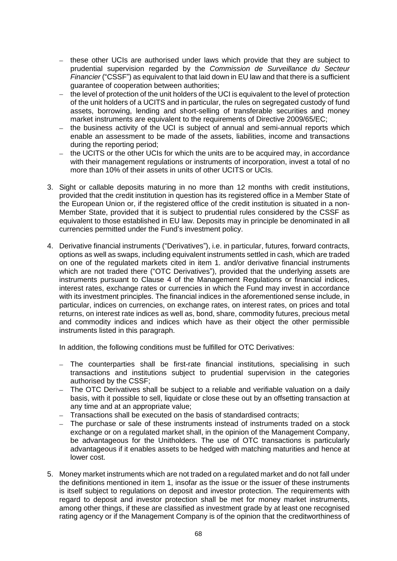- − these other UCIs are authorised under laws which provide that they are subject to prudential supervision regarded by the *Commission de Surveillance du Secteur Financier* ("CSSF") as equivalent to that laid down in EU law and that there is a sufficient guarantee of cooperation between authorities;
- − the level of protection of the unit holders of the UCI is equivalent to the level of protection of the unit holders of a UCITS and in particular, the rules on segregated custody of fund assets, borrowing, lending and short-selling of transferable securities and money market instruments are equivalent to the requirements of Directive 2009/65/EC;
- − the business activity of the UCI is subject of annual and semi-annual reports which enable an assessment to be made of the assets, liabilities, income and transactions during the reporting period;
- − the UCITS or the other UCIs for which the units are to be acquired may, in accordance with their management regulations or instruments of incorporation, invest a total of no more than 10% of their assets in units of other UCITS or UCIs.
- 3. Sight or callable deposits maturing in no more than 12 months with credit institutions, provided that the credit institution in question has its registered office in a Member State of the European Union or, if the registered office of the credit institution is situated in a non-Member State, provided that it is subject to prudential rules considered by the CSSF as equivalent to those established in EU law. Deposits may in principle be denominated in all currencies permitted under the Fund's investment policy.
- 4. Derivative financial instruments ("Derivatives"), i.e. in particular, futures, forward contracts, options as well as swaps, including equivalent instruments settled in cash, which are traded on one of the regulated markets cited in item 1. and/or derivative financial instruments which are not traded there ("OTC Derivatives"), provided that the underlying assets are instruments pursuant to Clause 4 of the Management Regulations or financial indices, interest rates, exchange rates or currencies in which the Fund may invest in accordance with its investment principles. The financial indices in the aforementioned sense include, in particular, indices on currencies, on exchange rates, on interest rates, on prices and total returns, on interest rate indices as well as, bond, share, commodity futures, precious metal and commodity indices and indices which have as their object the other permissible instruments listed in this paragraph.

In addition, the following conditions must be fulfilled for OTC Derivatives:

- − The counterparties shall be first-rate financial institutions, specialising in such transactions and institutions subject to prudential supervision in the categories authorised by the CSSF;
- − The OTC Derivatives shall be subject to a reliable and verifiable valuation on a daily basis, with it possible to sell, liquidate or close these out by an offsetting transaction at any time and at an appropriate value;
- − Transactions shall be executed on the basis of standardised contracts;
- − The purchase or sale of these instruments instead of instruments traded on a stock exchange or on a regulated market shall, in the opinion of the Management Company, be advantageous for the Unitholders. The use of OTC transactions is particularly advantageous if it enables assets to be hedged with matching maturities and hence at lower cost.
- 5. Money market instruments which are not traded on a regulated market and do not fall under the definitions mentioned in item 1, insofar as the issue or the issuer of these instruments is itself subject to regulations on deposit and investor protection. The requirements with regard to deposit and investor protection shall be met for money market instruments, among other things, if these are classified as investment grade by at least one recognised rating agency or if the Management Company is of the opinion that the creditworthiness of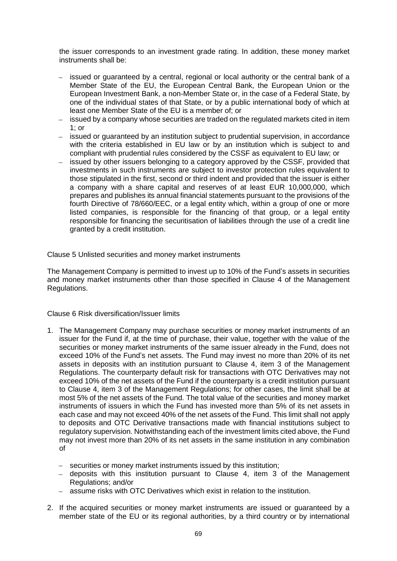the issuer corresponds to an investment grade rating. In addition, these money market instruments shall be:

- − issued or guaranteed by a central, regional or local authority or the central bank of a Member State of the EU, the European Central Bank, the European Union or the European Investment Bank, a non-Member State or, in the case of a Federal State, by one of the individual states of that State, or by a public international body of which at least one Member State of the EU is a member of; or
- − issued by a company whose securities are traded on the regulated markets cited in item 1; or
- − issued or guaranteed by an institution subject to prudential supervision, in accordance with the criteria established in EU law or by an institution which is subject to and compliant with prudential rules considered by the CSSF as equivalent to EU law; or
- − issued by other issuers belonging to a category approved by the CSSF, provided that investments in such instruments are subject to investor protection rules equivalent to those stipulated in the first, second or third indent and provided that the issuer is either a company with a share capital and reserves of at least EUR 10,000,000, which prepares and publishes its annual financial statements pursuant to the provisions of the fourth Directive of 78/660/EEC, or a legal entity which, within a group of one or more listed companies, is responsible for the financing of that group, or a legal entity responsible for financing the securitisation of liabilities through the use of a credit line granted by a credit institution.

Clause 5 Unlisted securities and money market instruments

The Management Company is permitted to invest up to 10% of the Fund's assets in securities and money market instruments other than those specified in Clause 4 of the Management Regulations.

Clause 6 Risk diversification/Issuer limits

- 1. The Management Company may purchase securities or money market instruments of an issuer for the Fund if, at the time of purchase, their value, together with the value of the securities or money market instruments of the same issuer already in the Fund, does not exceed 10% of the Fund's net assets. The Fund may invest no more than 20% of its net assets in deposits with an institution pursuant to Clause 4, item 3 of the Management Regulations. The counterparty default risk for transactions with OTC Derivatives may not exceed 10% of the net assets of the Fund if the counterparty is a credit institution pursuant to Clause 4, item 3 of the Management Regulations; for other cases, the limit shall be at most 5% of the net assets of the Fund. The total value of the securities and money market instruments of issuers in which the Fund has invested more than 5% of its net assets in each case and may not exceed 40% of the net assets of the Fund. This limit shall not apply to deposits and OTC Derivative transactions made with financial institutions subject to regulatory supervision. Notwithstanding each of the investment limits cited above, the Fund may not invest more than 20% of its net assets in the same institution in any combination of
	- − securities or money market instruments issued by this institution;
	- − deposits with this institution pursuant to Clause 4, item 3 of the Management Regulations; and/or
	- − assume risks with OTC Derivatives which exist in relation to the institution.
- 2. If the acquired securities or money market instruments are issued or guaranteed by a member state of the EU or its regional authorities, by a third country or by international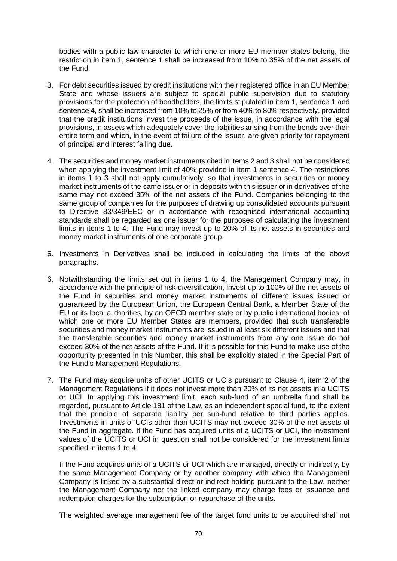bodies with a public law character to which one or more EU member states belong, the restriction in item 1, sentence 1 shall be increased from 10% to 35% of the net assets of the Fund.

- 3. For debt securities issued by credit institutions with their registered office in an EU Member State and whose issuers are subject to special public supervision due to statutory provisions for the protection of bondholders, the limits stipulated in item 1, sentence 1 and sentence 4, shall be increased from 10% to 25% or from 40% to 80% respectively, provided that the credit institutions invest the proceeds of the issue, in accordance with the legal provisions, in assets which adequately cover the liabilities arising from the bonds over their entire term and which, in the event of failure of the Issuer, are given priority for repayment of principal and interest falling due.
- 4. The securities and money market instruments cited in items 2 and 3 shall not be considered when applying the investment limit of 40% provided in item 1 sentence 4. The restrictions in items 1 to 3 shall not apply cumulatively, so that investments in securities or money market instruments of the same issuer or in deposits with this issuer or in derivatives of the same may not exceed 35% of the net assets of the Fund. Companies belonging to the same group of companies for the purposes of drawing up consolidated accounts pursuant to Directive 83/349/EEC or in accordance with recognised international accounting standards shall be regarded as one issuer for the purposes of calculating the investment limits in items 1 to 4. The Fund may invest up to 20% of its net assets in securities and money market instruments of one corporate group.
- 5. Investments in Derivatives shall be included in calculating the limits of the above paragraphs.
- 6. Notwithstanding the limits set out in items 1 to 4, the Management Company may, in accordance with the principle of risk diversification, invest up to 100% of the net assets of the Fund in securities and money market instruments of different issues issued or guaranteed by the European Union, the European Central Bank, a Member State of the EU or its local authorities, by an OECD member state or by public international bodies, of which one or more EU Member States are members, provided that such transferable securities and money market instruments are issued in at least six different issues and that the transferable securities and money market instruments from any one issue do not exceed 30% of the net assets of the Fund. If it is possible for this Fund to make use of the opportunity presented in this Number, this shall be explicitly stated in the Special Part of the Fund's Management Regulations.
- 7. The Fund may acquire units of other UCITS or UCIs pursuant to Clause 4, item 2 of the Management Regulations if it does not invest more than 20% of its net assets in a UCITS or UCI. In applying this investment limit, each sub-fund of an umbrella fund shall be regarded, pursuant to Article 181 of the Law, as an independent special fund, to the extent that the principle of separate liability per sub-fund relative to third parties applies. Investments in units of UCIs other than UCITS may not exceed 30% of the net assets of the Fund in aggregate. If the Fund has acquired units of a UCITS or UCI, the investment values of the UCITS or UCI in question shall not be considered for the investment limits specified in items 1 to 4.

If the Fund acquires units of a UCITS or UCI which are managed, directly or indirectly, by the same Management Company or by another company with which the Management Company is linked by a substantial direct or indirect holding pursuant to the Law, neither the Management Company nor the linked company may charge fees or issuance and redemption charges for the subscription or repurchase of the units.

The weighted average management fee of the target fund units to be acquired shall not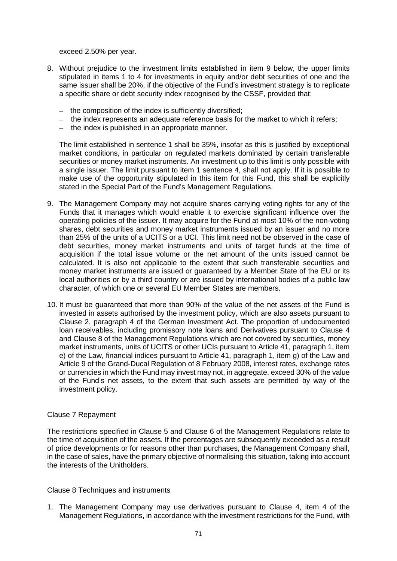exceed 2.50% per year.

- 8. Without prejudice to the investment limits established in item 9 below, the upper limits stipulated in items 1 to 4 for investments in equity and/or debt securities of one and the same issuer shall be 20%, if the objective of the Fund's investment strategy is to replicate a specific share or debt security index recognised by the CSSF, provided that:
	- − the composition of the index is sufficiently diversified;
	- − the index represents an adequate reference basis for the market to which it refers;
	- − the index is published in an appropriate manner.

The limit established in sentence 1 shall be 35%, insofar as this is justified by exceptional market conditions, in particular on regulated markets dominated by certain transferable securities or money market instruments. An investment up to this limit is only possible with a single issuer. The limit pursuant to item 1 sentence 4, shall not apply. If it is possible to make use of the opportunity stipulated in this item for this Fund, this shall be explicitly stated in the Special Part of the Fund's Management Regulations.

- 9. The Management Company may not acquire shares carrying voting rights for any of the Funds that it manages which would enable it to exercise significant influence over the operating policies of the issuer. It may acquire for the Fund at most 10% of the non-voting shares, debt securities and money market instruments issued by an issuer and no more than 25% of the units of a UCITS or a UCI. This limit need not be observed in the case of debt securities, money market instruments and units of target funds at the time of acquisition if the total issue volume or the net amount of the units issued cannot be calculated. It is also not applicable to the extent that such transferable securities and money market instruments are issued or guaranteed by a Member State of the EU or its local authorities or by a third country or are issued by international bodies of a public law character, of which one or several EU Member States are members.
- 10. It must be guaranteed that more than 90% of the value of the net assets of the Fund is invested in assets authorised by the investment policy, which are also assets pursuant to Clause 2, paragraph 4 of the German Investment Act. The proportion of undocumented loan receivables, including promissory note loans and Derivatives pursuant to Clause 4 and Clause 8 of the Management Regulations which are not covered by securities, money market instruments, units of UCITS or other UCIs pursuant to Article 41, paragraph 1, item e) of the Law, financial indices pursuant to Article 41, paragraph 1, item g) of the Law and Article 9 of the Grand-Ducal Regulation of 8 February 2008, interest rates, exchange rates or currencies in which the Fund may invest may not, in aggregate, exceed 30% of the value of the Fund's net assets, to the extent that such assets are permitted by way of the investment policy.

#### Clause 7 Repayment

The restrictions specified in Clause 5 and Clause 6 of the Management Regulations relate to the time of acquisition of the assets. If the percentages are subsequently exceeded as a result of price developments or for reasons other than purchases, the Management Company shall, in the case of sales, have the primary objective of normalising this situation, taking into account the interests of the Unitholders.

#### Clause 8 Techniques and instruments

1. The Management Company may use derivatives pursuant to Clause 4, item 4 of the Management Regulations, in accordance with the investment restrictions for the Fund, with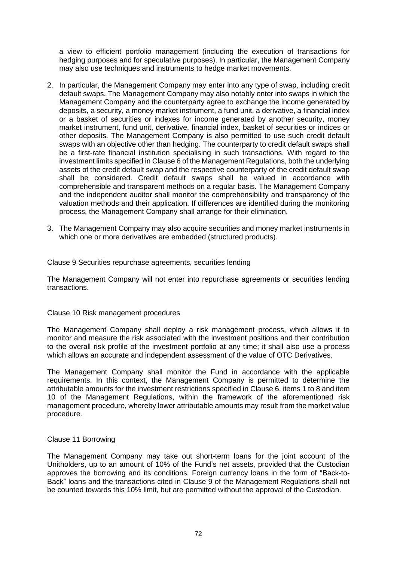a view to efficient portfolio management (including the execution of transactions for hedging purposes and for speculative purposes). In particular, the Management Company may also use techniques and instruments to hedge market movements.

- 2. In particular, the Management Company may enter into any type of swap, including credit default swaps. The Management Company may also notably enter into swaps in which the Management Company and the counterparty agree to exchange the income generated by deposits, a security, a money market instrument, a fund unit, a derivative, a financial index or a basket of securities or indexes for income generated by another security, money market instrument, fund unit, derivative, financial index, basket of securities or indices or other deposits. The Management Company is also permitted to use such credit default swaps with an objective other than hedging. The counterparty to credit default swaps shall be a first-rate financial institution specialising in such transactions. With regard to the investment limits specified in Clause 6 of the Management Regulations, both the underlying assets of the credit default swap and the respective counterparty of the credit default swap shall be considered. Credit default swaps shall be valued in accordance with comprehensible and transparent methods on a regular basis. The Management Company and the independent auditor shall monitor the comprehensibility and transparency of the valuation methods and their application. If differences are identified during the monitoring process, the Management Company shall arrange for their elimination.
- 3. The Management Company may also acquire securities and money market instruments in which one or more derivatives are embedded (structured products).

Clause 9 Securities repurchase agreements, securities lending

The Management Company will not enter into repurchase agreements or securities lending transactions.

#### Clause 10 Risk management procedures

The Management Company shall deploy a risk management process, which allows it to monitor and measure the risk associated with the investment positions and their contribution to the overall risk profile of the investment portfolio at any time; it shall also use a process which allows an accurate and independent assessment of the value of OTC Derivatives.

The Management Company shall monitor the Fund in accordance with the applicable requirements. In this context, the Management Company is permitted to determine the attributable amounts for the investment restrictions specified in Clause 6, items 1 to 8 and item 10 of the Management Regulations, within the framework of the aforementioned risk management procedure, whereby lower attributable amounts may result from the market value procedure.

### Clause 11 Borrowing

The Management Company may take out short-term loans for the joint account of the Unitholders, up to an amount of 10% of the Fund's net assets, provided that the Custodian approves the borrowing and its conditions. Foreign currency loans in the form of "Back-to-Back" loans and the transactions cited in Clause 9 of the Management Regulations shall not be counted towards this 10% limit, but are permitted without the approval of the Custodian.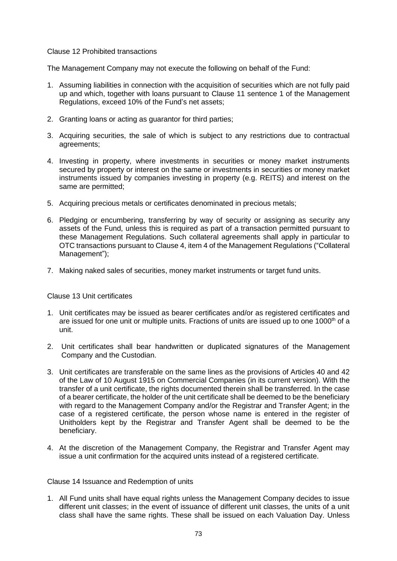### Clause 12 Prohibited transactions

The Management Company may not execute the following on behalf of the Fund:

- 1. Assuming liabilities in connection with the acquisition of securities which are not fully paid up and which, together with loans pursuant to Clause 11 sentence 1 of the Management Regulations, exceed 10% of the Fund's net assets;
- 2. Granting loans or acting as guarantor for third parties;
- 3. Acquiring securities, the sale of which is subject to any restrictions due to contractual agreements;
- 4. Investing in property, where investments in securities or money market instruments secured by property or interest on the same or investments in securities or money market instruments issued by companies investing in property (e.g. REITS) and interest on the same are permitted;
- 5. Acquiring precious metals or certificates denominated in precious metals;
- 6. Pledging or encumbering, transferring by way of security or assigning as security any assets of the Fund, unless this is required as part of a transaction permitted pursuant to these Management Regulations. Such collateral agreements shall apply in particular to OTC transactions pursuant to Clause 4, item 4 of the Management Regulations ("Collateral Management");
- 7. Making naked sales of securities, money market instruments or target fund units.

# Clause 13 Unit certificates

- 1. Unit certificates may be issued as bearer certificates and/or as registered certificates and are issued for one unit or multiple units. Fractions of units are issued up to one 1000<sup>th</sup> of a unit.
- 2. Unit certificates shall bear handwritten or duplicated signatures of the Management Company and the Custodian.
- 3. Unit certificates are transferable on the same lines as the provisions of Articles 40 and 42 of the Law of 10 August 1915 on Commercial Companies (in its current version). With the transfer of a unit certificate, the rights documented therein shall be transferred. In the case of a bearer certificate, the holder of the unit certificate shall be deemed to be the beneficiary with regard to the Management Company and/or the Registrar and Transfer Agent; in the case of a registered certificate, the person whose name is entered in the register of Unitholders kept by the Registrar and Transfer Agent shall be deemed to be the beneficiary.
- 4. At the discretion of the Management Company, the Registrar and Transfer Agent may issue a unit confirmation for the acquired units instead of a registered certificate.

Clause 14 Issuance and Redemption of units

1. All Fund units shall have equal rights unless the Management Company decides to issue different unit classes; in the event of issuance of different unit classes, the units of a unit class shall have the same rights. These shall be issued on each Valuation Day. Unless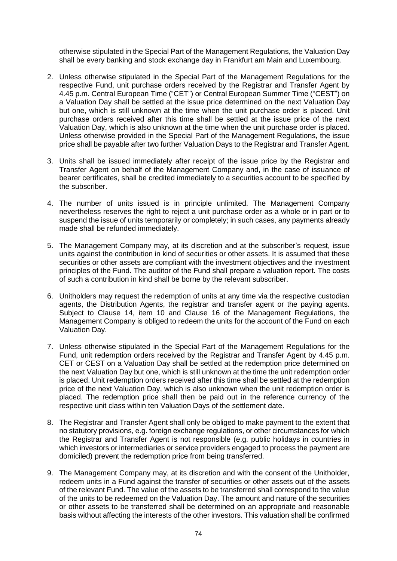otherwise stipulated in the Special Part of the Management Regulations, the Valuation Day shall be every banking and stock exchange day in Frankfurt am Main and Luxembourg.

- 2. Unless otherwise stipulated in the Special Part of the Management Regulations for the respective Fund, unit purchase orders received by the Registrar and Transfer Agent by 4.45 p.m. Central European Time ("CET") or Central European Summer Time ("CEST") on a Valuation Day shall be settled at the issue price determined on the next Valuation Day but one, which is still unknown at the time when the unit purchase order is placed. Unit purchase orders received after this time shall be settled at the issue price of the next Valuation Day, which is also unknown at the time when the unit purchase order is placed. Unless otherwise provided in the Special Part of the Management Regulations, the issue price shall be payable after two further Valuation Days to the Registrar and Transfer Agent.
- 3. Units shall be issued immediately after receipt of the issue price by the Registrar and Transfer Agent on behalf of the Management Company and, in the case of issuance of bearer certificates, shall be credited immediately to a securities account to be specified by the subscriber.
- 4. The number of units issued is in principle unlimited. The Management Company nevertheless reserves the right to reject a unit purchase order as a whole or in part or to suspend the issue of units temporarily or completely; in such cases, any payments already made shall be refunded immediately.
- 5. The Management Company may, at its discretion and at the subscriber's request, issue units against the contribution in kind of securities or other assets. It is assumed that these securities or other assets are compliant with the investment objectives and the investment principles of the Fund. The auditor of the Fund shall prepare a valuation report. The costs of such a contribution in kind shall be borne by the relevant subscriber.
- 6. Unitholders may request the redemption of units at any time via the respective custodian agents, the Distribution Agents, the registrar and transfer agent or the paying agents. Subject to Clause 14, item 10 and Clause 16 of the Management Regulations, the Management Company is obliged to redeem the units for the account of the Fund on each Valuation Day.
- 7. Unless otherwise stipulated in the Special Part of the Management Regulations for the Fund, unit redemption orders received by the Registrar and Transfer Agent by 4.45 p.m. CET or CEST on a Valuation Day shall be settled at the redemption price determined on the next Valuation Day but one, which is still unknown at the time the unit redemption order is placed. Unit redemption orders received after this time shall be settled at the redemption price of the next Valuation Day, which is also unknown when the unit redemption order is placed. The redemption price shall then be paid out in the reference currency of the respective unit class within ten Valuation Days of the settlement date.
- 8. The Registrar and Transfer Agent shall only be obliged to make payment to the extent that no statutory provisions, e.g. foreign exchange regulations, or other circumstances for which the Registrar and Transfer Agent is not responsible (e.g. public holidays in countries in which investors or intermediaries or service providers engaged to process the payment are domiciled) prevent the redemption price from being transferred.
- 9. The Management Company may, at its discretion and with the consent of the Unitholder, redeem units in a Fund against the transfer of securities or other assets out of the assets of the relevant Fund. The value of the assets to be transferred shall correspond to the value of the units to be redeemed on the Valuation Day. The amount and nature of the securities or other assets to be transferred shall be determined on an appropriate and reasonable basis without affecting the interests of the other investors. This valuation shall be confirmed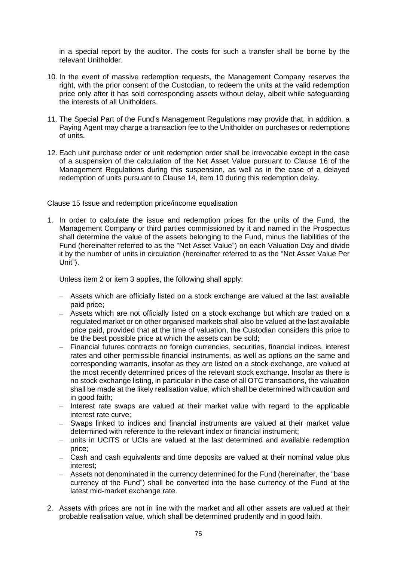in a special report by the auditor. The costs for such a transfer shall be borne by the relevant Unitholder.

- 10. In the event of massive redemption requests, the Management Company reserves the right, with the prior consent of the Custodian, to redeem the units at the valid redemption price only after it has sold corresponding assets without delay, albeit while safeguarding the interests of all Unitholders.
- 11. The Special Part of the Fund's Management Regulations may provide that, in addition, a Paying Agent may charge a transaction fee to the Unitholder on purchases or redemptions of units.
- 12. Each unit purchase order or unit redemption order shall be irrevocable except in the case of a suspension of the calculation of the Net Asset Value pursuant to Clause 16 of the Management Regulations during this suspension, as well as in the case of a delayed redemption of units pursuant to Clause 14, item 10 during this redemption delay.

Clause 15 Issue and redemption price/income equalisation

1. In order to calculate the issue and redemption prices for the units of the Fund, the Management Company or third parties commissioned by it and named in the Prospectus shall determine the value of the assets belonging to the Fund, minus the liabilities of the Fund (hereinafter referred to as the "Net Asset Value") on each Valuation Day and divide it by the number of units in circulation (hereinafter referred to as the "Net Asset Value Per Unit").

Unless item 2 or item 3 applies, the following shall apply:

- − Assets which are officially listed on a stock exchange are valued at the last available paid price;
- − Assets which are not officially listed on a stock exchange but which are traded on a regulated market or on other organised markets shall also be valued at the last available price paid, provided that at the time of valuation, the Custodian considers this price to be the best possible price at which the assets can be sold;
- − Financial futures contracts on foreign currencies, securities, financial indices, interest rates and other permissible financial instruments, as well as options on the same and corresponding warrants, insofar as they are listed on a stock exchange, are valued at the most recently determined prices of the relevant stock exchange. Insofar as there is no stock exchange listing, in particular in the case of all OTC transactions, the valuation shall be made at the likely realisation value, which shall be determined with caution and in good faith;
- − Interest rate swaps are valued at their market value with regard to the applicable interest rate curve;
- − Swaps linked to indices and financial instruments are valued at their market value determined with reference to the relevant index or financial instrument;
- − units in UCITS or UCIs are valued at the last determined and available redemption price;
- − Cash and cash equivalents and time deposits are valued at their nominal value plus interest;
- − Assets not denominated in the currency determined for the Fund (hereinafter, the "base currency of the Fund") shall be converted into the base currency of the Fund at the latest mid-market exchange rate.
- 2. Assets with prices are not in line with the market and all other assets are valued at their probable realisation value, which shall be determined prudently and in good faith.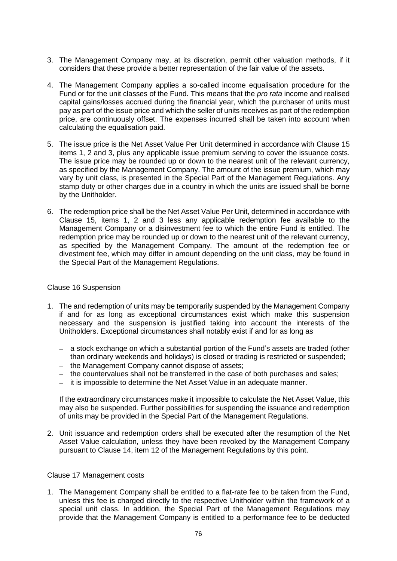- 3. The Management Company may, at its discretion, permit other valuation methods, if it considers that these provide a better representation of the fair value of the assets.
- 4. The Management Company applies a so-called income equalisation procedure for the Fund or for the unit classes of the Fund. This means that the *pro rata* income and realised capital gains/losses accrued during the financial year, which the purchaser of units must pay as part of the issue price and which the seller of units receives as part of the redemption price, are continuously offset. The expenses incurred shall be taken into account when calculating the equalisation paid.
- 5. The issue price is the Net Asset Value Per Unit determined in accordance with Clause 15 items 1, 2 and 3, plus any applicable issue premium serving to cover the issuance costs. The issue price may be rounded up or down to the nearest unit of the relevant currency, as specified by the Management Company. The amount of the issue premium, which may vary by unit class, is presented in the Special Part of the Management Regulations. Any stamp duty or other charges due in a country in which the units are issued shall be borne by the Unitholder.
- 6. The redemption price shall be the Net Asset Value Per Unit, determined in accordance with Clause 15, items 1, 2 and 3 less any applicable redemption fee available to the Management Company or a disinvestment fee to which the entire Fund is entitled. The redemption price may be rounded up or down to the nearest unit of the relevant currency, as specified by the Management Company. The amount of the redemption fee or divestment fee, which may differ in amount depending on the unit class, may be found in the Special Part of the Management Regulations.

#### Clause 16 Suspension

- 1. The and redemption of units may be temporarily suspended by the Management Company if and for as long as exceptional circumstances exist which make this suspension necessary and the suspension is justified taking into account the interests of the Unitholders. Exceptional circumstances shall notably exist if and for as long as
	- − a stock exchange on which a substantial portion of the Fund's assets are traded (other than ordinary weekends and holidays) is closed or trading is restricted or suspended;
	- − the Management Company cannot dispose of assets;
	- − the countervalues shall not be transferred in the case of both purchases and sales;
	- − it is impossible to determine the Net Asset Value in an adequate manner.

If the extraordinary circumstances make it impossible to calculate the Net Asset Value, this may also be suspended. Further possibilities for suspending the issuance and redemption of units may be provided in the Special Part of the Management Regulations.

2. Unit issuance and redemption orders shall be executed after the resumption of the Net Asset Value calculation, unless they have been revoked by the Management Company pursuant to Clause 14, item 12 of the Management Regulations by this point.

#### Clause 17 Management costs

1. The Management Company shall be entitled to a flat-rate fee to be taken from the Fund, unless this fee is charged directly to the respective Unitholder within the framework of a special unit class. In addition, the Special Part of the Management Regulations may provide that the Management Company is entitled to a performance fee to be deducted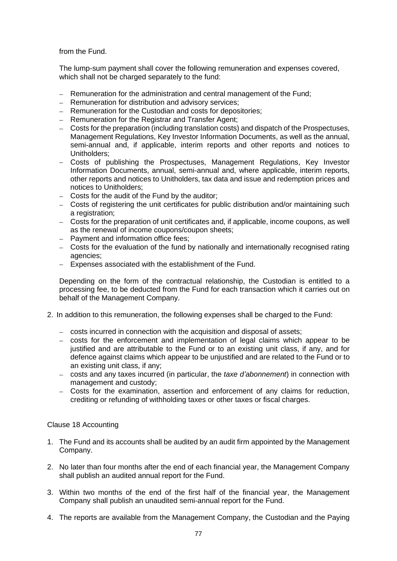from the Fund.

The lump-sum payment shall cover the following remuneration and expenses covered, which shall not be charged separately to the fund:

- − Remuneration for the administration and central management of the Fund;
- − Remuneration for distribution and advisory services;
- − Remuneration for the Custodian and costs for depositories;
- − Remuneration for the Registrar and Transfer Agent;
- − Costs for the preparation (including translation costs) and dispatch of the Prospectuses, Management Regulations, Key Investor Information Documents, as well as the annual, semi-annual and, if applicable, interim reports and other reports and notices to Unitholders;
- − Costs of publishing the Prospectuses, Management Regulations, Key Investor Information Documents, annual, semi-annual and, where applicable, interim reports, other reports and notices to Unitholders, tax data and issue and redemption prices and notices to Unitholders;
- − Costs for the audit of the Fund by the auditor;
- − Costs of registering the unit certificates for public distribution and/or maintaining such a registration:
- − Costs for the preparation of unit certificates and, if applicable, income coupons, as well as the renewal of income coupons/coupon sheets;
- − Payment and information office fees;
- − Costs for the evaluation of the fund by nationally and internationally recognised rating agencies;
- − Expenses associated with the establishment of the Fund.

Depending on the form of the contractual relationship, the Custodian is entitled to a processing fee, to be deducted from the Fund for each transaction which it carries out on behalf of the Management Company.

- 2. In addition to this remuneration, the following expenses shall be charged to the Fund:
	- − costs incurred in connection with the acquisition and disposal of assets;
	- − costs for the enforcement and implementation of legal claims which appear to be justified and are attributable to the Fund or to an existing unit class, if any, and for defence against claims which appear to be unjustified and are related to the Fund or to an existing unit class, if any;
	- − costs and any taxes incurred (in particular, the *taxe d'abonnement*) in connection with management and custody;
	- − Costs for the examination, assertion and enforcement of any claims for reduction, crediting or refunding of withholding taxes or other taxes or fiscal charges.

### Clause 18 Accounting

- 1. The Fund and its accounts shall be audited by an audit firm appointed by the Management Company.
- 2. No later than four months after the end of each financial year, the Management Company shall publish an audited annual report for the Fund.
- 3. Within two months of the end of the first half of the financial year, the Management Company shall publish an unaudited semi-annual report for the Fund.
- 4. The reports are available from the Management Company, the Custodian and the Paying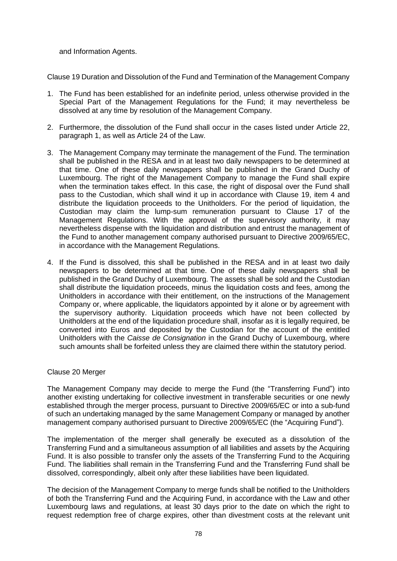and Information Agents.

Clause 19 Duration and Dissolution of the Fund and Termination of the Management Company

- 1. The Fund has been established for an indefinite period, unless otherwise provided in the Special Part of the Management Regulations for the Fund; it may nevertheless be dissolved at any time by resolution of the Management Company.
- 2. Furthermore, the dissolution of the Fund shall occur in the cases listed under Article 22, paragraph 1, as well as Article 24 of the Law.
- 3. The Management Company may terminate the management of the Fund. The termination shall be published in the RESA and in at least two daily newspapers to be determined at that time. One of these daily newspapers shall be published in the Grand Duchy of Luxembourg. The right of the Management Company to manage the Fund shall expire when the termination takes effect. In this case, the right of disposal over the Fund shall pass to the Custodian, which shall wind it up in accordance with Clause 19, item 4 and distribute the liquidation proceeds to the Unitholders. For the period of liquidation, the Custodian may claim the lump-sum remuneration pursuant to Clause 17 of the Management Regulations. With the approval of the supervisory authority, it may nevertheless dispense with the liquidation and distribution and entrust the management of the Fund to another management company authorised pursuant to Directive 2009/65/EC, in accordance with the Management Regulations.
- 4. If the Fund is dissolved, this shall be published in the RESA and in at least two daily newspapers to be determined at that time. One of these daily newspapers shall be published in the Grand Duchy of Luxembourg. The assets shall be sold and the Custodian shall distribute the liquidation proceeds, minus the liquidation costs and fees, among the Unitholders in accordance with their entitlement, on the instructions of the Management Company or, where applicable, the liquidators appointed by it alone or by agreement with the supervisory authority. Liquidation proceeds which have not been collected by Unitholders at the end of the liquidation procedure shall, insofar as it is legally required, be converted into Euros and deposited by the Custodian for the account of the entitled Unitholders with the *Caisse de Consignation* in the Grand Duchy of Luxembourg, where such amounts shall be forfeited unless they are claimed there within the statutory period.

# Clause 20 Merger

The Management Company may decide to merge the Fund (the "Transferring Fund") into another existing undertaking for collective investment in transferable securities or one newly established through the merger process, pursuant to Directive 2009/65/EC or into a sub-fund of such an undertaking managed by the same Management Company or managed by another management company authorised pursuant to Directive 2009/65/EC (the "Acquiring Fund").

The implementation of the merger shall generally be executed as a dissolution of the Transferring Fund and a simultaneous assumption of all liabilities and assets by the Acquiring Fund. It is also possible to transfer only the assets of the Transferring Fund to the Acquiring Fund. The liabilities shall remain in the Transferring Fund and the Transferring Fund shall be dissolved, correspondingly, albeit only after these liabilities have been liquidated.

The decision of the Management Company to merge funds shall be notified to the Unitholders of both the Transferring Fund and the Acquiring Fund, in accordance with the Law and other Luxembourg laws and regulations, at least 30 days prior to the date on which the right to request redemption free of charge expires, other than divestment costs at the relevant unit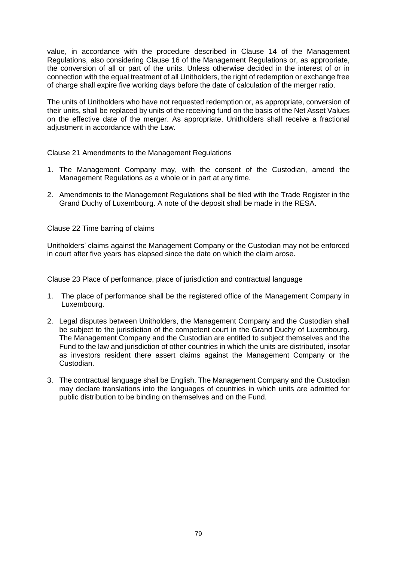value, in accordance with the procedure described in Clause 14 of the Management Regulations, also considering Clause 16 of the Management Regulations or, as appropriate, the conversion of all or part of the units. Unless otherwise decided in the interest of or in connection with the equal treatment of all Unitholders, the right of redemption or exchange free of charge shall expire five working days before the date of calculation of the merger ratio.

The units of Unitholders who have not requested redemption or, as appropriate, conversion of their units, shall be replaced by units of the receiving fund on the basis of the Net Asset Values on the effective date of the merger. As appropriate, Unitholders shall receive a fractional adjustment in accordance with the Law.

Clause 21 Amendments to the Management Regulations

- 1. The Management Company may, with the consent of the Custodian, amend the Management Regulations as a whole or in part at any time.
- 2. Amendments to the Management Regulations shall be filed with the Trade Register in the Grand Duchy of Luxembourg. A note of the deposit shall be made in the RESA.

Clause 22 Time barring of claims

Unitholders' claims against the Management Company or the Custodian may not be enforced in court after five years has elapsed since the date on which the claim arose.

Clause 23 Place of performance, place of jurisdiction and contractual language

- 1. The place of performance shall be the registered office of the Management Company in Luxembourg.
- 2. Legal disputes between Unitholders, the Management Company and the Custodian shall be subject to the jurisdiction of the competent court in the Grand Duchy of Luxembourg. The Management Company and the Custodian are entitled to subject themselves and the Fund to the law and jurisdiction of other countries in which the units are distributed, insofar as investors resident there assert claims against the Management Company or the Custodian.
- 3. The contractual language shall be English. The Management Company and the Custodian may declare translations into the languages of countries in which units are admitted for public distribution to be binding on themselves and on the Fund.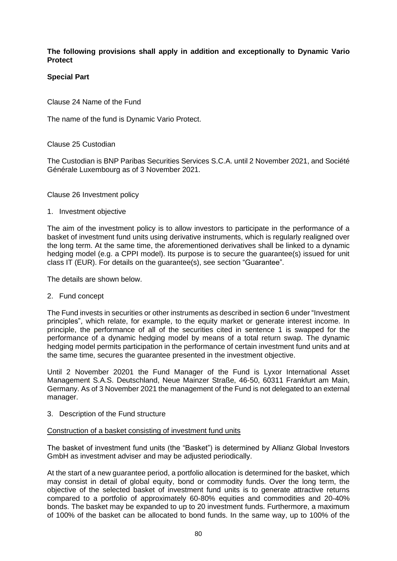# **The following provisions shall apply in addition and exceptionally to Dynamic Vario Protect**

# **Special Part**

Clause 24 Name of the Fund

The name of the fund is Dynamic Vario Protect.

### Clause 25 Custodian

The Custodian is BNP Paribas Securities Services S.C.A. until 2 November 2021, and Société Générale Luxembourg as of 3 November 2021.

### Clause 26 Investment policy

1. Investment objective

The aim of the investment policy is to allow investors to participate in the performance of a basket of investment fund units using derivative instruments, which is regularly realigned over the long term. At the same time, the aforementioned derivatives shall be linked to a dynamic hedging model (e.g. a CPPI model). Its purpose is to secure the guarantee(s) issued for unit class IT (EUR). For details on the guarantee(s), see section "Guarantee".

The details are shown below.

2. Fund concept

The Fund invests in securities or other instruments as described in section 6 under "Investment principles", which relate, for example, to the equity market or generate interest income. In principle, the performance of all of the securities cited in sentence 1 is swapped for the performance of a dynamic hedging model by means of a total return swap. The dynamic hedging model permits participation in the performance of certain investment fund units and at the same time, secures the guarantee presented in the investment objective.

Until 2 November 20201 the Fund Manager of the Fund is Lyxor International Asset Management S.A.S. Deutschland, Neue Mainzer Straße, 46-50, 60311 Frankfurt am Main, Germany. As of 3 November 2021 the management of the Fund is not delegated to an external manager.

3. Description of the Fund structure

#### Construction of a basket consisting of investment fund units

The basket of investment fund units (the "Basket") is determined by Allianz Global Investors GmbH as investment adviser and may be adjusted periodically.

At the start of a new guarantee period, a portfolio allocation is determined for the basket, which may consist in detail of global equity, bond or commodity funds. Over the long term, the objective of the selected basket of investment fund units is to generate attractive returns compared to a portfolio of approximately 60-80% equities and commodities and 20-40% bonds. The basket may be expanded to up to 20 investment funds. Furthermore, a maximum of 100% of the basket can be allocated to bond funds. In the same way, up to 100% of the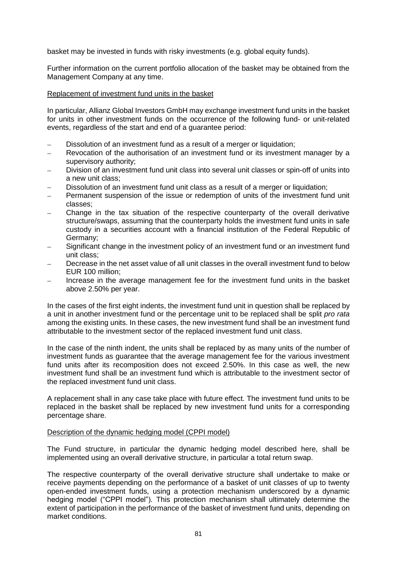basket may be invested in funds with risky investments (e.g. global equity funds).

Further information on the current portfolio allocation of the basket may be obtained from the Management Company at any time.

## Replacement of investment fund units in the basket

In particular, Allianz Global Investors GmbH may exchange investment fund units in the basket for units in other investment funds on the occurrence of the following fund- or unit-related events, regardless of the start and end of a guarantee period:

- Dissolution of an investment fund as a result of a merger or liquidation;
- Revocation of the authorisation of an investment fund or its investment manager by a supervisory authority;
- Division of an investment fund unit class into several unit classes or spin-off of units into a new unit class;
- Dissolution of an investment fund unit class as a result of a merger or liquidation;
- Permanent suspension of the issue or redemption of units of the investment fund unit classes;
- − Change in the tax situation of the respective counterparty of the overall derivative structure/swaps, assuming that the counterparty holds the investment fund units in safe custody in a securities account with a financial institution of the Federal Republic of Germany;
- Significant change in the investment policy of an investment fund or an investment fund unit class;
- Decrease in the net asset value of all unit classes in the overall investment fund to below EUR 100 million;
- Increase in the average management fee for the investment fund units in the basket above 2.50% per year.

In the cases of the first eight indents, the investment fund unit in question shall be replaced by a unit in another investment fund or the percentage unit to be replaced shall be split *pro rata* among the existing units. In these cases, the new investment fund shall be an investment fund attributable to the investment sector of the replaced investment fund unit class.

In the case of the ninth indent, the units shall be replaced by as many units of the number of investment funds as guarantee that the average management fee for the various investment fund units after its recomposition does not exceed 2.50%. In this case as well, the new investment fund shall be an investment fund which is attributable to the investment sector of the replaced investment fund unit class.

A replacement shall in any case take place with future effect. The investment fund units to be replaced in the basket shall be replaced by new investment fund units for a corresponding percentage share.

#### Description of the dynamic hedging model (CPPI model)

The Fund structure, in particular the dynamic hedging model described here, shall be implemented using an overall derivative structure, in particular a total return swap.

The respective counterparty of the overall derivative structure shall undertake to make or receive payments depending on the performance of a basket of unit classes of up to twenty open-ended investment funds, using a protection mechanism underscored by a dynamic hedging model ("CPPI model"). This protection mechanism shall ultimately determine the extent of participation in the performance of the basket of investment fund units, depending on market conditions.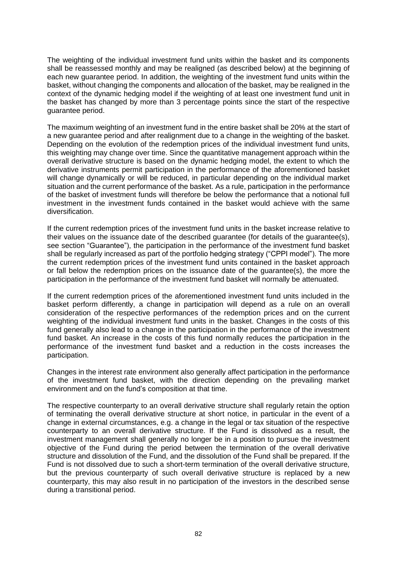The weighting of the individual investment fund units within the basket and its components shall be reassessed monthly and may be realigned (as described below) at the beginning of each new guarantee period. In addition, the weighting of the investment fund units within the basket, without changing the components and allocation of the basket, may be realigned in the context of the dynamic hedging model if the weighting of at least one investment fund unit in the basket has changed by more than 3 percentage points since the start of the respective guarantee period.

The maximum weighting of an investment fund in the entire basket shall be 20% at the start of a new guarantee period and after realignment due to a change in the weighting of the basket. Depending on the evolution of the redemption prices of the individual investment fund units, this weighting may change over time. Since the quantitative management approach within the overall derivative structure is based on the dynamic hedging model, the extent to which the derivative instruments permit participation in the performance of the aforementioned basket will change dynamically or will be reduced, in particular depending on the individual market situation and the current performance of the basket. As a rule, participation in the performance of the basket of investment funds will therefore be below the performance that a notional full investment in the investment funds contained in the basket would achieve with the same diversification.

If the current redemption prices of the investment fund units in the basket increase relative to their values on the issuance date of the described guarantee (for details of the guarantee(s), see section "Guarantee"), the participation in the performance of the investment fund basket shall be regularly increased as part of the portfolio hedging strategy ("CPPI model"). The more the current redemption prices of the investment fund units contained in the basket approach or fall below the redemption prices on the issuance date of the guarantee(s), the more the participation in the performance of the investment fund basket will normally be attenuated.

If the current redemption prices of the aforementioned investment fund units included in the basket perform differently, a change in participation will depend as a rule on an overall consideration of the respective performances of the redemption prices and on the current weighting of the individual investment fund units in the basket. Changes in the costs of this fund generally also lead to a change in the participation in the performance of the investment fund basket. An increase in the costs of this fund normally reduces the participation in the performance of the investment fund basket and a reduction in the costs increases the participation.

Changes in the interest rate environment also generally affect participation in the performance of the investment fund basket, with the direction depending on the prevailing market environment and on the fund's composition at that time.

The respective counterparty to an overall derivative structure shall regularly retain the option of terminating the overall derivative structure at short notice, in particular in the event of a change in external circumstances, e.g. a change in the legal or tax situation of the respective counterparty to an overall derivative structure. If the Fund is dissolved as a result, the investment management shall generally no longer be in a position to pursue the investment objective of the Fund during the period between the termination of the overall derivative structure and dissolution of the Fund, and the dissolution of the Fund shall be prepared. If the Fund is not dissolved due to such a short-term termination of the overall derivative structure, but the previous counterparty of such overall derivative structure is replaced by a new counterparty, this may also result in no participation of the investors in the described sense during a transitional period.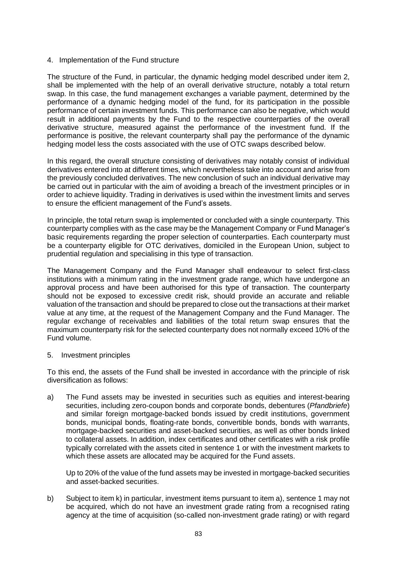## 4. Implementation of the Fund structure

The structure of the Fund, in particular, the dynamic hedging model described under item 2, shall be implemented with the help of an overall derivative structure, notably a total return swap. In this case, the fund management exchanges a variable payment, determined by the performance of a dynamic hedging model of the fund, for its participation in the possible performance of certain investment funds. This performance can also be negative, which would result in additional payments by the Fund to the respective counterparties of the overall derivative structure, measured against the performance of the investment fund. If the performance is positive, the relevant counterparty shall pay the performance of the dynamic hedging model less the costs associated with the use of OTC swaps described below.

In this regard, the overall structure consisting of derivatives may notably consist of individual derivatives entered into at different times, which nevertheless take into account and arise from the previously concluded derivatives. The new conclusion of such an individual derivative may be carried out in particular with the aim of avoiding a breach of the investment principles or in order to achieve liquidity. Trading in derivatives is used within the investment limits and serves to ensure the efficient management of the Fund's assets.

In principle, the total return swap is implemented or concluded with a single counterparty. This counterparty complies with as the case may be the Management Company or Fund Manager's basic requirements regarding the proper selection of counterparties. Each counterparty must be a counterparty eligible for OTC derivatives, domiciled in the European Union, subject to prudential regulation and specialising in this type of transaction.

The Management Company and the Fund Manager shall endeavour to select first-class institutions with a minimum rating in the investment grade range, which have undergone an approval process and have been authorised for this type of transaction. The counterparty should not be exposed to excessive credit risk, should provide an accurate and reliable valuation of the transaction and should be prepared to close out the transactions at their market value at any time, at the request of the Management Company and the Fund Manager. The regular exchange of receivables and liabilities of the total return swap ensures that the maximum counterparty risk for the selected counterparty does not normally exceed 10% of the Fund volume.

# 5. Investment principles

To this end, the assets of the Fund shall be invested in accordance with the principle of risk diversification as follows:

a) The Fund assets may be invested in securities such as equities and interest-bearing securities, including zero-coupon bonds and corporate bonds, debentures (*Pfandbriefe*) and similar foreign mortgage-backed bonds issued by credit institutions, government bonds, municipal bonds, floating-rate bonds, convertible bonds, bonds with warrants, mortgage-backed securities and asset-backed securities, as well as other bonds linked to collateral assets. In addition, index certificates and other certificates with a risk profile typically correlated with the assets cited in sentence 1 or with the investment markets to which these assets are allocated may be acquired for the Fund assets.

Up to 20% of the value of the fund assets may be invested in mortgage-backed securities and asset-backed securities.

b) Subject to item k) in particular, investment items pursuant to item a), sentence 1 may not be acquired, which do not have an investment grade rating from a recognised rating agency at the time of acquisition (so-called non-investment grade rating) or with regard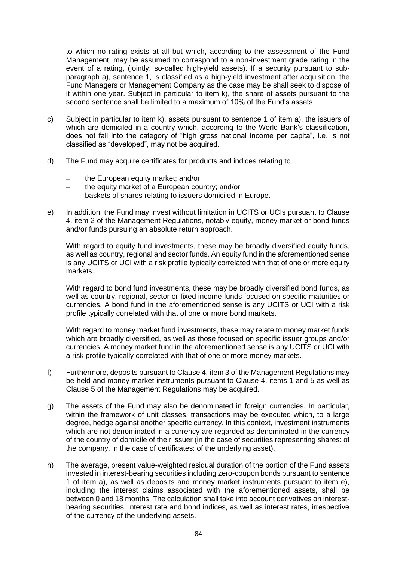to which no rating exists at all but which, according to the assessment of the Fund Management, may be assumed to correspond to a non-investment grade rating in the event of a rating, (jointly: so-called high-yield assets). If a security pursuant to subparagraph a), sentence 1, is classified as a high-yield investment after acquisition, the Fund Managers or Management Company as the case may be shall seek to dispose of it within one year. Subject in particular to item k), the share of assets pursuant to the second sentence shall be limited to a maximum of 10% of the Fund's assets.

- c) Subject in particular to item k), assets pursuant to sentence 1 of item a), the issuers of which are domiciled in a country which, according to the World Bank's classification, does not fall into the category of "high gross national income per capita", i.e. is not classified as "developed", may not be acquired.
- d) The Fund may acquire certificates for products and indices relating to
	- the European equity market; and/or
	- the equity market of a European country; and/or
	- baskets of shares relating to issuers domiciled in Europe.
- e) In addition, the Fund may invest without limitation in UCITS or UCIs pursuant to Clause 4, item 2 of the Management Regulations, notably equity, money market or bond funds and/or funds pursuing an absolute return approach.

With regard to equity fund investments, these may be broadly diversified equity funds, as well as country, regional and sector funds. An equity fund in the aforementioned sense is any UCITS or UCI with a risk profile typically correlated with that of one or more equity markets.

With regard to bond fund investments, these may be broadly diversified bond funds, as well as country, regional, sector or fixed income funds focused on specific maturities or currencies. A bond fund in the aforementioned sense is any UCITS or UCI with a risk profile typically correlated with that of one or more bond markets.

With regard to money market fund investments, these may relate to money market funds which are broadly diversified, as well as those focused on specific issuer groups and/or currencies. A money market fund in the aforementioned sense is any UCITS or UCI with a risk profile typically correlated with that of one or more money markets.

- f) Furthermore, deposits pursuant to Clause 4, item 3 of the Management Regulations may be held and money market instruments pursuant to Clause 4, items 1 and 5 as well as Clause 5 of the Management Regulations may be acquired.
- g) The assets of the Fund may also be denominated in foreign currencies. In particular, within the framework of unit classes, transactions may be executed which, to a large degree, hedge against another specific currency. In this context, investment instruments which are not denominated in a currency are regarded as denominated in the currency of the country of domicile of their issuer (in the case of securities representing shares: of the company, in the case of certificates: of the underlying asset).
- h) The average, present value-weighted residual duration of the portion of the Fund assets invested in interest-bearing securities including zero-coupon bonds pursuant to sentence 1 of item a), as well as deposits and money market instruments pursuant to item e), including the interest claims associated with the aforementioned assets, shall be between 0 and 18 months. The calculation shall take into account derivatives on interestbearing securities, interest rate and bond indices, as well as interest rates, irrespective of the currency of the underlying assets.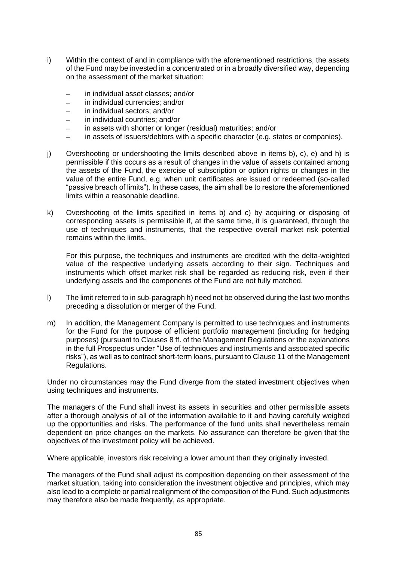- i) Within the context of and in compliance with the aforementioned restrictions, the assets of the Fund may be invested in a concentrated or in a broadly diversified way, depending on the assessment of the market situation:
	- − in individual asset classes; and/or
	- − in individual currencies; and/or
	- − in individual sectors; and/or
	- − in individual countries; and/or
	- − in assets with shorter or longer (residual) maturities; and/or
	- − in assets of issuers/debtors with a specific character (e.g. states or companies).
- j) Overshooting or undershooting the limits described above in items b), c), e) and h) is permissible if this occurs as a result of changes in the value of assets contained among the assets of the Fund, the exercise of subscription or option rights or changes in the value of the entire Fund, e.g. when unit certificates are issued or redeemed (so-called "passive breach of limits"). In these cases, the aim shall be to restore the aforementioned limits within a reasonable deadline.
- k) Overshooting of the limits specified in items b) and c) by acquiring or disposing of corresponding assets is permissible if, at the same time, it is guaranteed, through the use of techniques and instruments, that the respective overall market risk potential remains within the limits.

For this purpose, the techniques and instruments are credited with the delta-weighted value of the respective underlying assets according to their sign. Techniques and instruments which offset market risk shall be regarded as reducing risk, even if their underlying assets and the components of the Fund are not fully matched.

- l) The limit referred to in sub-paragraph h) need not be observed during the last two months preceding a dissolution or merger of the Fund.
- m) In addition, the Management Company is permitted to use techniques and instruments for the Fund for the purpose of efficient portfolio management (including for hedging purposes) (pursuant to Clauses 8 ff. of the Management Regulations or the explanations in the full Prospectus under "Use of techniques and instruments and associated specific risks"), as well as to contract short-term loans, pursuant to Clause 11 of the Management Regulations.

Under no circumstances may the Fund diverge from the stated investment objectives when using techniques and instruments.

The managers of the Fund shall invest its assets in securities and other permissible assets after a thorough analysis of all of the information available to it and having carefully weighed up the opportunities and risks. The performance of the fund units shall nevertheless remain dependent on price changes on the markets. No assurance can therefore be given that the objectives of the investment policy will be achieved.

Where applicable, investors risk receiving a lower amount than they originally invested.

The managers of the Fund shall adjust its composition depending on their assessment of the market situation, taking into consideration the investment objective and principles, which may also lead to a complete or partial realignment of the composition of the Fund. Such adjustments may therefore also be made frequently, as appropriate.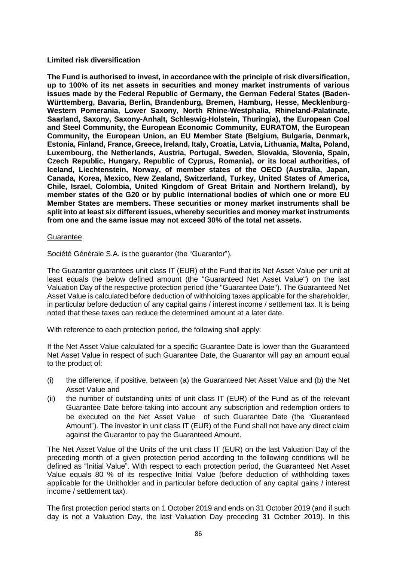# **Limited risk diversification**

**The Fund is authorised to invest, in accordance with the principle of risk diversification, up to 100% of its net assets in securities and money market instruments of various issues made by the Federal Republic of Germany, the German Federal States (Baden-Württemberg, Bavaria, Berlin, Brandenburg, Bremen, Hamburg, Hesse, Mecklenburg-Western Pomerania, Lower Saxony, North Rhine-Westphalia, Rhineland-Palatinate, Saarland, Saxony, Saxony-Anhalt, Schleswig-Holstein, Thuringia), the European Coal and Steel Community, the European Economic Community, EURATOM, the European Community, the European Union, an EU Member State (Belgium, Bulgaria, Denmark, Estonia, Finland, France, Greece, Ireland, Italy, Croatia, Latvia, Lithuania, Malta, Poland, Luxembourg, the Netherlands, Austria, Portugal, Sweden, Slovakia, Slovenia, Spain, Czech Republic, Hungary, Republic of Cyprus, Romania), or its local authorities, of Iceland, Liechtenstein, Norway, of member states of the OECD (Australia, Japan, Canada, Korea, Mexico, New Zealand, Switzerland, Turkey, United States of America, Chile, Israel, Colombia, United Kingdom of Great Britain and Northern Ireland), by member states of the G20 or by public international bodies of which one or more EU Member States are members. These securities or money market instruments shall be split into at least six different issues, whereby securities and money market instruments from one and the same issue may not exceed 30% of the total net assets.**

#### **Guarantee**

Société Générale S.A. is the guarantor (the "Guarantor").

The Guarantor guarantees unit class IT (EUR) of the Fund that its Net Asset Value per unit at least equals the below defined amount (the "Guaranteed Net Asset Value") on the last Valuation Day of the respective protection period (the "Guarantee Date"). The Guaranteed Net Asset Value is calculated before deduction of withholding taxes applicable for the shareholder, in particular before deduction of any capital gains / interest income / settlement tax. It is being noted that these taxes can reduce the determined amount at a later date.

With reference to each protection period, the following shall apply:

If the Net Asset Value calculated for a specific Guarantee Date is lower than the Guaranteed Net Asset Value in respect of such Guarantee Date, the Guarantor will pay an amount equal to the product of:

- (i) the difference, if positive, between (a) the Guaranteed Net Asset Value and (b) the Net Asset Value and
- (ii) the number of outstanding units of unit class IT (EUR) of the Fund as of the relevant Guarantee Date before taking into account any subscription and redemption orders to be executed on the Net Asset Value of such Guarantee Date (the "Guaranteed Amount"). The investor in unit class IT (EUR) of the Fund shall not have any direct claim against the Guarantor to pay the Guaranteed Amount.

The Net Asset Value of the Units of the unit class IT (EUR) on the last Valuation Day of the preceding month of a given protection period according to the following conditions will be defined as "Initial Value". With respect to each protection period, the Guaranteed Net Asset Value equals 80 % of its respective Initial Value (before deduction of withholding taxes applicable for the Unitholder and in particular before deduction of any capital gains / interest income / settlement tax).

The first protection period starts on 1 October 2019 and ends on 31 October 2019 (and if such day is not a Valuation Day, the last Valuation Day preceding 31 October 2019). In this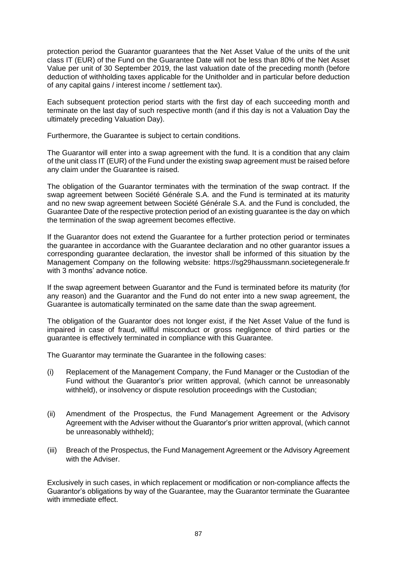protection period the Guarantor guarantees that the Net Asset Value of the units of the unit class IT (EUR) of the Fund on the Guarantee Date will not be less than 80% of the Net Asset Value per unit of 30 September 2019, the last valuation date of the preceding month (before deduction of withholding taxes applicable for the Unitholder and in particular before deduction of any capital gains / interest income / settlement tax).

Each subsequent protection period starts with the first day of each succeeding month and terminate on the last day of such respective month (and if this day is not a Valuation Day the ultimately preceding Valuation Day).

Furthermore, the Guarantee is subject to certain conditions.

The Guarantor will enter into a swap agreement with the fund. It is a condition that any claim of the unit class IT (EUR) of the Fund under the existing swap agreement must be raised before any claim under the Guarantee is raised.

The obligation of the Guarantor terminates with the termination of the swap contract. If the swap agreement between Société Générale S.A. and the Fund is terminated at its maturity and no new swap agreement between Société Générale S.A. and the Fund is concluded, the Guarantee Date of the respective protection period of an existing guarantee is the day on which the termination of the swap agreement becomes effective.

If the Guarantor does not extend the Guarantee for a further protection period or terminates the guarantee in accordance with the Guarantee declaration and no other guarantor issues a corresponding guarantee declaration, the investor shall be informed of this situation by the Management Company on the following website: https://sg29haussmann.societegenerale.fr with 3 months' advance notice.

If the swap agreement between Guarantor and the Fund is terminated before its maturity (for any reason) and the Guarantor and the Fund do not enter into a new swap agreement, the Guarantee is automatically terminated on the same date than the swap agreement.

The obligation of the Guarantor does not longer exist, if the Net Asset Value of the fund is impaired in case of fraud, willful misconduct or gross negligence of third parties or the guarantee is effectively terminated in compliance with this Guarantee.

The Guarantor may terminate the Guarantee in the following cases:

- (i) Replacement of the Management Company, the Fund Manager or the Custodian of the Fund without the Guarantor's prior written approval, (which cannot be unreasonably withheld), or insolvency or dispute resolution proceedings with the Custodian;
- (ii) Amendment of the Prospectus, the Fund Management Agreement or the Advisory Agreement with the Adviser without the Guarantor's prior written approval, (which cannot be unreasonably withheld);
- (iii) Breach of the Prospectus, the Fund Management Agreement or the Advisory Agreement with the Adviser

Exclusively in such cases, in which replacement or modification or non-compliance affects the Guarantor's obligations by way of the Guarantee, may the Guarantor terminate the Guarantee with immediate effect.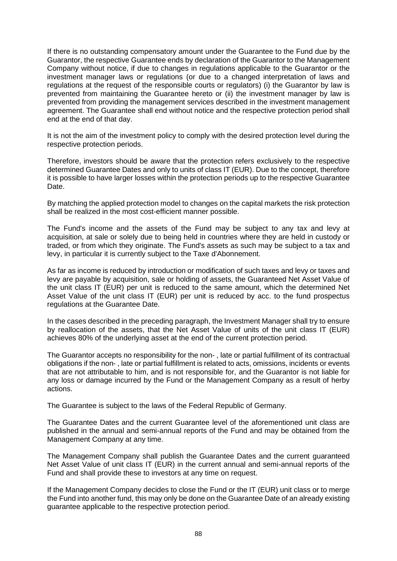If there is no outstanding compensatory amount under the Guarantee to the Fund due by the Guarantor, the respective Guarantee ends by declaration of the Guarantor to the Management Company without notice, if due to changes in regulations applicable to the Guarantor or the investment manager laws or regulations (or due to a changed interpretation of laws and regulations at the request of the responsible courts or regulators) (i) the Guarantor by law is prevented from maintaining the Guarantee hereto or (ii) the investment manager by law is prevented from providing the management services described in the investment management agreement. The Guarantee shall end without notice and the respective protection period shall end at the end of that day.

It is not the aim of the investment policy to comply with the desired protection level during the respective protection periods.

Therefore, investors should be aware that the protection refers exclusively to the respective determined Guarantee Dates and only to units of class IT (EUR). Due to the concept, therefore it is possible to have larger losses within the protection periods up to the respective Guarantee Date.

By matching the applied protection model to changes on the capital markets the risk protection shall be realized in the most cost-efficient manner possible.

The Fund's income and the assets of the Fund may be subject to any tax and levy at acquisition, at sale or solely due to being held in countries where they are held in custody or traded, or from which they originate. The Fund's assets as such may be subject to a tax and levy, in particular it is currently subject to the Taxe d'Abonnement.

As far as income is reduced by introduction or modification of such taxes and levy or taxes and levy are payable by acquisition, sale or holding of assets, the Guaranteed Net Asset Value of the unit class IT (EUR) per unit is reduced to the same amount, which the determined Net Asset Value of the unit class IT (EUR) per unit is reduced by acc. to the fund prospectus regulations at the Guarantee Date.

In the cases described in the preceding paragraph, the Investment Manager shall try to ensure by reallocation of the assets, that the Net Asset Value of units of the unit class IT (EUR) achieves 80% of the underlying asset at the end of the current protection period.

The Guarantor accepts no responsibility for the non- , late or partial fulfillment of its contractual obligations if the non- , late or partial fulfillment is related to acts, omissions, incidents or events that are not attributable to him, and is not responsible for, and the Guarantor is not liable for any loss or damage incurred by the Fund or the Management Company as a result of herby actions.

The Guarantee is subject to the laws of the Federal Republic of Germany.

The Guarantee Dates and the current Guarantee level of the aforementioned unit class are published in the annual and semi-annual reports of the Fund and may be obtained from the Management Company at any time.

The Management Company shall publish the Guarantee Dates and the current guaranteed Net Asset Value of unit class IT (EUR) in the current annual and semi-annual reports of the Fund and shall provide these to investors at any time on request.

If the Management Company decides to close the Fund or the IT (EUR) unit class or to merge the Fund into another fund, this may only be done on the Guarantee Date of an already existing guarantee applicable to the respective protection period.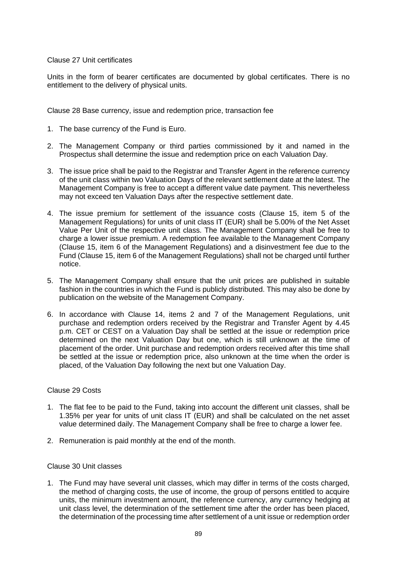# Clause 27 Unit certificates

Units in the form of bearer certificates are documented by global certificates. There is no entitlement to the delivery of physical units.

Clause 28 Base currency, issue and redemption price, transaction fee

- 1. The base currency of the Fund is Euro.
- 2. The Management Company or third parties commissioned by it and named in the Prospectus shall determine the issue and redemption price on each Valuation Day.
- 3. The issue price shall be paid to the Registrar and Transfer Agent in the reference currency of the unit class within two Valuation Days of the relevant settlement date at the latest. The Management Company is free to accept a different value date payment. This nevertheless may not exceed ten Valuation Days after the respective settlement date.
- 4. The issue premium for settlement of the issuance costs (Clause 15, item 5 of the Management Regulations) for units of unit class IT (EUR) shall be 5.00% of the Net Asset Value Per Unit of the respective unit class. The Management Company shall be free to charge a lower issue premium. A redemption fee available to the Management Company (Clause 15, item 6 of the Management Regulations) and a disinvestment fee due to the Fund (Clause 15, item 6 of the Management Regulations) shall not be charged until further notice.
- 5. The Management Company shall ensure that the unit prices are published in suitable fashion in the countries in which the Fund is publicly distributed. This may also be done by publication on the website of the Management Company.
- 6. In accordance with Clause 14, items 2 and 7 of the Management Regulations, unit purchase and redemption orders received by the Registrar and Transfer Agent by 4.45 p.m. CET or CEST on a Valuation Day shall be settled at the issue or redemption price determined on the next Valuation Day but one, which is still unknown at the time of placement of the order. Unit purchase and redemption orders received after this time shall be settled at the issue or redemption price, also unknown at the time when the order is placed, of the Valuation Day following the next but one Valuation Day.

### Clause 29 Costs

- 1. The flat fee to be paid to the Fund, taking into account the different unit classes, shall be 1.35% per year for units of unit class IT (EUR) and shall be calculated on the net asset value determined daily. The Management Company shall be free to charge a lower fee.
- 2. Remuneration is paid monthly at the end of the month.

#### Clause 30 Unit classes

1. The Fund may have several unit classes, which may differ in terms of the costs charged, the method of charging costs, the use of income, the group of persons entitled to acquire units, the minimum investment amount, the reference currency, any currency hedging at unit class level, the determination of the settlement time after the order has been placed, the determination of the processing time after settlement of a unit issue or redemption order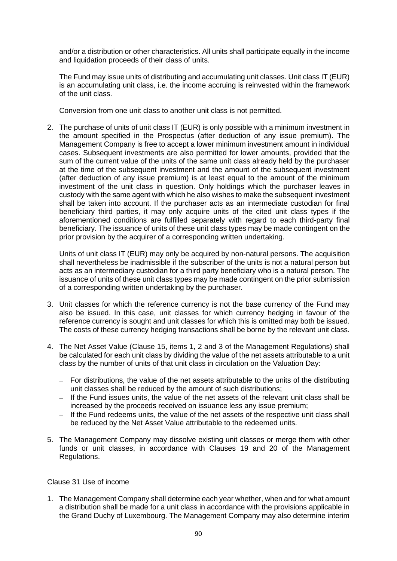and/or a distribution or other characteristics. All units shall participate equally in the income and liquidation proceeds of their class of units.

The Fund may issue units of distributing and accumulating unit classes. Unit class IT (EUR) is an accumulating unit class, i.e. the income accruing is reinvested within the framework of the unit class.

Conversion from one unit class to another unit class is not permitted.

2. The purchase of units of unit class IT (EUR) is only possible with a minimum investment in the amount specified in the Prospectus (after deduction of any issue premium). The Management Company is free to accept a lower minimum investment amount in individual cases. Subsequent investments are also permitted for lower amounts, provided that the sum of the current value of the units of the same unit class already held by the purchaser at the time of the subsequent investment and the amount of the subsequent investment (after deduction of any issue premium) is at least equal to the amount of the minimum investment of the unit class in question. Only holdings which the purchaser leaves in custody with the same agent with which he also wishes to make the subsequent investment shall be taken into account. If the purchaser acts as an intermediate custodian for final beneficiary third parties, it may only acquire units of the cited unit class types if the aforementioned conditions are fulfilled separately with regard to each third-party final beneficiary. The issuance of units of these unit class types may be made contingent on the prior provision by the acquirer of a corresponding written undertaking.

Units of unit class IT (EUR) may only be acquired by non-natural persons. The acquisition shall nevertheless be inadmissible if the subscriber of the units is not a natural person but acts as an intermediary custodian for a third party beneficiary who is a natural person. The issuance of units of these unit class types may be made contingent on the prior submission of a corresponding written undertaking by the purchaser.

- 3. Unit classes for which the reference currency is not the base currency of the Fund may also be issued. In this case, unit classes for which currency hedging in favour of the reference currency is sought and unit classes for which this is omitted may both be issued. The costs of these currency hedging transactions shall be borne by the relevant unit class.
- 4. The Net Asset Value (Clause 15, items 1, 2 and 3 of the Management Regulations) shall be calculated for each unit class by dividing the value of the net assets attributable to a unit class by the number of units of that unit class in circulation on the Valuation Day:
	- − For distributions, the value of the net assets attributable to the units of the distributing unit classes shall be reduced by the amount of such distributions;
	- − If the Fund issues units, the value of the net assets of the relevant unit class shall be increased by the proceeds received on issuance less any issue premium;
	- − If the Fund redeems units, the value of the net assets of the respective unit class shall be reduced by the Net Asset Value attributable to the redeemed units.
- 5. The Management Company may dissolve existing unit classes or merge them with other funds or unit classes, in accordance with Clauses 19 and 20 of the Management Regulations.

# Clause 31 Use of income

1. The Management Company shall determine each year whether, when and for what amount a distribution shall be made for a unit class in accordance with the provisions applicable in the Grand Duchy of Luxembourg. The Management Company may also determine interim